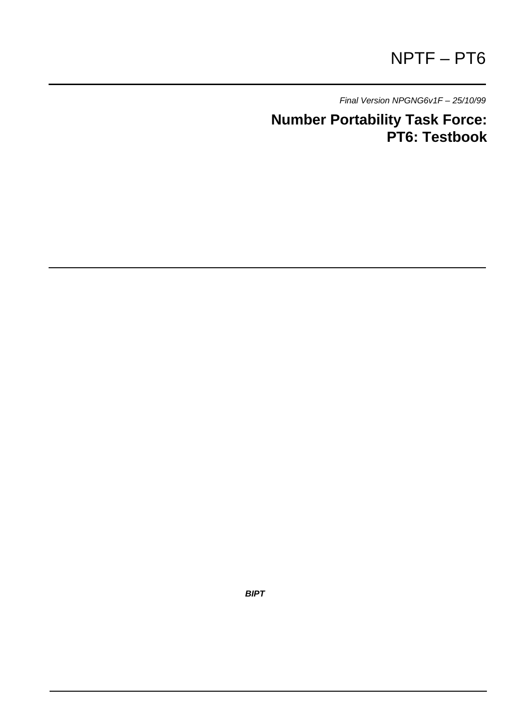# NPTF – PT6

*Final Version NPGNG6v1F – 25/10/99*

**Number Portability Task Force: PT6: Testbook**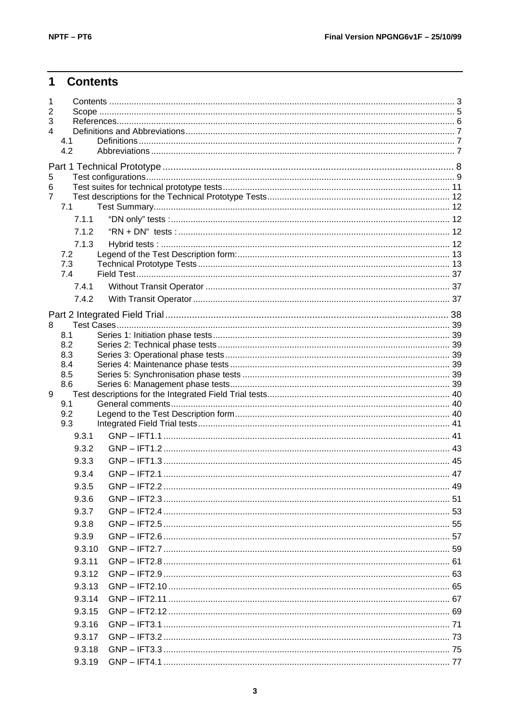#### $\overline{1}$ **Contents**

| 1<br>2<br>3<br>$\overline{\mathbf{4}}$ | 4.1<br>4.2 |  |
|----------------------------------------|------------|--|
|                                        |            |  |
| 5                                      |            |  |
| 6                                      |            |  |
| $\overline{7}$                         |            |  |
|                                        | 7.1        |  |
|                                        | 7.1.1      |  |
|                                        | 7.1.2      |  |
|                                        | 7.1.3      |  |
|                                        | 7.2<br>7.3 |  |
|                                        | 7.4        |  |
|                                        | 7.4.1      |  |
|                                        | 7.4.2      |  |
|                                        |            |  |
| 8                                      |            |  |
|                                        | 8.1        |  |
|                                        | 8.2        |  |
|                                        | 8.3        |  |
|                                        | 8.4<br>8.5 |  |
|                                        | 8.6        |  |
| 9                                      |            |  |
|                                        | 9.1        |  |
|                                        | 9.2<br>9.3 |  |
|                                        | 9.3.1      |  |
|                                        | 9.3.2      |  |
|                                        | 9.3.3      |  |
|                                        | 9.3.4      |  |
|                                        | 9.3.5      |  |
|                                        | 9.3.6      |  |
|                                        | 9.3.7      |  |
|                                        | 9.3.8      |  |
|                                        | 9.3.9      |  |
|                                        | 9.3.10     |  |
|                                        | 9.3.11     |  |
|                                        | 9.3.12     |  |
|                                        | 9.3.13     |  |
|                                        | 9.3.14     |  |
|                                        | 9.3.15     |  |
|                                        |            |  |
|                                        | 9.3.16     |  |
|                                        | 9.3.17     |  |
|                                        | 9.3.18     |  |
|                                        | 9.3.19     |  |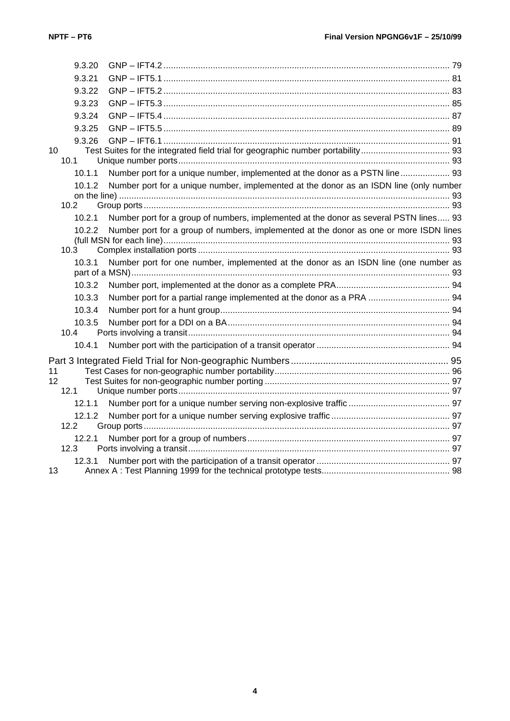|                 | 9.3.20            |                                                                                        |  |
|-----------------|-------------------|----------------------------------------------------------------------------------------|--|
|                 | 9.3.21            |                                                                                        |  |
|                 | 9.3.22            |                                                                                        |  |
|                 | 9.3.23            |                                                                                        |  |
|                 | 9.3.24            |                                                                                        |  |
|                 | 9.3.25            |                                                                                        |  |
|                 | 9.3.26            |                                                                                        |  |
| 10 <sup>1</sup> | 10.1              |                                                                                        |  |
|                 | 10.1.1            | Number port for a unique number, implemented at the donor as a PSTN line 93            |  |
|                 | 10.1.2            | Number port for a unique number, implemented at the donor as an ISDN line (only number |  |
|                 | 10.2 <sub>2</sub> |                                                                                        |  |
|                 | 10.2.1            | Number port for a group of numbers, implemented at the donor as several PSTN lines 93  |  |
|                 | 10.2.2            | Number port for a group of numbers, implemented at the donor as one or more ISDN lines |  |
|                 |                   |                                                                                        |  |
|                 | 10.3              |                                                                                        |  |
|                 | 10.3.1            | Number port for one number, implemented at the donor as an ISDN line (one number as    |  |
|                 |                   |                                                                                        |  |
|                 | 10.3.2            |                                                                                        |  |
|                 | 10.3.3            | Number port for a partial range implemented at the donor as a PRA  94                  |  |
|                 | 10.3.4            |                                                                                        |  |
|                 | 10.3.5            |                                                                                        |  |
|                 | 10.4              |                                                                                        |  |
|                 | 10.4.1            |                                                                                        |  |
|                 |                   |                                                                                        |  |
| 11              |                   |                                                                                        |  |
| 12 <sup>°</sup> | 12.1              |                                                                                        |  |
|                 | 12.1.1            |                                                                                        |  |
|                 | 12.1.2            |                                                                                        |  |
|                 | 12.2              |                                                                                        |  |
|                 | 12.2.1            |                                                                                        |  |
|                 | 12.3              |                                                                                        |  |
|                 | 12.3.1            |                                                                                        |  |
| 13              |                   |                                                                                        |  |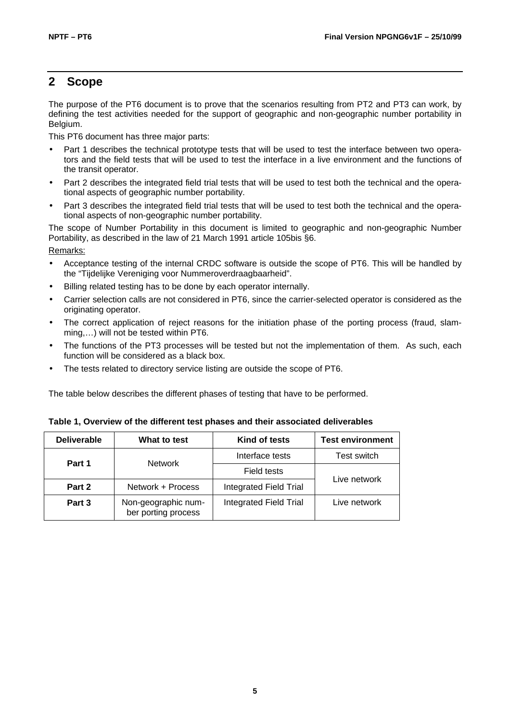### **2 Scope**

The purpose of the PT6 document is to prove that the scenarios resulting from PT2 and PT3 can work, by defining the test activities needed for the support of geographic and non-geographic number portability in Belgium.

This PT6 document has three major parts:

- Part 1 describes the technical prototype tests that will be used to test the interface between two operators and the field tests that will be used to test the interface in a live environment and the functions of the transit operator.
- Part 2 describes the integrated field trial tests that will be used to test both the technical and the operational aspects of geographic number portability.
- Part 3 describes the integrated field trial tests that will be used to test both the technical and the operational aspects of non-geographic number portability.

The scope of Number Portability in this document is limited to geographic and non-geographic Number Portability, as described in the law of 21 March 1991 article 105bis §6.

Remarks:

- Acceptance testing of the internal CRDC software is outside the scope of PT6. This will be handled by the "Tijdelijke Vereniging voor Nummeroverdraagbaarheid".
- Billing related testing has to be done by each operator internally.
- Carrier selection calls are not considered in PT6, since the carrier-selected operator is considered as the originating operator.
- The correct application of reject reasons for the initiation phase of the porting process (fraud, slamming,…) will not be tested within PT6.
- The functions of the PT3 processes will be tested but not the implementation of them. As such, each function will be considered as a black box.
- The tests related to directory service listing are outside the scope of PT6.

The table below describes the different phases of testing that have to be performed.

| <b>Deliverable</b> | What to test                               | Kind of tests          | <b>Test environment</b> |  |
|--------------------|--------------------------------------------|------------------------|-------------------------|--|
| Part 1             | <b>Network</b>                             | Interface tests        | Test switch             |  |
|                    |                                            | Field tests            |                         |  |
| Part 2             | Network + Process                          | Integrated Field Trial | Live network            |  |
| Part 3             | Non-geographic num-<br>ber porting process | Integrated Field Trial | Live network            |  |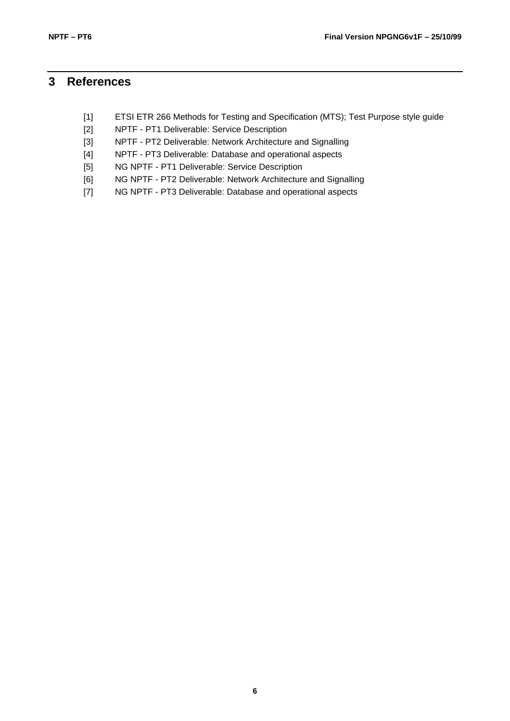# **3 References**

- [1] ETSI ETR 266 Methods for Testing and Specification (MTS); Test Purpose style guide
- [2] NPTF PT1 Deliverable: Service Description
- [3] NPTF PT2 Deliverable: Network Architecture and Signalling
- [4] NPTF PT3 Deliverable: Database and operational aspects
- [5] NG NPTF PT1 Deliverable: Service Description
- [6] NG NPTF PT2 Deliverable: Network Architecture and Signalling
- [7] NG NPTF PT3 Deliverable: Database and operational aspects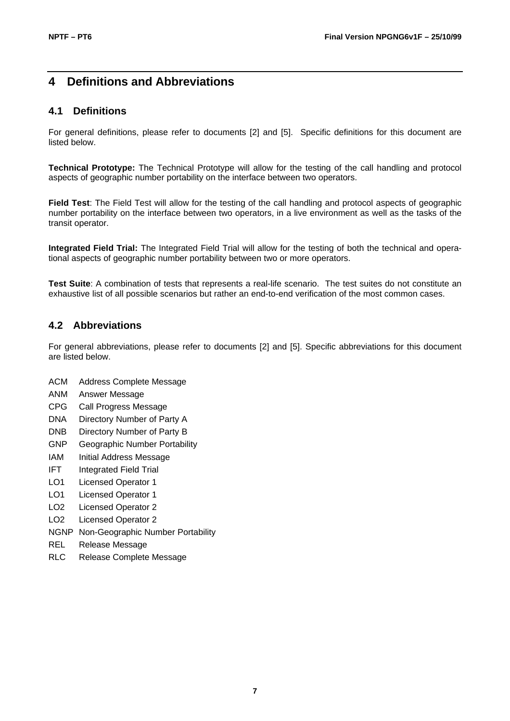# **4 Definitions and Abbreviations**

#### **4.1 Definitions**

For general definitions, please refer to documents [2] and [5]. Specific definitions for this document are listed below.

**Technical Prototype:** The Technical Prototype will allow for the testing of the call handling and protocol aspects of geographic number portability on the interface between two operators.

**Field Test**: The Field Test will allow for the testing of the call handling and protocol aspects of geographic number portability on the interface between two operators, in a live environment as well as the tasks of the transit operator.

**Integrated Field Trial:** The Integrated Field Trial will allow for the testing of both the technical and operational aspects of geographic number portability between two or more operators.

**Test Suite**: A combination of tests that represents a real-life scenario. The test suites do not constitute an exhaustive list of all possible scenarios but rather an end-to-end verification of the most common cases.

#### **4.2 Abbreviations**

For general abbreviations, please refer to documents [2] and [5]. Specific abbreviations for this document are listed below.

- ACM Address Complete Message
- ANM Answer Message
- CPG Call Progress Message
- DNA Directory Number of Party A
- DNB Directory Number of Party B
- GNP Geographic Number Portability
- IAM Initial Address Message
- IFT Integrated Field Trial
- LO1 Licensed Operator 1
- LO1 Licensed Operator 1
- LO2 Licensed Operator 2
- LO2 Licensed Operator 2
- NGNP Non-Geographic Number Portability
- REL Release Message
- RLC Release Complete Message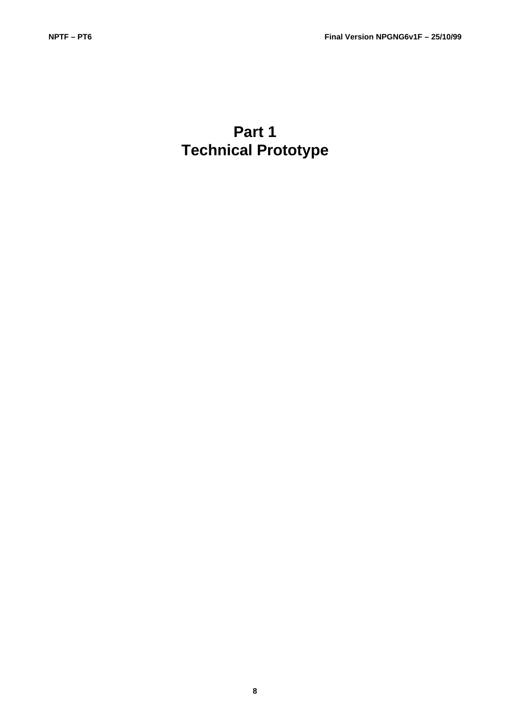# **Part 1 Technical Prototype**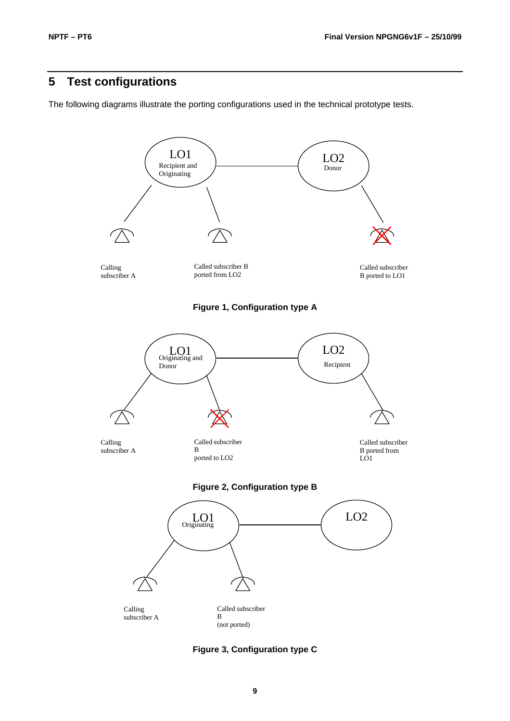# **5 Test configurations**

The following diagrams illustrate the porting configurations used in the technical prototype tests.



**Figure 3, Configuration type C**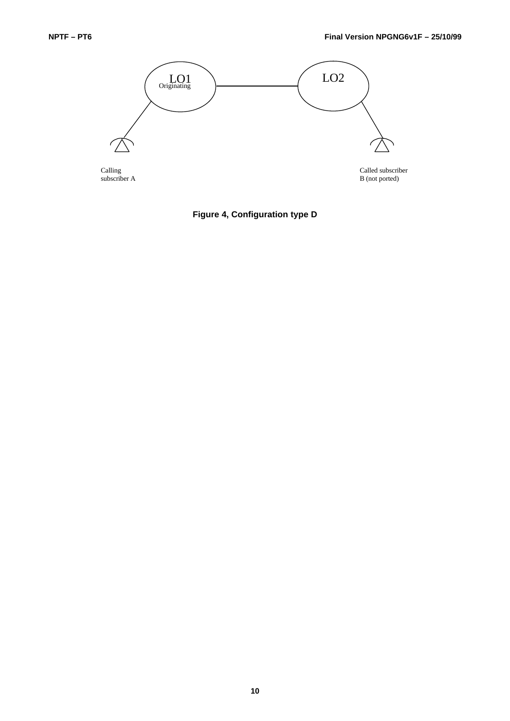

**Figure 4, Configuration type D**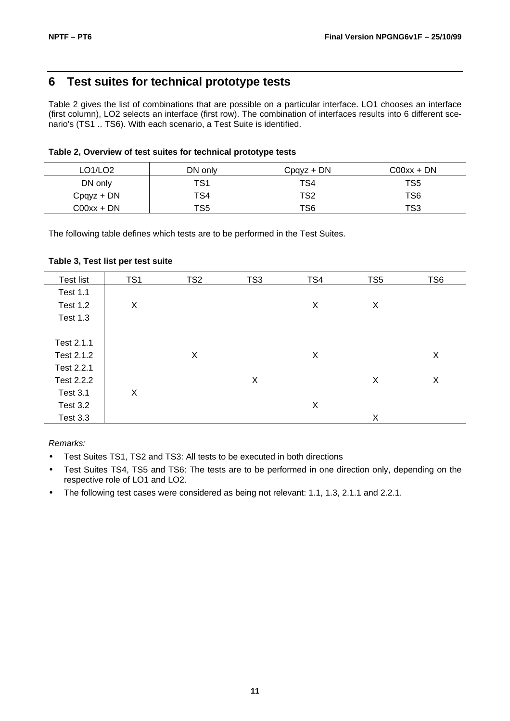### **6 Test suites for technical prototype tests**

Table 2 gives the list of combinations that are possible on a particular interface. LO1 chooses an interface (first column), LO2 selects an interface (first row). The combination of interfaces results into 6 different scenario's (TS1 .. TS6). With each scenario, a Test Suite is identified.

| Table 2, Overview of test suites for technical prototype tests |  |  |  |  |  |  |  |  |  |
|----------------------------------------------------------------|--|--|--|--|--|--|--|--|--|
|----------------------------------------------------------------|--|--|--|--|--|--|--|--|--|

| LO1/LO2       | DN only | $C$ pqyz + DN | $CO0xx + DN$ |
|---------------|---------|---------------|--------------|
| DN only       | TS1     | TS4           | TS5          |
| $C$ pqyz + DN | TS4     | TS2           | TS6          |
| C00xx + DN    | TS5     | TS6           | TS3          |

The following table defines which tests are to be performed in the Test Suites.

#### **Table 3, Test list per test suite**

| <b>Test list</b> | TS <sub>1</sub> | TS <sub>2</sub> | TS3 | TS4 | TS <sub>5</sub> | TS <sub>6</sub> |
|------------------|-----------------|-----------------|-----|-----|-----------------|-----------------|
| <b>Test 1.1</b>  |                 |                 |     |     |                 |                 |
| <b>Test 1.2</b>  | X               |                 |     | X   | X               |                 |
| <b>Test 1.3</b>  |                 |                 |     |     |                 |                 |
|                  |                 |                 |     |     |                 |                 |
| Test 2.1.1       |                 |                 |     |     |                 |                 |
| Test 2.1.2       |                 | X               |     | X   |                 | X               |
| Test 2.2.1       |                 |                 |     |     |                 |                 |
| Test 2.2.2       |                 |                 | X   |     | X               | X               |
| Test 3.1         | X               |                 |     |     |                 |                 |
| Test 3.2         |                 |                 |     | X   |                 |                 |
| <b>Test 3.3</b>  |                 |                 |     |     | X               |                 |

*Remarks:*

- Test Suites TS1, TS2 and TS3: All tests to be executed in both directions
- Test Suites TS4, TS5 and TS6: The tests are to be performed in one direction only, depending on the respective role of LO1 and LO2.
- The following test cases were considered as being not relevant: 1.1, 1.3, 2.1.1 and 2.2.1.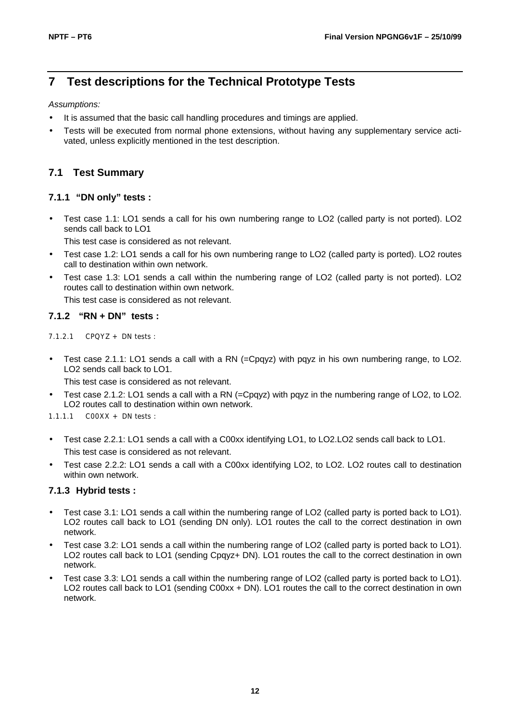# **7 Test descriptions for the Technical Prototype Tests**

*Assumptions:*

- It is assumed that the basic call handling procedures and timings are applied.
- Tests will be executed from normal phone extensions, without having any supplementary service activated, unless explicitly mentioned in the test description.

#### **7.1 Test Summary**

#### **7.1.1 "DN only" tests :**

• Test case 1.1: LO1 sends a call for his own numbering range to LO2 (called party is not ported). LO2 sends call back to LO1

This test case is considered as not relevant.

- Test case 1.2: LO1 sends a call for his own numbering range to LO2 (called party is ported). LO2 routes call to destination within own network.
- Test case 1.3: LO1 sends a call within the numbering range of LO2 (called party is not ported). LO2 routes call to destination within own network.

This test case is considered as not relevant.

#### **7.1.2 "RN + DN" tests :**

7.1.2.1 CPQYZ + DN tests :

• Test case 2.1.1: LO1 sends a call with a RN (=Cpqyz) with pqyz in his own numbering range, to LO2. LO2 sends call back to LO1.

This test case is considered as not relevant.

- Test case 2.1.2: LO1 sends a call with a RN (=Cpqyz) with pqyz in the numbering range of LO2, to LO2. LO2 routes call to destination within own network.
- 1.1.1.1 C00XX + DN tests :
- Test case 2.2.1: LO1 sends a call with a C00xx identifying LO1, to LO2.LO2 sends call back to LO1. This test case is considered as not relevant.
- Test case 2.2.2: LO1 sends a call with a C00xx identifying LO2, to LO2. LO2 routes call to destination within own network.

#### **7.1.3 Hybrid tests :**

- Test case 3.1: LO1 sends a call within the numbering range of LO2 (called party is ported back to LO1). LO2 routes call back to LO1 (sending DN only). LO1 routes the call to the correct destination in own network.
- Test case 3.2: LO1 sends a call within the numbering range of LO2 (called party is ported back to LO1). LO2 routes call back to LO1 (sending Cpqyz+ DN). LO1 routes the call to the correct destination in own network.
- Test case 3.3: LO1 sends a call within the numbering range of LO2 (called party is ported back to LO1). LO2 routes call back to LO1 (sending C00xx + DN). LO1 routes the call to the correct destination in own network.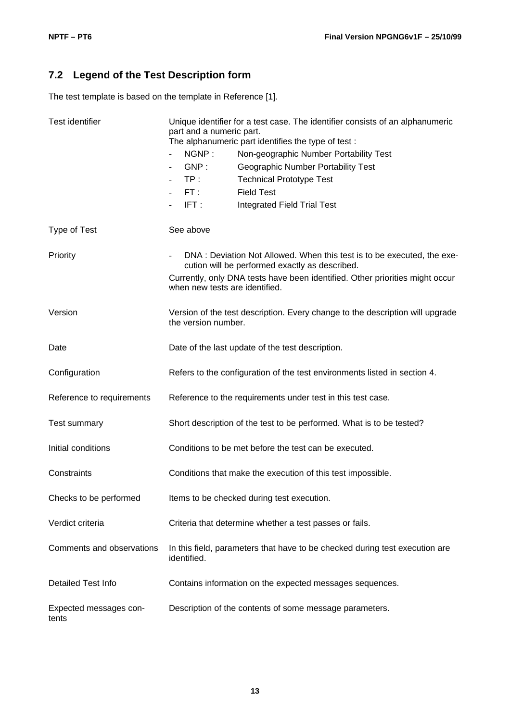# **7.2 Legend of the Test Description form**

The test template is based on the template in Reference [1].

| Test identifier                 | Unique identifier for a test case. The identifier consists of an alphanumeric<br>part and a numeric part.<br>The alphanumeric part identifies the type of test:<br>NGNP:<br>Non-geographic Number Portability Test<br>GNP:<br>Geographic Number Portability Test<br>$\blacksquare$<br>TP:<br><b>Technical Prototype Test</b><br><b>Field Test</b><br>FT:<br>$\blacksquare$<br>IFT:<br><b>Integrated Field Trial Test</b> |
|---------------------------------|--------------------------------------------------------------------------------------------------------------------------------------------------------------------------------------------------------------------------------------------------------------------------------------------------------------------------------------------------------------------------------------------------------------------------|
| Type of Test                    | See above                                                                                                                                                                                                                                                                                                                                                                                                                |
| Priority                        | DNA : Deviation Not Allowed. When this test is to be executed, the exe-<br>cution will be performed exactly as described.<br>Currently, only DNA tests have been identified. Other priorities might occur<br>when new tests are identified.                                                                                                                                                                              |
| Version                         | Version of the test description. Every change to the description will upgrade<br>the version number.                                                                                                                                                                                                                                                                                                                     |
| Date                            | Date of the last update of the test description.                                                                                                                                                                                                                                                                                                                                                                         |
| Configuration                   | Refers to the configuration of the test environments listed in section 4.                                                                                                                                                                                                                                                                                                                                                |
| Reference to requirements       | Reference to the requirements under test in this test case.                                                                                                                                                                                                                                                                                                                                                              |
| Test summary                    | Short description of the test to be performed. What is to be tested?                                                                                                                                                                                                                                                                                                                                                     |
| Initial conditions              | Conditions to be met before the test can be executed.                                                                                                                                                                                                                                                                                                                                                                    |
| Constraints                     | Conditions that make the execution of this test impossible.                                                                                                                                                                                                                                                                                                                                                              |
| Checks to be performed          | Items to be checked during test execution.                                                                                                                                                                                                                                                                                                                                                                               |
| Verdict criteria                | Criteria that determine whether a test passes or fails.                                                                                                                                                                                                                                                                                                                                                                  |
| Comments and observations       | In this field, parameters that have to be checked during test execution are<br>identified.                                                                                                                                                                                                                                                                                                                               |
| Detailed Test Info              | Contains information on the expected messages sequences.                                                                                                                                                                                                                                                                                                                                                                 |
| Expected messages con-<br>tents | Description of the contents of some message parameters.                                                                                                                                                                                                                                                                                                                                                                  |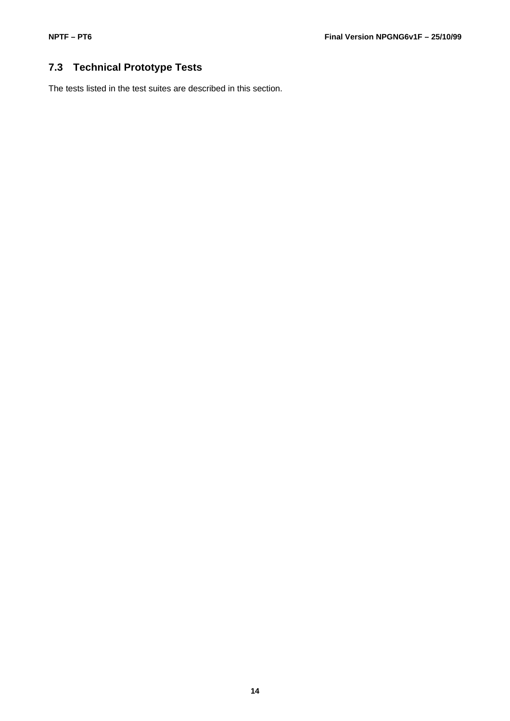# **7.3 Technical Prototype Tests**

The tests listed in the test suites are described in this section.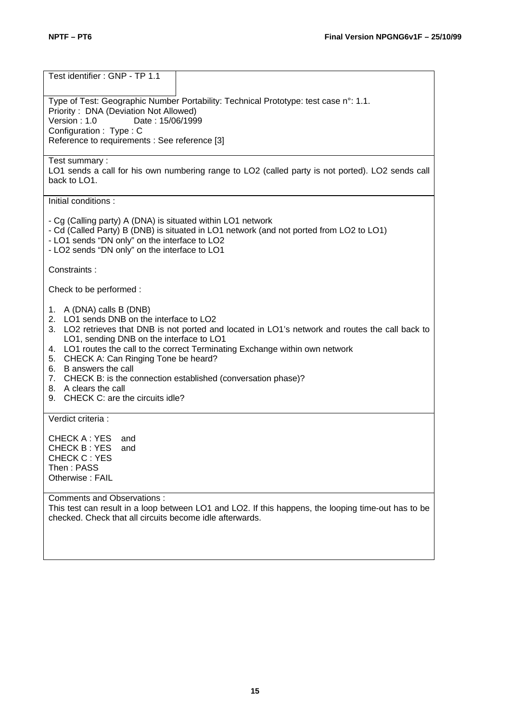| Test identifier: GNP - TP 1.1                                                                                                                                                                                                                                                                                                                                                                                                                                                                                         |
|-----------------------------------------------------------------------------------------------------------------------------------------------------------------------------------------------------------------------------------------------------------------------------------------------------------------------------------------------------------------------------------------------------------------------------------------------------------------------------------------------------------------------|
| Type of Test: Geographic Number Portability: Technical Prototype: test case n°: 1.1.<br>Priority: DNA (Deviation Not Allowed)<br>Version: 1.0<br>Date: 15/06/1999<br>Configuration: Type: C<br>Reference to requirements : See reference [3]                                                                                                                                                                                                                                                                          |
| Test summary:<br>LO1 sends a call for his own numbering range to LO2 (called party is not ported). LO2 sends call<br>back to LO1.                                                                                                                                                                                                                                                                                                                                                                                     |
| Initial conditions:                                                                                                                                                                                                                                                                                                                                                                                                                                                                                                   |
| - Cg (Calling party) A (DNA) is situated within LO1 network<br>- Cd (Called Party) B (DNB) is situated in LO1 network (and not ported from LO2 to LO1)<br>- LO1 sends "DN only" on the interface to LO2<br>- LO2 sends "DN only" on the interface to LO1                                                                                                                                                                                                                                                              |
| Constraints:                                                                                                                                                                                                                                                                                                                                                                                                                                                                                                          |
| Check to be performed:                                                                                                                                                                                                                                                                                                                                                                                                                                                                                                |
| 1. A (DNA) calls B (DNB)<br>2. LO1 sends DNB on the interface to LO2<br>3.<br>LO2 retrieves that DNB is not ported and located in LO1's network and routes the call back to<br>LO1, sending DNB on the interface to LO1<br>LO1 routes the call to the correct Terminating Exchange within own network<br>4.<br>CHECK A: Can Ringing Tone be heard?<br>5.<br>B answers the call<br>6.<br>7. CHECK B: is the connection established (conversation phase)?<br>8. A clears the call<br>9. CHECK C: are the circuits idle? |
| Verdict criteria :                                                                                                                                                                                                                                                                                                                                                                                                                                                                                                    |
| <b>CHECK A: YES</b><br>and<br>CHECK B: YES<br>and<br><b>CHECK C: YES</b><br>Then: PASS<br>Otherwise: FAIL                                                                                                                                                                                                                                                                                                                                                                                                             |
| <b>Comments and Observations:</b><br>This test can result in a loop between LO1 and LO2. If this happens, the looping time-out has to be<br>checked. Check that all circuits become idle afterwards.                                                                                                                                                                                                                                                                                                                  |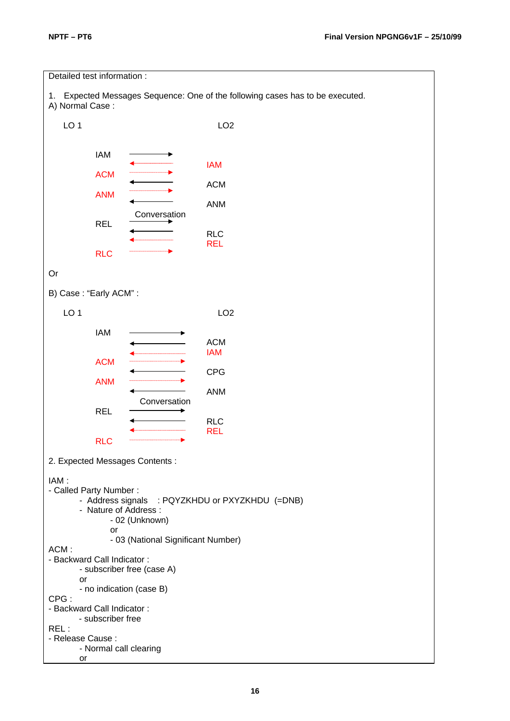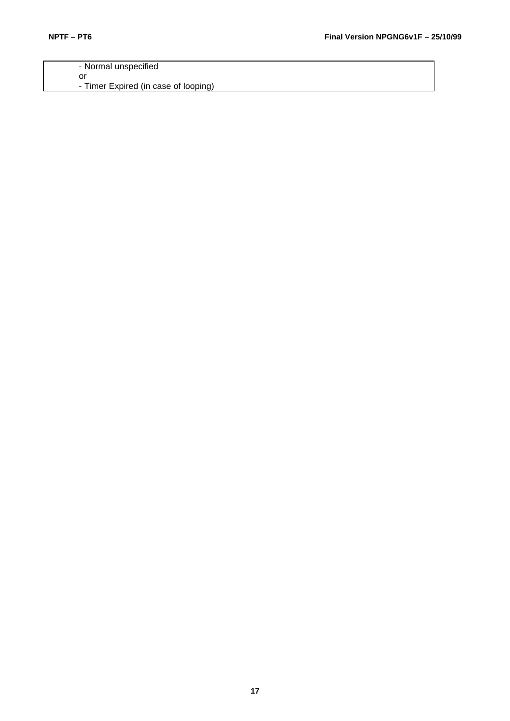- Normal unspecified or - Timer Expired (in case of looping)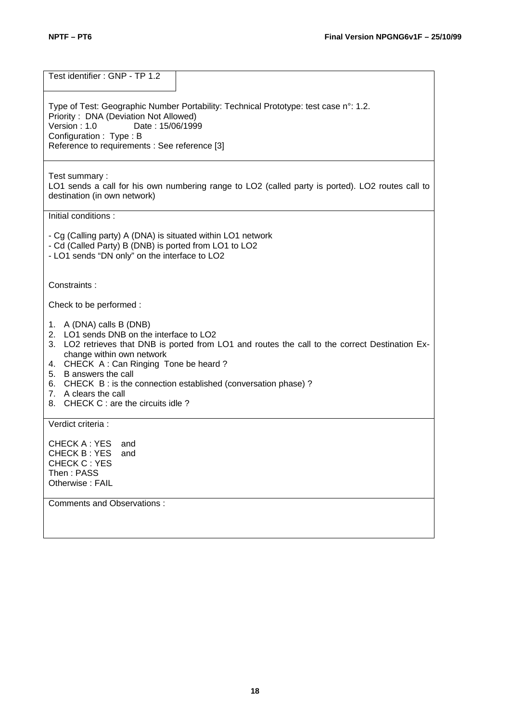Test identifier : GNP - TP 1.2 Type of Test: Geographic Number Portability: Technical Prototype: test case n°: 1.2. Priority : DNA (Deviation Not Allowed)<br>Version : 1.0 Date : 15/06/199 Date: 15/06/1999 Configuration : Type : B Reference to requirements : See reference [3] Test summary : LO1 sends a call for his own numbering range to LO2 (called party is ported). LO2 routes call to destination (in own network) Initial conditions : - Cg (Calling party) A (DNA) is situated within LO1 network - Cd (Called Party) B (DNB) is ported from LO1 to LO2 - LO1 sends "DN only" on the interface to LO2 Constraints : Check to be performed : 1. A (DNA) calls B (DNB) 2. LO1 sends DNB on the interface to LO2 3. LO2 retrieves that DNB is ported from LO1 and routes the call to the correct Destination Exchange within own network 4. CHECK A : Can Ringing Tone be heard ? 5. B answers the call 6. CHECK B : is the connection established (conversation phase) ? 7. A clears the call 8. CHECK C : are the circuits idle ? Verdict criteria : CHECK A : YES and CHECK B : YES and CHECK C : YES Then : PASS Otherwise : FAIL Comments and Observations :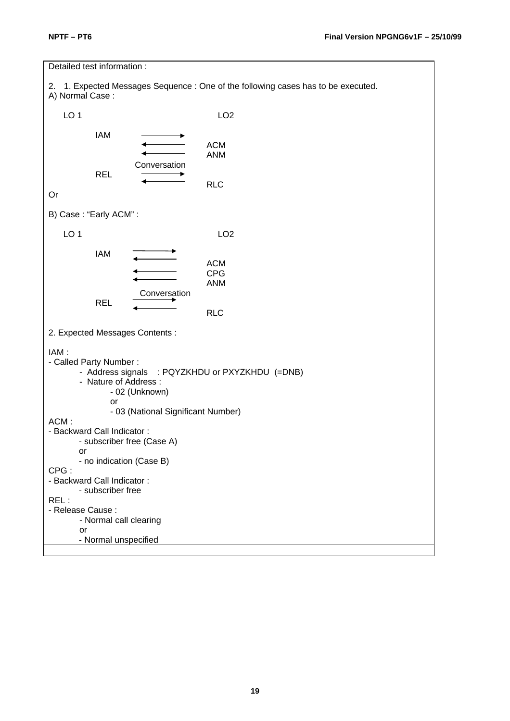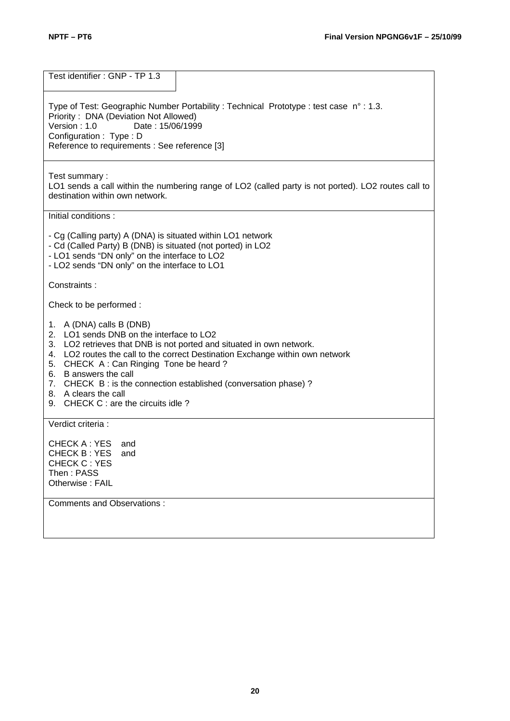Test identifier : GNP - TP 1.3 Type of Test: Geographic Number Portability : Technical Prototype : test case n° : 1.3. Priority: DNA (Deviation Not Allowed)<br>Version: 1.0 Date: 15/06/199 Date: 15/06/1999 Configuration : Type : D Reference to requirements : See reference [3] Test summary : LO1 sends a call within the numbering range of LO2 (called party is not ported). LO2 routes call to destination within own network. Initial conditions : - Cg (Calling party) A (DNA) is situated within LO1 network - Cd (Called Party) B (DNB) is situated (not ported) in LO2 - LO1 sends "DN only" on the interface to LO2 - LO2 sends "DN only" on the interface to LO1 Constraints : Check to be performed : 1. A (DNA) calls B (DNB) 2. LO1 sends DNB on the interface to LO2 3. LO2 retrieves that DNB is not ported and situated in own network. 4. LO2 routes the call to the correct Destination Exchange within own network 5. CHECK A : Can Ringing Tone be heard ? 6. B answers the call 7. CHECK B : is the connection established (conversation phase) ? 8. A clears the call 9. CHECK C : are the circuits idle ? Verdict criteria : CHECK A : YES and CHECK B : YES and CHECK C : YES Then : PASS Otherwise : FAIL Comments and Observations :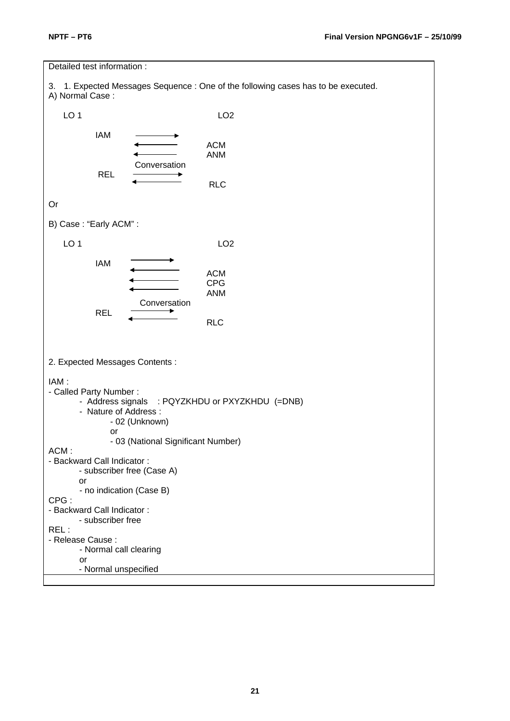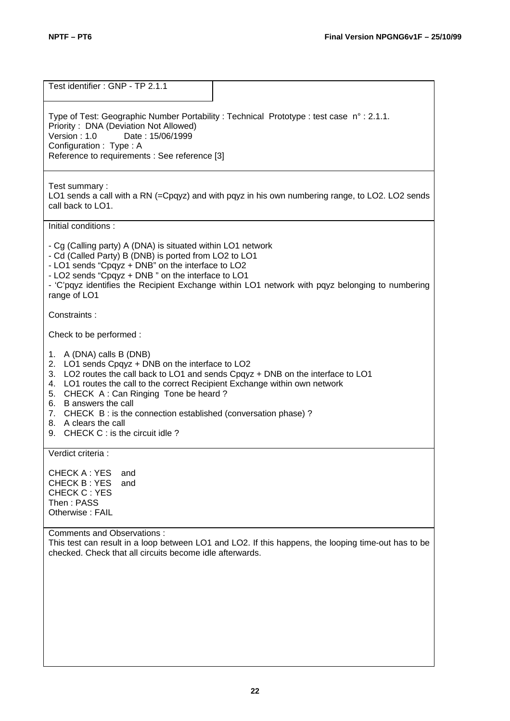| Test identifier: GNP - TP 2.1.1                                                                                                                                                                                                                                                                                                                                                                                                                                   |
|-------------------------------------------------------------------------------------------------------------------------------------------------------------------------------------------------------------------------------------------------------------------------------------------------------------------------------------------------------------------------------------------------------------------------------------------------------------------|
| Type of Test: Geographic Number Portability : Technical Prototype : test case n° : 2.1.1.<br>Priority: DNA (Deviation Not Allowed)<br>Version: 1.0<br>Date: 15/06/1999<br>Configuration: Type: A<br>Reference to requirements : See reference [3]                                                                                                                                                                                                                 |
| Test summary:<br>LO1 sends a call with a RN (=Cpqyz) and with pqyz in his own numbering range, to LO2. LO2 sends<br>call back to LO1.                                                                                                                                                                                                                                                                                                                             |
| Initial conditions:                                                                                                                                                                                                                                                                                                                                                                                                                                               |
| - Cg (Calling party) A (DNA) is situated within LO1 network<br>- Cd (Called Party) B (DNB) is ported from LO2 to LO1<br>- LO1 sends "Cpqyz + DNB" on the interface to LO2<br>- LO2 sends "Cpqyz + DNB" on the interface to LO1<br>- 'C'pqyz identifies the Recipient Exchange within LO1 network with pqyz belonging to numbering<br>range of LO1                                                                                                                 |
| Constraints:                                                                                                                                                                                                                                                                                                                                                                                                                                                      |
| Check to be performed :                                                                                                                                                                                                                                                                                                                                                                                                                                           |
| A (DNA) calls B (DNB)<br>1.<br>2.<br>LO1 sends Cpqyz + DNB on the interface to LO2<br>LO2 routes the call back to LO1 and sends Cpqyz + DNB on the interface to LO1<br>3.<br>LO1 routes the call to the correct Recipient Exchange within own network<br>4.<br>5. CHECK A: Can Ringing Tone be heard?<br>B answers the call<br>6.<br>7. CHECK B: is the connection established (conversation phase)?<br>8. A clears the call<br>9. CHECK C : is the circuit idle? |
| Verdict criteria :                                                                                                                                                                                                                                                                                                                                                                                                                                                |
| <b>CHECK A: YES</b><br>and<br><b>CHECK B: YES</b><br>and<br><b>CHECK C: YES</b><br>Then: PASS<br>Otherwise: FAIL                                                                                                                                                                                                                                                                                                                                                  |
| Comments and Observations :<br>This test can result in a loop between LO1 and LO2. If this happens, the looping time-out has to be<br>checked. Check that all circuits become idle afterwards.                                                                                                                                                                                                                                                                    |
|                                                                                                                                                                                                                                                                                                                                                                                                                                                                   |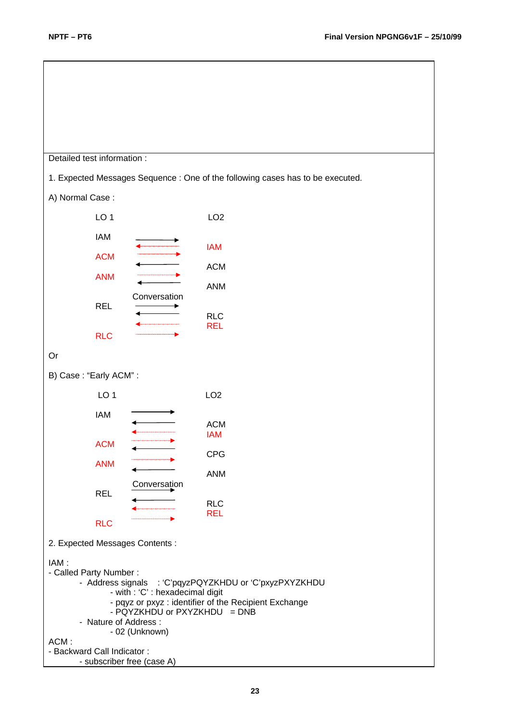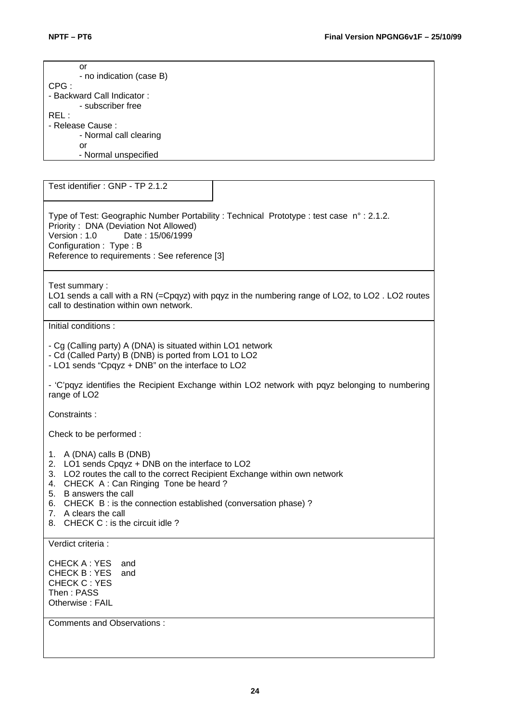| or<br>- no indication (case B)                                                                                                                                                                                                                                                                                                                                                |
|-------------------------------------------------------------------------------------------------------------------------------------------------------------------------------------------------------------------------------------------------------------------------------------------------------------------------------------------------------------------------------|
| CPG:<br>- Backward Call Indicator:<br>- subscriber free                                                                                                                                                                                                                                                                                                                       |
| REL:<br>- Release Cause :<br>- Normal call clearing<br>or                                                                                                                                                                                                                                                                                                                     |
| - Normal unspecified                                                                                                                                                                                                                                                                                                                                                          |
| Test identifier: GNP - TP 2.1.2                                                                                                                                                                                                                                                                                                                                               |
| Type of Test: Geographic Number Portability : Technical Prototype : test case n° : 2.1.2.<br>Priority: DNA (Deviation Not Allowed)<br>Version: 1.0<br>Date: 15/06/1999<br>Configuration: Type: B<br>Reference to requirements : See reference [3]                                                                                                                             |
|                                                                                                                                                                                                                                                                                                                                                                               |
| Test summary:<br>LO1 sends a call with a RN (=Cpqyz) with pqyz in the numbering range of LO2, to LO2. LO2 routes<br>call to destination within own network.                                                                                                                                                                                                                   |
| Initial conditions:                                                                                                                                                                                                                                                                                                                                                           |
| - Cg (Calling party) A (DNA) is situated within LO1 network<br>- Cd (Called Party) B (DNB) is ported from LO1 to LO2<br>- LO1 sends "Cpqyz + DNB" on the interface to LO2                                                                                                                                                                                                     |
| - 'C'pqyz identifies the Recipient Exchange within LO2 network with pqyz belonging to numbering<br>range of LO2                                                                                                                                                                                                                                                               |
| Constraints:                                                                                                                                                                                                                                                                                                                                                                  |
| Check to be performed :                                                                                                                                                                                                                                                                                                                                                       |
| A (DNA) calls B (DNB)<br>1.<br>LO1 sends Cpqyz + DNB on the interface to LO2<br>2.<br>LO2 routes the call to the correct Recipient Exchange within own network<br>3.<br>CHECK A: Can Ringing Tone be heard?<br>4.<br>B answers the call<br>5.<br>6. CHECK B: is the connection established (conversation phase)?<br>7. A clears the call<br>8. CHECK C : is the circuit idle? |
| Verdict criteria :                                                                                                                                                                                                                                                                                                                                                            |
| CHECK A: YES<br>and<br>CHECK B: YES<br>and<br><b>CHECK C: YES</b><br>Then: PASS<br>Otherwise: FAIL                                                                                                                                                                                                                                                                            |
| Comments and Observations:                                                                                                                                                                                                                                                                                                                                                    |
|                                                                                                                                                                                                                                                                                                                                                                               |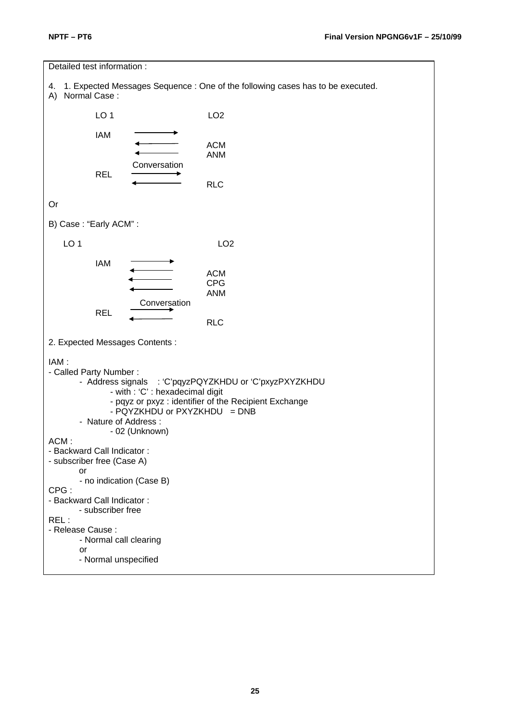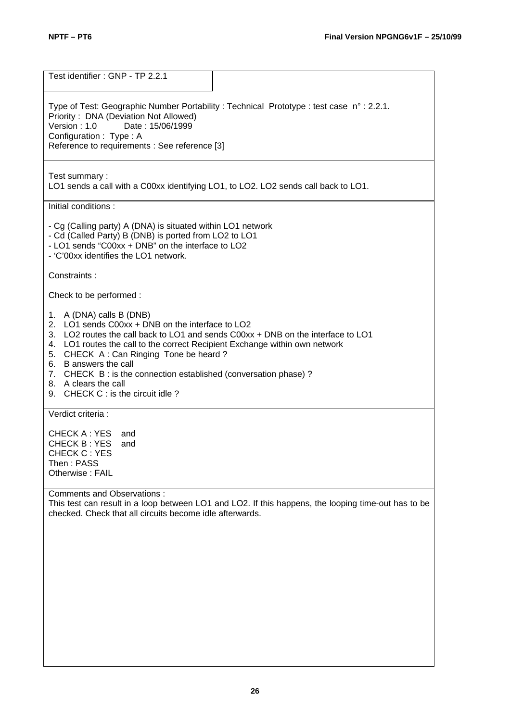Test identifier : GNP - TP 2.2.1 Type of Test: Geographic Number Portability : Technical Prototype : test case n° : 2.2.1. Priority : DNA (Deviation Not Allowed)<br>Version : 1.0 Date : 15/06/1999 Date: 15/06/1999 Configuration : Type : A Reference to requirements : See reference [3] Test summary : LO1 sends a call with a C00xx identifying LO1, to LO2. LO2 sends call back to LO1. Initial conditions : - Cg (Calling party) A (DNA) is situated within LO1 network - Cd (Called Party) B (DNB) is ported from LO2 to LO1 - LO1 sends "C00xx + DNB" on the interface to LO2 - 'C'00xx identifies the LO1 network. Constraints : Check to be performed : 1. A (DNA) calls B (DNB) 2. LO1 sends C00xx + DNB on the interface to LO2 3. LO2 routes the call back to LO1 and sends C00xx + DNB on the interface to LO1 4. LO1 routes the call to the correct Recipient Exchange within own network 5. CHECK A : Can Ringing Tone be heard ? 6. B answers the call 7. CHECK B : is the connection established (conversation phase) ? 8. A clears the call 9. CHECK C : is the circuit idle ? Verdict criteria : CHECK A : YES and CHECK B : YES and CHECK C : YES Then : PASS Otherwise : FAIL Comments and Observations : This test can result in a loop between LO1 and LO2. If this happens, the looping time-out has to be checked. Check that all circuits become idle afterwards.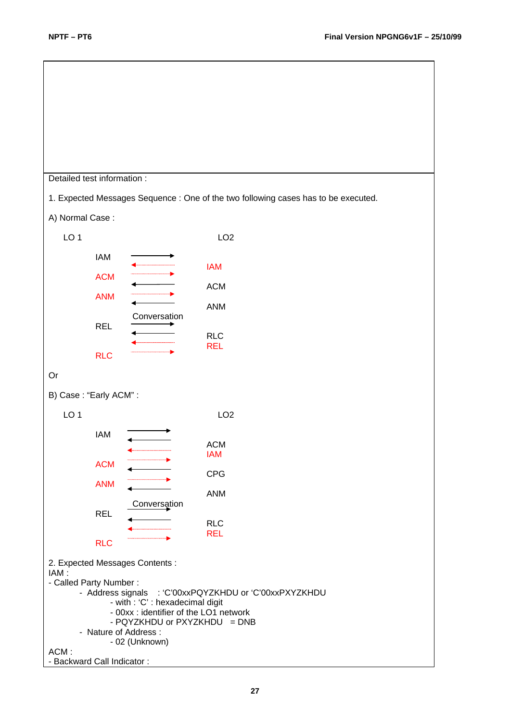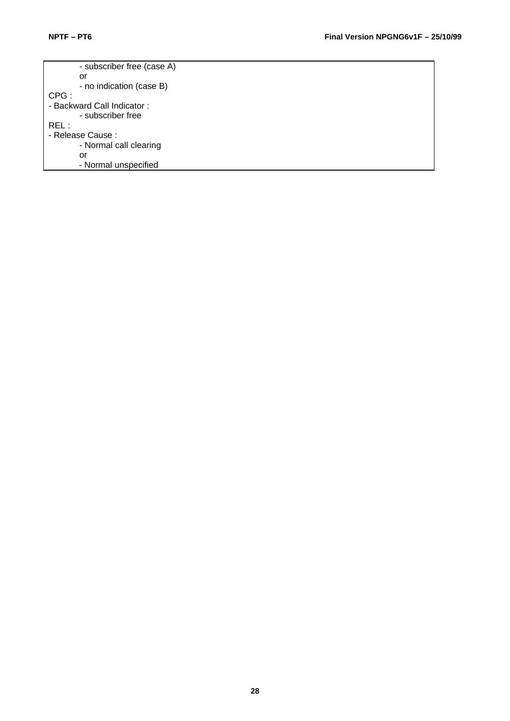- subscriber free (case A) or - no indication (case B) CPG : - Backward Call Indicator : - subscriber free REL : - Release Cause : - Normal call clearing or - Normal unspecified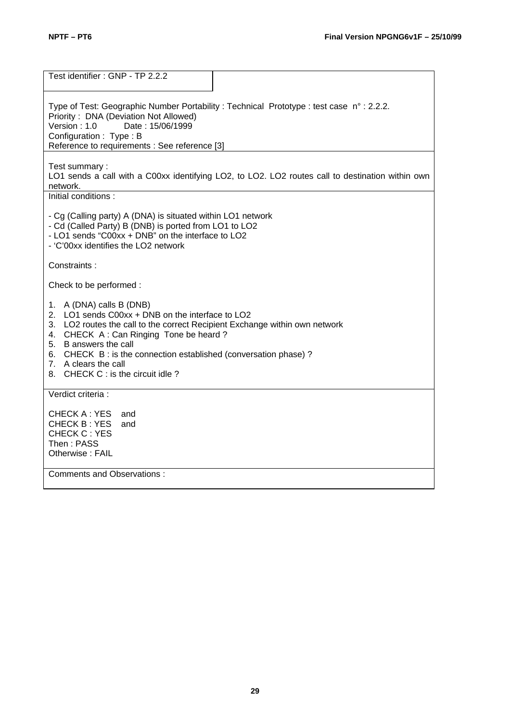| Test identifier: GNP - TP 2.2.2                                                                                                                                                                                                                                                                                                                                |
|----------------------------------------------------------------------------------------------------------------------------------------------------------------------------------------------------------------------------------------------------------------------------------------------------------------------------------------------------------------|
| Type of Test: Geographic Number Portability : Technical Prototype : test case n° : 2.2.2.<br>Priority: DNA (Deviation Not Allowed)<br>Date: 15/06/1999<br>Version : 1.0<br>Configuration: Type: B<br>Reference to requirements : See reference [3]                                                                                                             |
| Test summary:<br>LO1 sends a call with a C00xx identifying LO2, to LO2. LO2 routes call to destination within own<br>network.                                                                                                                                                                                                                                  |
| Initial conditions:                                                                                                                                                                                                                                                                                                                                            |
| - Cg (Calling party) A (DNA) is situated within LO1 network<br>- Cd (Called Party) B (DNB) is ported from LO1 to LO2<br>- LO1 sends "C00xx + DNB" on the interface to LO2<br>- 'C'00xx identifies the LO2 network                                                                                                                                              |
| Constraints:                                                                                                                                                                                                                                                                                                                                                   |
| Check to be performed:                                                                                                                                                                                                                                                                                                                                         |
| 1. A (DNA) calls B (DNB)<br>2. LO1 sends C00xx + DNB on the interface to LO2<br>3. LO2 routes the call to the correct Recipient Exchange within own network<br>4. CHECK A: Can Ringing Tone be heard?<br>5. B answers the call<br>6. CHECK B: is the connection established (conversation phase)?<br>7. A clears the call<br>8. CHECK C : is the circuit idle? |
| Verdict criteria :                                                                                                                                                                                                                                                                                                                                             |
| CHECK A : YES<br>and<br><b>CHECK B: YES</b><br>and<br><b>CHECK C: YES</b><br>Then : PASS<br>Otherwise: FAIL                                                                                                                                                                                                                                                    |
| <b>Comments and Observations:</b>                                                                                                                                                                                                                                                                                                                              |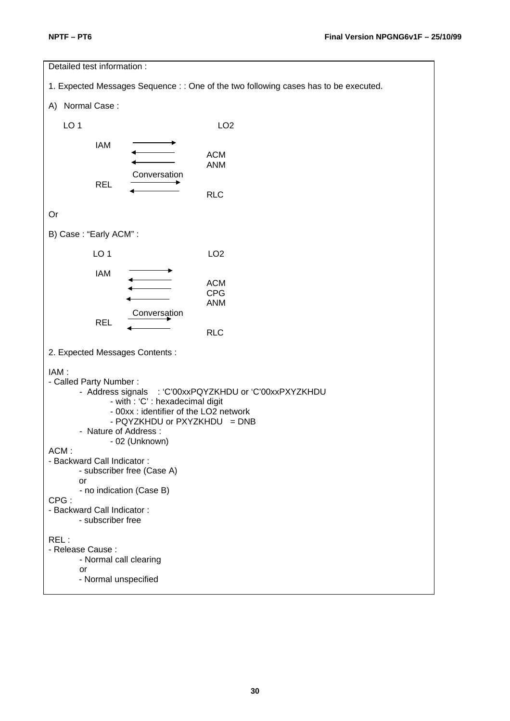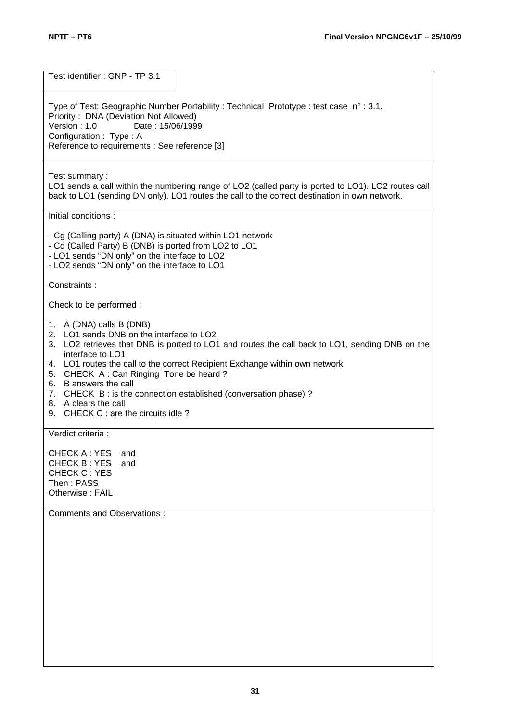Test identifier : GNP - TP 3.1 Type of Test: Geographic Number Portability : Technical Prototype : test case n° : 3.1. Priority: DNA (Deviation Not Allowed)<br>Version: 1.0 Date: 15/06/199 Date: 15/06/1999 Configuration : Type : A Reference to requirements : See reference [3] Test summary : LO1 sends a call within the numbering range of LO2 (called party is ported to LO1). LO2 routes call back to LO1 (sending DN only). LO1 routes the call to the correct destination in own network. Initial conditions : - Cg (Calling party) A (DNA) is situated within LO1 network - Cd (Called Party) B (DNB) is ported from LO2 to LO1 - LO1 sends "DN only" on the interface to LO2 - LO2 sends "DN only" on the interface to LO1 Constraints : Check to be performed : 1. A (DNA) calls B (DNB) 2. LO1 sends DNB on the interface to LO2 3. LO2 retrieves that DNB is ported to LO1 and routes the call back to LO1, sending DNB on the interface to LO1 4. LO1 routes the call to the correct Recipient Exchange within own network 5. CHECK A : Can Ringing Tone be heard ? 6. B answers the call 7. CHECK B : is the connection established (conversation phase) ? 8. A clears the call 9. CHECK C : are the circuits idle ? Verdict criteria : CHECK A : YES and CHECK B : YES and CHECK C : YES Then : PASS Otherwise : FAIL Comments and Observations :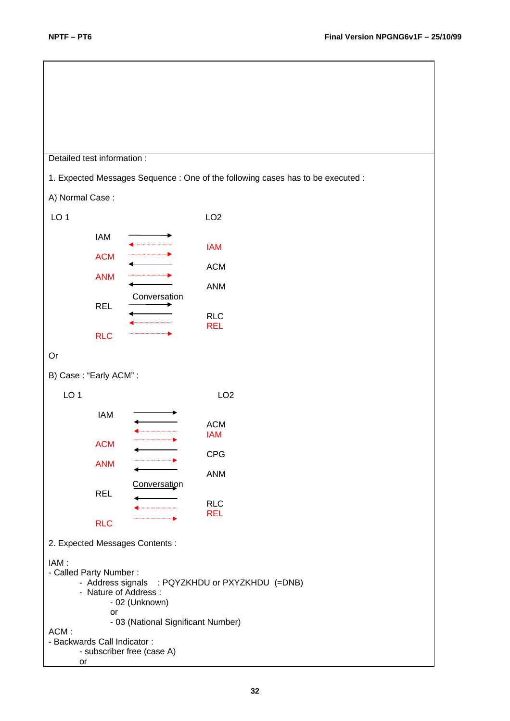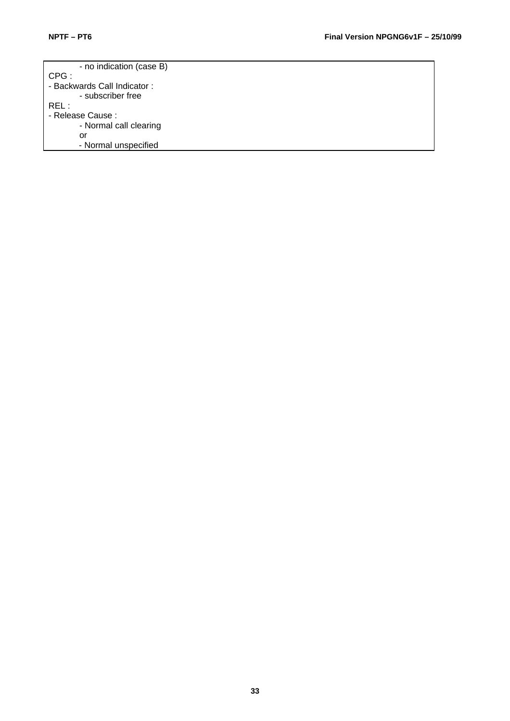| - no indication (case B)    |
|-----------------------------|
| CPG:                        |
| - Backwards Call Indicator: |
| - subscriber free           |
| REL :                       |
| - Release Cause :           |
| - Normal call clearing      |
| nr                          |
| - Normal unspecified        |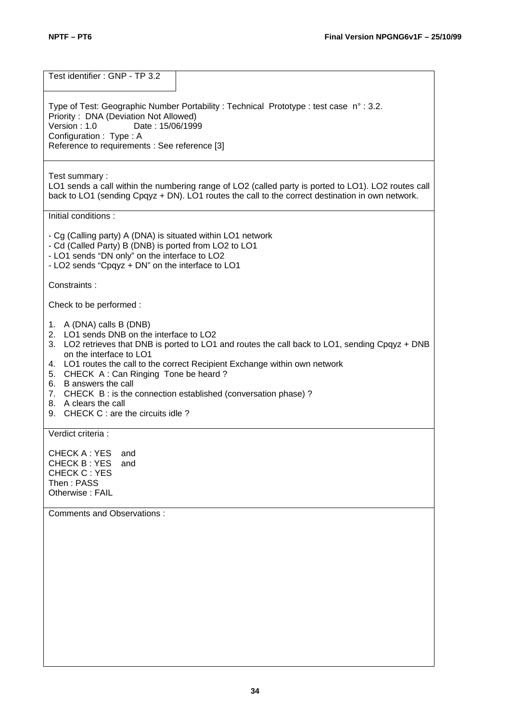Test identifier : GNP - TP 3.2 Type of Test: Geographic Number Portability : Technical Prototype : test case n° : 3.2. Priority: DNA (Deviation Not Allowed)<br>Version: 1.0 Date: 15/06/199 Date: 15/06/1999 Configuration : Type : A Reference to requirements : See reference [3] Test summary : LO1 sends a call within the numbering range of LO2 (called party is ported to LO1). LO2 routes call back to LO1 (sending Cpqyz + DN). LO1 routes the call to the correct destination in own network. Initial conditions : - Cg (Calling party) A (DNA) is situated within LO1 network - Cd (Called Party) B (DNB) is ported from LO2 to LO1 - LO1 sends "DN only" on the interface to LO2 - LO2 sends "Cpqyz + DN" on the interface to LO1 Constraints : Check to be performed : 1. A (DNA) calls B (DNB) 2. LO1 sends DNB on the interface to LO2 3. LO2 retrieves that DNB is ported to LO1 and routes the call back to LO1, sending Cpqyz + DNB on the interface to LO1 4. LO1 routes the call to the correct Recipient Exchange within own network 5. CHECK A : Can Ringing Tone be heard ? 6. B answers the call 7. CHECK B : is the connection established (conversation phase) ? 8. A clears the call 9. CHECK C : are the circuits idle ? Verdict criteria : CHECK A : YES and CHECK B : YES and CHECK C : YES Then : PASS Otherwise : FAIL Comments and Observations :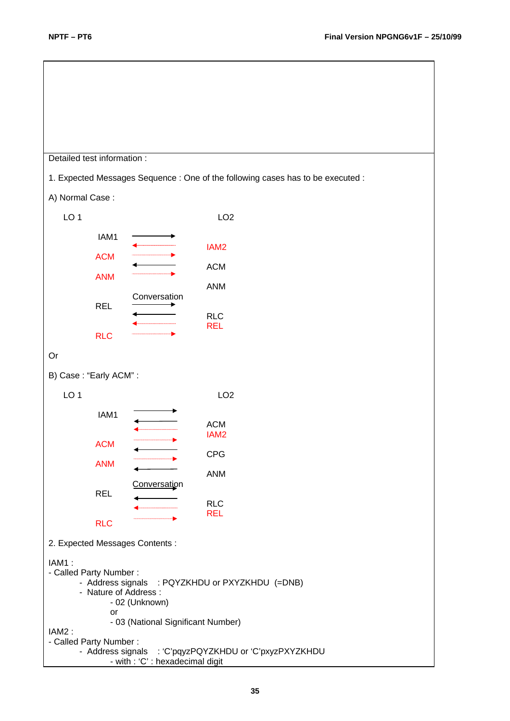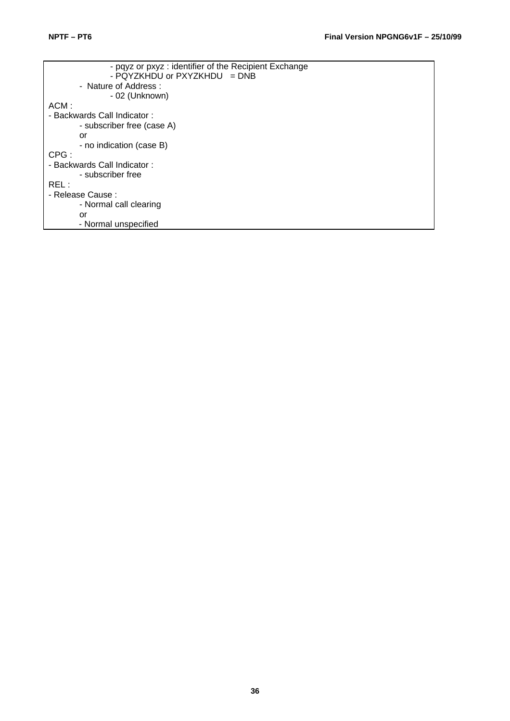| - pqyz or pxyz : identifier of the Recipient Exchange |
|-------------------------------------------------------|
| - PQYZKHDU or PXYZKHDU = DNB                          |
| - Nature of Address:                                  |
| - 02 (Unknown)                                        |
| ACM:                                                  |
| - Backwards Call Indicator :                          |
| - subscriber free (case A)                            |
| or                                                    |
| - no indication (case B)                              |
| CPG:                                                  |
| - Backwards Call Indicator:                           |
| - subscriber free                                     |
| REL :                                                 |
| - Release Cause :                                     |
| - Normal call clearing                                |
| or                                                    |
| - Normal unspecified                                  |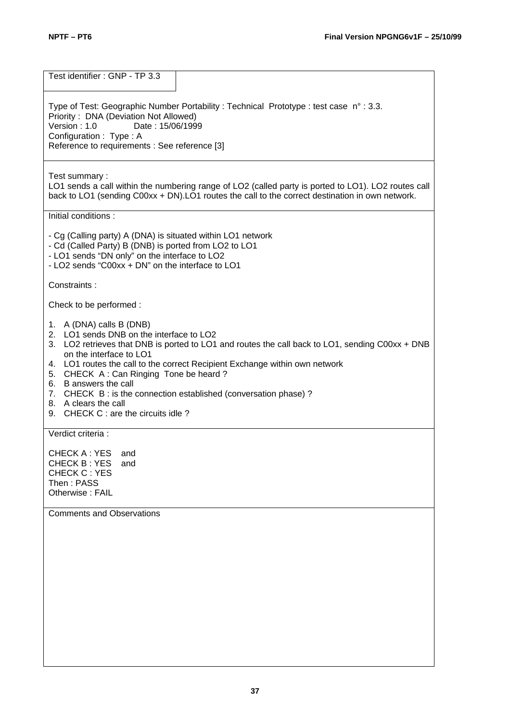Test identifier : GNP - TP 3.3 Type of Test: Geographic Number Portability : Technical Prototype : test case n° : 3.3. Priority: DNA (Deviation Not Allowed)<br>Version: 1.0 Date: 15/06/199 Date: 15/06/1999 Configuration : Type : A Reference to requirements : See reference [3] Test summary : LO1 sends a call within the numbering range of LO2 (called party is ported to LO1). LO2 routes call back to LO1 (sending C00xx + DN).LO1 routes the call to the correct destination in own network. Initial conditions : - Cg (Calling party) A (DNA) is situated within LO1 network - Cd (Called Party) B (DNB) is ported from LO2 to LO1 - LO1 sends "DN only" on the interface to LO2 - LO2 sends "C00xx + DN" on the interface to LO1 Constraints : Check to be performed : 1. A (DNA) calls B (DNB) 2. LO1 sends DNB on the interface to LO2 3. LO2 retrieves that DNB is ported to LO1 and routes the call back to LO1, sending C00xx + DNB on the interface to LO1 4. LO1 routes the call to the correct Recipient Exchange within own network 5. CHECK A : Can Ringing Tone be heard ? 6. B answers the call 7. CHECK B : is the connection established (conversation phase) ? 8. A clears the call 9. CHECK C : are the circuits idle ? Verdict criteria : CHECK A : YES and CHECK B : YES and CHECK C : YES Then : PASS Otherwise : FAIL Comments and Observations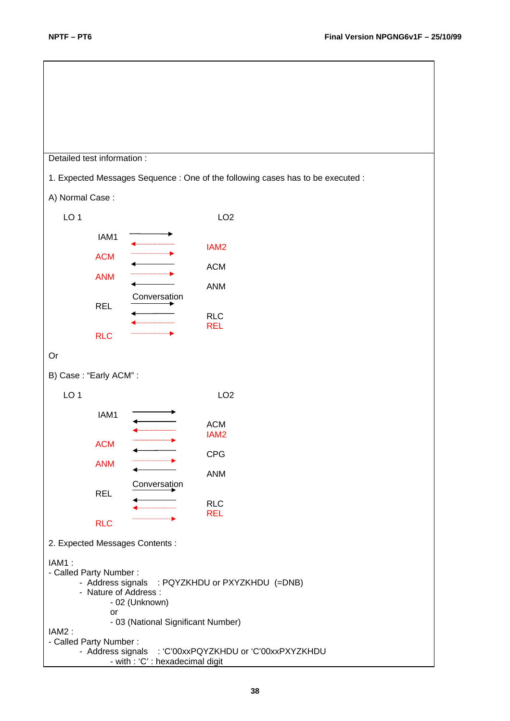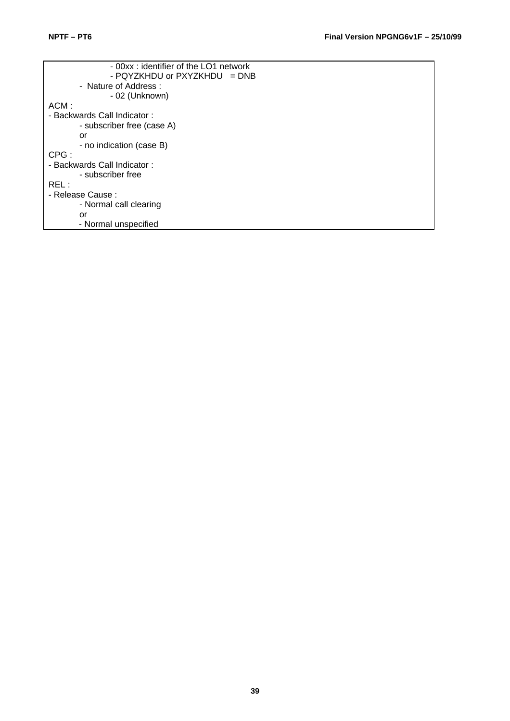| - 00xx : identifier of the LO1 network |
|----------------------------------------|
| - PQYZKHDU or $PXYZKHDU = DNB$         |
| - Nature of Address :                  |
| - 02 (Unknown)                         |
| ACM:                                   |
| - Backwards Call Indicator :           |
| - subscriber free (case A)             |
| or                                     |
| - no indication (case B)               |
| CPG:                                   |
| - Backwards Call Indicator:            |
| - subscriber free                      |
| REL :                                  |
| - Release Cause :                      |
| - Normal call clearing                 |
| or                                     |
| - Normal unspecified                   |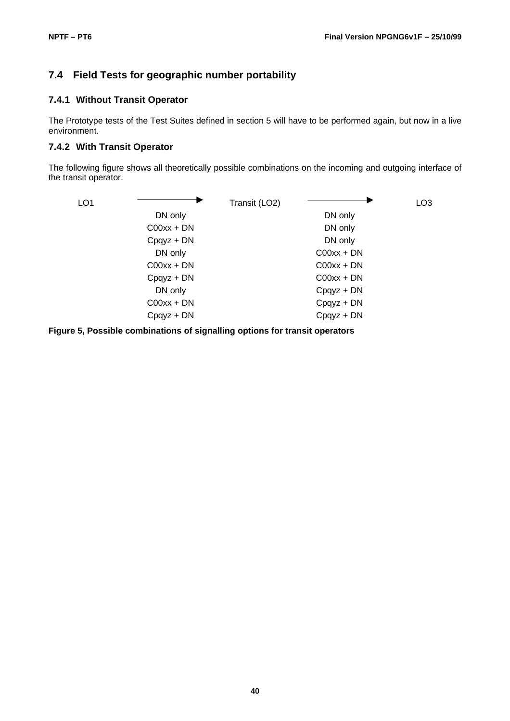#### **7.4 Field Tests for geographic number portability**

#### **7.4.1 Without Transit Operator**

The Prototype tests of the Test Suites defined in section 5 will have to be performed again, but now in a live environment.

#### **7.4.2 With Transit Operator**

The following figure shows all theoretically possible combinations on the incoming and outgoing interface of the transit operator.



**Figure 5, Possible combinations of signalling options for transit operators**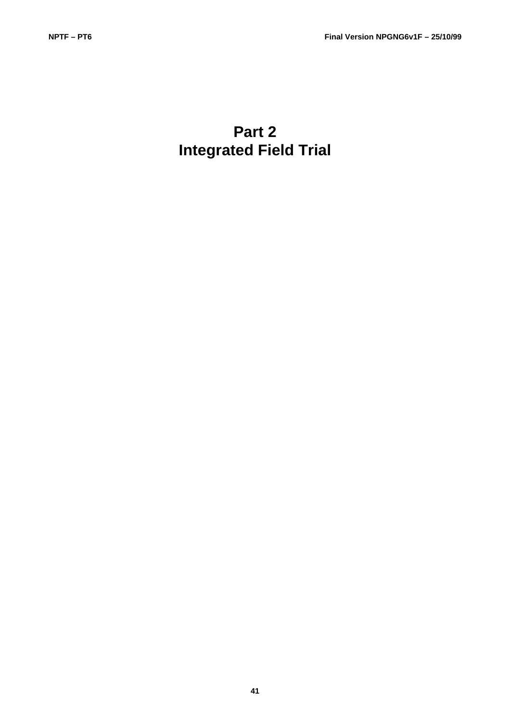# **Part 2 Integrated Field Trial**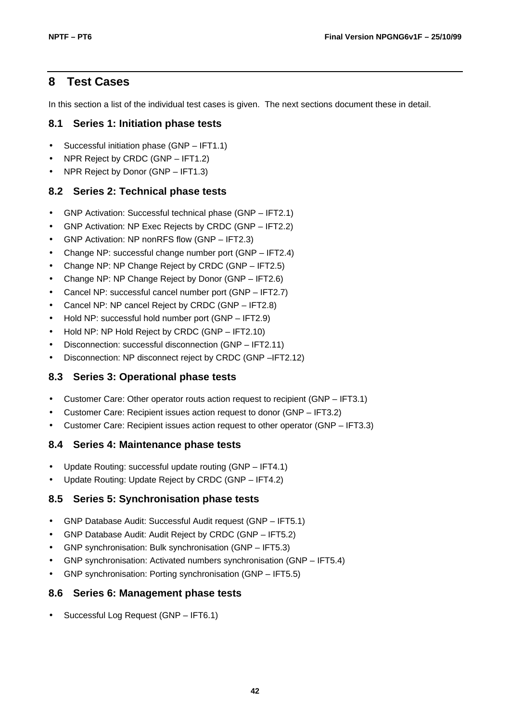# **8 Test Cases**

In this section a list of the individual test cases is given. The next sections document these in detail.

#### **8.1 Series 1: Initiation phase tests**

- Successful initiation phase (GNP IFT1.1)
- NPR Reject by CRDC (GNP IFT1.2)
- NPR Reject by Donor (GNP IFT1.3)

#### **8.2 Series 2: Technical phase tests**

- GNP Activation: Successful technical phase (GNP IFT2.1)
- GNP Activation: NP Exec Rejects by CRDC (GNP IFT2.2)
- GNP Activation: NP nonRFS flow (GNP IFT2.3)
- Change NP: successful change number port (GNP IFT2.4)
- Change NP: NP Change Reject by CRDC (GNP IFT2.5)
- Change NP: NP Change Reject by Donor (GNP IFT2.6)
- Cancel NP: successful cancel number port (GNP IFT2.7)
- Cancel NP: NP cancel Reject by CRDC (GNP IFT2.8)
- Hold NP: successful hold number port (GNP IFT2.9)
- Hold NP: NP Hold Reject by CRDC (GNP IFT2.10)
- Disconnection: successful disconnection (GNP IFT2.11)
- Disconnection: NP disconnect reject by CRDC (GNP –IFT2.12)

#### **8.3 Series 3: Operational phase tests**

- Customer Care: Other operator routs action request to recipient (GNP IFT3.1)
- Customer Care: Recipient issues action request to donor (GNP IFT3.2)
- Customer Care: Recipient issues action request to other operator (GNP IFT3.3)

#### **8.4 Series 4: Maintenance phase tests**

- Update Routing: successful update routing (GNP IFT4.1)
- Update Routing: Update Reject by CRDC (GNP IFT4.2)

#### **8.5 Series 5: Synchronisation phase tests**

- GNP Database Audit: Successful Audit request (GNP IFT5.1)
- GNP Database Audit: Audit Reject by CRDC (GNP IFT5.2)
- GNP synchronisation: Bulk synchronisation (GNP IFT5.3)
- GNP synchronisation: Activated numbers synchronisation (GNP IFT5.4)
- GNP synchronisation: Porting synchronisation (GNP IFT5.5)

#### **8.6 Series 6: Management phase tests**

• Successful Log Request (GNP – IFT6.1)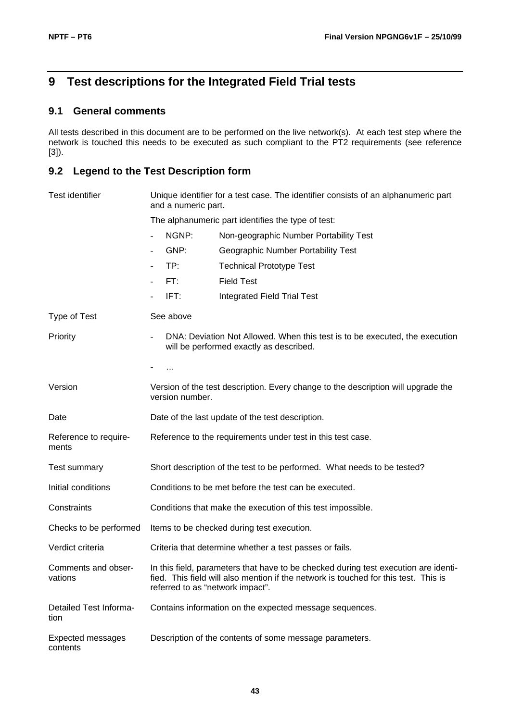# **9 Test descriptions for the Integrated Field Trial tests**

#### **9.1 General comments**

All tests described in this document are to be performed on the live network(s). At each test step where the network is touched this needs to be executed as such compliant to the PT2 requirements (see reference [3]).

# **9.2 Legend to the Test Description form**

| <b>Test identifier</b>               | and a numeric part. | Unique identifier for a test case. The identifier consists of an alphanumeric part                                                                                                                             |
|--------------------------------------|---------------------|----------------------------------------------------------------------------------------------------------------------------------------------------------------------------------------------------------------|
|                                      |                     | The alphanumeric part identifies the type of test:                                                                                                                                                             |
|                                      | NGNP:               | Non-geographic Number Portability Test                                                                                                                                                                         |
|                                      | GNP:                | Geographic Number Portability Test                                                                                                                                                                             |
|                                      | TP:                 | <b>Technical Prototype Test</b>                                                                                                                                                                                |
|                                      | FT:                 | <b>Field Test</b>                                                                                                                                                                                              |
|                                      | IFT:                | <b>Integrated Field Trial Test</b>                                                                                                                                                                             |
| Type of Test                         | See above           |                                                                                                                                                                                                                |
| Priority                             |                     | DNA: Deviation Not Allowed. When this test is to be executed, the execution<br>will be performed exactly as described.                                                                                         |
|                                      | $\cdots$            |                                                                                                                                                                                                                |
| Version                              | version number.     | Version of the test description. Every change to the description will upgrade the                                                                                                                              |
| Date                                 |                     | Date of the last update of the test description.                                                                                                                                                               |
| Reference to require-<br>ments       |                     | Reference to the requirements under test in this test case.                                                                                                                                                    |
| Test summary                         |                     | Short description of the test to be performed. What needs to be tested?                                                                                                                                        |
| Initial conditions                   |                     | Conditions to be met before the test can be executed.                                                                                                                                                          |
| Constraints                          |                     | Conditions that make the execution of this test impossible.                                                                                                                                                    |
| Checks to be performed               |                     | Items to be checked during test execution.                                                                                                                                                                     |
| Verdict criteria                     |                     | Criteria that determine whether a test passes or fails.                                                                                                                                                        |
| Comments and obser-<br>vations       |                     | In this field, parameters that have to be checked during test execution are identi-<br>fied. This field will also mention if the network is touched for this test. This is<br>referred to as "network impact". |
| Detailed Test Informa-<br>tion       |                     | Contains information on the expected message sequences.                                                                                                                                                        |
| <b>Expected messages</b><br>contents |                     | Description of the contents of some message parameters.                                                                                                                                                        |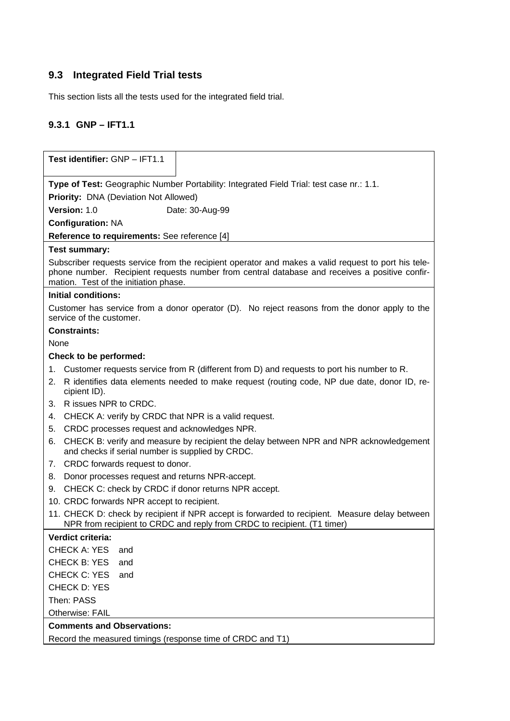# **9.3 Integrated Field Trial tests**

This section lists all the tests used for the integrated field trial.

# **9.3.1 GNP – IFT1.1**

| Test identifier: GNP - IFT1.1                                                                                                                                                                                                                 |
|-----------------------------------------------------------------------------------------------------------------------------------------------------------------------------------------------------------------------------------------------|
|                                                                                                                                                                                                                                               |
| Type of Test: Geographic Number Portability: Integrated Field Trial: test case nr.: 1.1.                                                                                                                                                      |
| <b>Priority: DNA (Deviation Not Allowed)</b>                                                                                                                                                                                                  |
| Version: 1.0<br>Date: 30-Aug-99                                                                                                                                                                                                               |
| <b>Configuration: NA</b>                                                                                                                                                                                                                      |
| Reference to requirements: See reference [4]                                                                                                                                                                                                  |
| <b>Test summary:</b>                                                                                                                                                                                                                          |
| Subscriber requests service from the recipient operator and makes a valid request to port his tele-<br>phone number. Recipient requests number from central database and receives a positive confir-<br>mation. Test of the initiation phase. |
| <b>Initial conditions:</b>                                                                                                                                                                                                                    |
| Customer has service from a donor operator (D). No reject reasons from the donor apply to the<br>service of the customer.                                                                                                                     |
| <b>Constraints:</b>                                                                                                                                                                                                                           |
| None                                                                                                                                                                                                                                          |
| Check to be performed:                                                                                                                                                                                                                        |
| 1. Customer requests service from R (different from D) and requests to port his number to R.                                                                                                                                                  |
| R identifies data elements needed to make request (routing code, NP due date, donor ID, re-<br>2.<br>cipient ID).                                                                                                                             |
| R issues NPR to CRDC.<br>3.                                                                                                                                                                                                                   |
| CHECK A: verify by CRDC that NPR is a valid request.<br>4.                                                                                                                                                                                    |
| CRDC processes request and acknowledges NPR.<br>5.                                                                                                                                                                                            |
| CHECK B: verify and measure by recipient the delay between NPR and NPR acknowledgement<br>6.<br>and checks if serial number is supplied by CRDC.                                                                                              |
| CRDC forwards request to donor.<br>7.                                                                                                                                                                                                         |
| Donor processes request and returns NPR-accept.<br>8.                                                                                                                                                                                         |
| CHECK C: check by CRDC if donor returns NPR accept.<br>9.                                                                                                                                                                                     |
| 10. CRDC forwards NPR accept to recipient.                                                                                                                                                                                                    |
| 11. CHECK D: check by recipient if NPR accept is forwarded to recipient. Measure delay between<br>NPR from recipient to CRDC and reply from CRDC to recipient. (T1 timer)                                                                     |
| Verdict criteria:                                                                                                                                                                                                                             |
| <b>CHECK A: YES</b><br>and                                                                                                                                                                                                                    |
| CHECK B: YES<br>and                                                                                                                                                                                                                           |
| CHECK C: YES<br>and                                                                                                                                                                                                                           |
| <b>CHECK D: YES</b>                                                                                                                                                                                                                           |
| Then: PASS                                                                                                                                                                                                                                    |
| Otherwise: FAIL                                                                                                                                                                                                                               |
| <b>Comments and Observations:</b>                                                                                                                                                                                                             |
| Record the measured timings (response time of CRDC and T1)                                                                                                                                                                                    |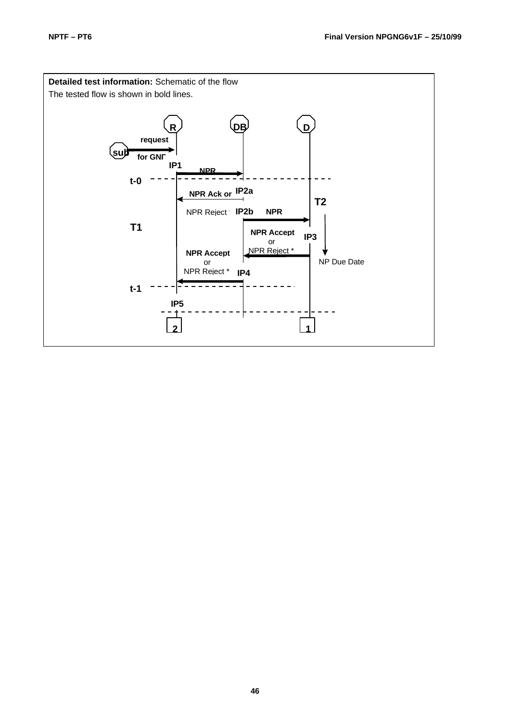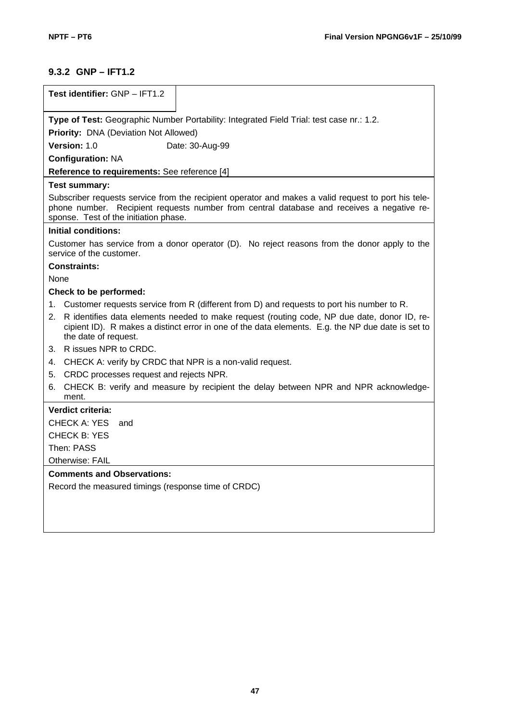# **9.3.2 GNP – IFT1.2**

|      | Test identifier: GNP - IFT1.2                                                                                                                                                                                                             |
|------|-------------------------------------------------------------------------------------------------------------------------------------------------------------------------------------------------------------------------------------------|
|      |                                                                                                                                                                                                                                           |
|      | Type of Test: Geographic Number Portability: Integrated Field Trial: test case nr.: 1.2.                                                                                                                                                  |
|      | <b>Priority: DNA (Deviation Not Allowed)</b>                                                                                                                                                                                              |
|      | Version: 1.0<br>Date: 30-Aug-99                                                                                                                                                                                                           |
|      | <b>Configuration: NA</b>                                                                                                                                                                                                                  |
|      | Reference to requirements: See reference [4]                                                                                                                                                                                              |
|      | <b>Test summary:</b>                                                                                                                                                                                                                      |
|      | Subscriber requests service from the recipient operator and makes a valid request to port his tele-<br>phone number. Recipient requests number from central database and receives a negative re-<br>sponse. Test of the initiation phase. |
|      | Initial conditions:                                                                                                                                                                                                                       |
|      | Customer has service from a donor operator (D). No reject reasons from the donor apply to the<br>service of the customer.                                                                                                                 |
|      | <b>Constraints:</b>                                                                                                                                                                                                                       |
| None |                                                                                                                                                                                                                                           |
|      | Check to be performed:                                                                                                                                                                                                                    |
|      | 1. Customer requests service from R (different from D) and requests to port his number to R.                                                                                                                                              |
|      | 2. R identifies data elements needed to make request (routing code, NP due date, donor ID, re-<br>cipient ID). R makes a distinct error in one of the data elements. E.g. the NP due date is set to<br>the date of request.               |
|      | 3. R issues NPR to CRDC.                                                                                                                                                                                                                  |
| 4.   | CHECK A: verify by CRDC that NPR is a non-valid request.                                                                                                                                                                                  |
| 5.   | CRDC processes request and rejects NPR.                                                                                                                                                                                                   |
| 6.   | CHECK B: verify and measure by recipient the delay between NPR and NPR acknowledge-<br>ment.                                                                                                                                              |
|      | Verdict criteria:                                                                                                                                                                                                                         |
|      | CHECK A: YES<br>and                                                                                                                                                                                                                       |
|      | <b>CHECK B: YES</b>                                                                                                                                                                                                                       |
|      | Then: PASS                                                                                                                                                                                                                                |
|      | Otherwise: FAIL                                                                                                                                                                                                                           |
|      | <b>Comments and Observations:</b>                                                                                                                                                                                                         |
|      | Record the measured timings (response time of CRDC)                                                                                                                                                                                       |
|      |                                                                                                                                                                                                                                           |
|      |                                                                                                                                                                                                                                           |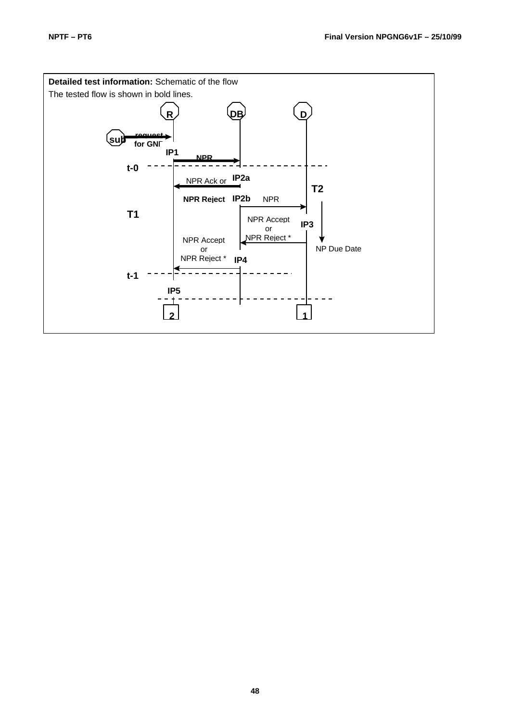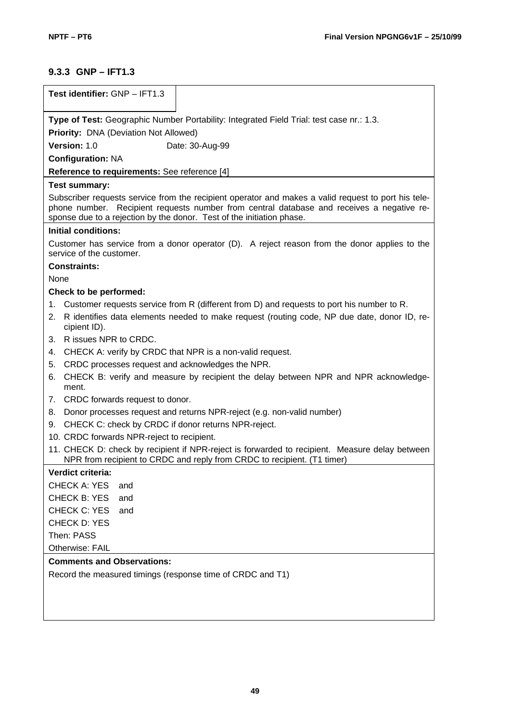# **9.3.3 GNP – IFT1.3**

| Test identifier: GNP - IFT1.3                                                                                                                                             |
|---------------------------------------------------------------------------------------------------------------------------------------------------------------------------|
| Type of Test: Geographic Number Portability: Integrated Field Trial: test case nr.: 1.3.                                                                                  |
| <b>Priority: DNA (Deviation Not Allowed)</b>                                                                                                                              |
| Version: 1.0<br>Date: 30-Aug-99                                                                                                                                           |
| <b>Configuration: NA</b>                                                                                                                                                  |
| Reference to requirements: See reference [4]                                                                                                                              |
| Test summary:                                                                                                                                                             |
| Subscriber requests service from the recipient operator and makes a valid request to port his tele-                                                                       |
| phone number. Recipient requests number from central database and receives a negative re-<br>sponse due to a rejection by the donor. Test of the initiation phase.        |
| <b>Initial conditions:</b>                                                                                                                                                |
| Customer has service from a donor operator (D). A reject reason from the donor applies to the<br>service of the customer.                                                 |
| <b>Constraints:</b>                                                                                                                                                       |
| None                                                                                                                                                                      |
| Check to be performed:                                                                                                                                                    |
| Customer requests service from R (different from D) and requests to port his number to R.<br>1.                                                                           |
| R identifies data elements needed to make request (routing code, NP due date, donor ID, re-<br>2.<br>cipient ID).                                                         |
| 3. R issues NPR to CRDC.                                                                                                                                                  |
| CHECK A: verify by CRDC that NPR is a non-valid request.<br>4.                                                                                                            |
| CRDC processes request and acknowledges the NPR.<br>5.                                                                                                                    |
| CHECK B: verify and measure by recipient the delay between NPR and NPR acknowledge-<br>6.<br>ment.                                                                        |
| 7. CRDC forwards request to donor.                                                                                                                                        |
| Donor processes request and returns NPR-reject (e.g. non-valid number)<br>8.                                                                                              |
| CHECK C: check by CRDC if donor returns NPR-reject.<br>9.                                                                                                                 |
| 10. CRDC forwards NPR-reject to recipient.                                                                                                                                |
| 11. CHECK D: check by recipient if NPR-reject is forwarded to recipient. Measure delay between<br>NPR from recipient to CRDC and reply from CRDC to recipient. (T1 timer) |
| Verdict criteria:                                                                                                                                                         |
| <b>CHECK A: YES</b><br>and                                                                                                                                                |
| <b>CHECK B: YES</b><br>and                                                                                                                                                |
| <b>CHECK C: YES</b><br>and                                                                                                                                                |
| <b>CHECK D: YES</b>                                                                                                                                                       |
| Then: PASS                                                                                                                                                                |
| Otherwise: FAIL                                                                                                                                                           |
| <b>Comments and Observations:</b>                                                                                                                                         |
| Record the measured timings (response time of CRDC and T1)                                                                                                                |
|                                                                                                                                                                           |
|                                                                                                                                                                           |
|                                                                                                                                                                           |
|                                                                                                                                                                           |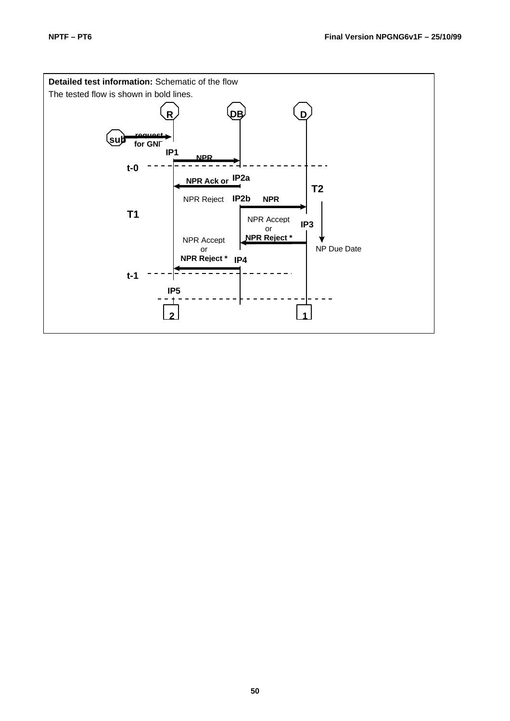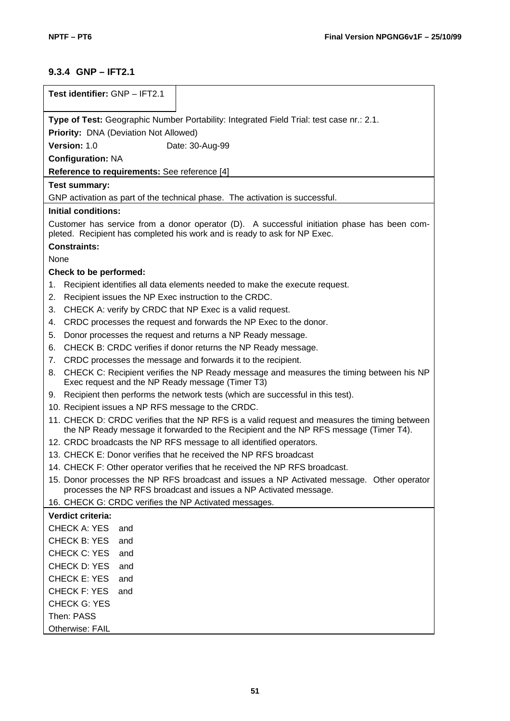# **9.3.4 GNP – IFT2.1**

| Test identifier: GNP - IFT2.1                                                                                                                                                          |
|----------------------------------------------------------------------------------------------------------------------------------------------------------------------------------------|
| Type of Test: Geographic Number Portability: Integrated Field Trial: test case nr.: 2.1.                                                                                               |
| Priority: DNA (Deviation Not Allowed)                                                                                                                                                  |
| Version: 1.0<br>Date: 30-Aug-99                                                                                                                                                        |
| <b>Configuration: NA</b>                                                                                                                                                               |
| Reference to requirements: See reference [4]                                                                                                                                           |
| <b>Test summary:</b>                                                                                                                                                                   |
| GNP activation as part of the technical phase. The activation is successful.                                                                                                           |
| <b>Initial conditions:</b>                                                                                                                                                             |
| Customer has service from a donor operator (D). A successful initiation phase has been com-<br>pleted. Recipient has completed his work and is ready to ask for NP Exec.               |
| <b>Constraints:</b>                                                                                                                                                                    |
| None                                                                                                                                                                                   |
| Check to be performed:                                                                                                                                                                 |
| Recipient identifies all data elements needed to make the execute request.<br>1.                                                                                                       |
| Recipient issues the NP Exec instruction to the CRDC.<br>2.                                                                                                                            |
| CHECK A: verify by CRDC that NP Exec is a valid request.<br>3.                                                                                                                         |
| CRDC processes the request and forwards the NP Exec to the donor.<br>4.                                                                                                                |
| Donor processes the request and returns a NP Ready message.<br>5.                                                                                                                      |
| CHECK B: CRDC verifies if donor returns the NP Ready message.<br>6.                                                                                                                    |
| CRDC processes the message and forwards it to the recipient.<br>7.                                                                                                                     |
| CHECK C: Recipient verifies the NP Ready message and measures the timing between his NP<br>8.<br>Exec request and the NP Ready message (Timer T3)                                      |
| Recipient then performs the network tests (which are successful in this test).<br>9.                                                                                                   |
| 10. Recipient issues a NP RFS message to the CRDC.                                                                                                                                     |
| 11. CHECK D: CRDC verifies that the NP RFS is a valid request and measures the timing between<br>the NP Ready message it forwarded to the Recipient and the NP RFS message (Timer T4). |
| 12. CRDC broadcasts the NP RFS message to all identified operators.                                                                                                                    |
| 13. CHECK E: Donor verifies that he received the NP RFS broadcast                                                                                                                      |
| 14. CHECK F: Other operator verifies that he received the NP RFS broadcast.                                                                                                            |
| 15. Donor processes the NP RFS broadcast and issues a NP Activated message. Other operator<br>processes the NP RFS broadcast and issues a NP Activated message.                        |
| 16. CHECK G: CRDC verifies the NP Activated messages.                                                                                                                                  |
| Verdict criteria:                                                                                                                                                                      |
| <b>CHECK A: YES</b><br>and                                                                                                                                                             |
| <b>CHECK B: YES</b><br>and                                                                                                                                                             |
| <b>CHECK C: YES</b><br>and                                                                                                                                                             |
| CHECK D: YES<br>and                                                                                                                                                                    |
| <b>CHECK E: YES</b><br>and                                                                                                                                                             |
| <b>CHECK F: YES</b><br>and                                                                                                                                                             |
| <b>CHECK G: YES</b>                                                                                                                                                                    |
| Then: PASS                                                                                                                                                                             |
| Otherwise: FAIL                                                                                                                                                                        |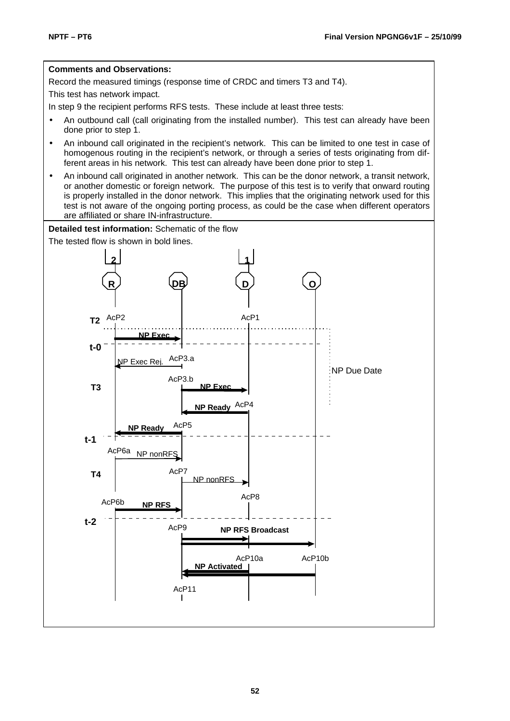#### **Comments and Observations:**

Record the measured timings (response time of CRDC and timers T3 and T4).

This test has network impact.

In step 9 the recipient performs RFS tests. These include at least three tests:

- An outbound call (call originating from the installed number). This test can already have been done prior to step 1.
- An inbound call originated in the recipient's network. This can be limited to one test in case of homogenous routing in the recipient's network, or through a series of tests originating from different areas in his network. This test can already have been done prior to step 1.
- An inbound call originated in another network. This can be the donor network, a transit network, or another domestic or foreign network. The purpose of this test is to verify that onward routing is properly installed in the donor network. This implies that the originating network used for this test is not aware of the ongoing porting process, as could be the case when different operators are affiliated or share IN-infrastructure.

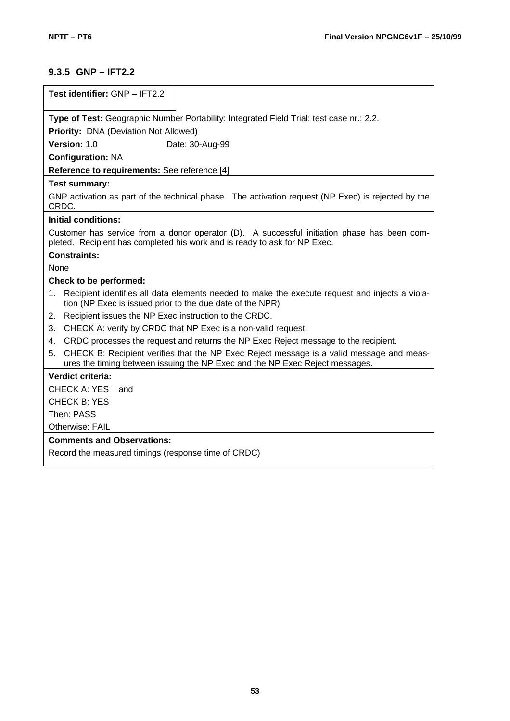# **9.3.5 GNP – IFT2.2**

| Test identifier: GNP - IFT2.2                                                                                                                                                  |
|--------------------------------------------------------------------------------------------------------------------------------------------------------------------------------|
| Type of Test: Geographic Number Portability: Integrated Field Trial: test case nr.: 2.2.                                                                                       |
| <b>Priority: DNA (Deviation Not Allowed)</b>                                                                                                                                   |
| Version: 1.0<br>Date: 30-Aug-99                                                                                                                                                |
| <b>Configuration: NA</b>                                                                                                                                                       |
| Reference to requirements: See reference [4]                                                                                                                                   |
| Test summary:                                                                                                                                                                  |
| GNP activation as part of the technical phase. The activation request (NP Exec) is rejected by the<br>CRDC.                                                                    |
| <b>Initial conditions:</b>                                                                                                                                                     |
| Customer has service from a donor operator (D). A successful initiation phase has been com-<br>pleted. Recipient has completed his work and is ready to ask for NP Exec.       |
| <b>Constraints:</b>                                                                                                                                                            |
| None                                                                                                                                                                           |
| Check to be performed:                                                                                                                                                         |
| Recipient identifies all data elements needed to make the execute request and injects a viola-<br>1.<br>tion (NP Exec is issued prior to the due date of the NPR)              |
| Recipient issues the NP Exec instruction to the CRDC.<br>2.                                                                                                                    |
| CHECK A: verify by CRDC that NP Exec is a non-valid request.<br>3.                                                                                                             |
| CRDC processes the request and returns the NP Exec Reject message to the recipient.<br>4.                                                                                      |
| CHECK B: Recipient verifies that the NP Exec Reject message is a valid message and meas-<br>5.<br>ures the timing between issuing the NP Exec and the NP Exec Reject messages. |
| Verdict criteria:                                                                                                                                                              |
| CHECK A: YES<br>and                                                                                                                                                            |
| <b>CHECK B: YES</b>                                                                                                                                                            |
| Then: PASS                                                                                                                                                                     |
| <b>Otherwise: FAIL</b>                                                                                                                                                         |
| <b>Comments and Observations:</b>                                                                                                                                              |
| Record the measured timings (response time of CRDC)                                                                                                                            |
|                                                                                                                                                                                |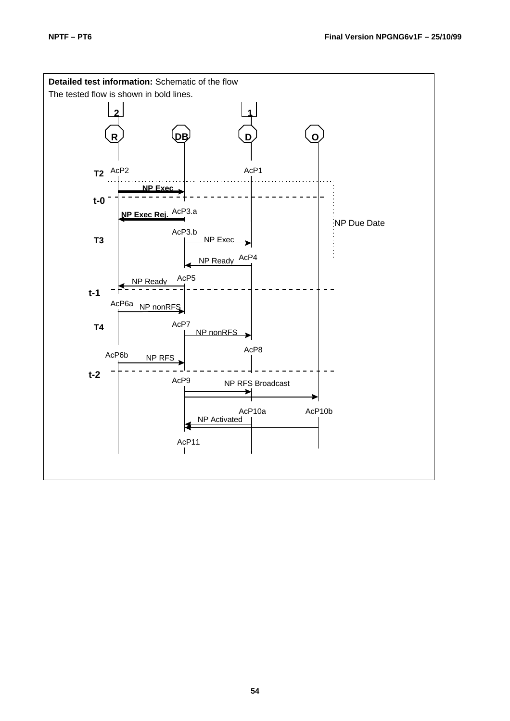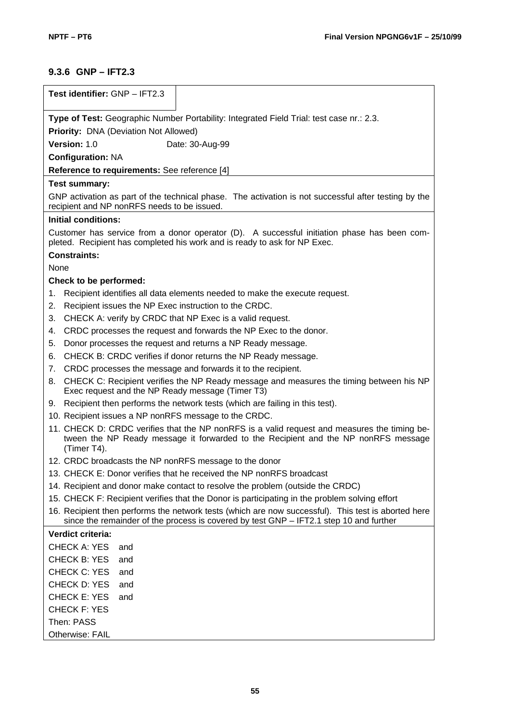# **9.3.6 GNP – IFT2.3**

| Test identifier: GNP - IFT2.3                                                                                                                                                                     |
|---------------------------------------------------------------------------------------------------------------------------------------------------------------------------------------------------|
| Type of Test: Geographic Number Portability: Integrated Field Trial: test case nr.: 2.3.                                                                                                          |
| <b>Priority: DNA (Deviation Not Allowed)</b>                                                                                                                                                      |
| Version: 1.0<br>Date: 30-Aug-99                                                                                                                                                                   |
| <b>Configuration: NA</b>                                                                                                                                                                          |
| Reference to requirements: See reference [4]                                                                                                                                                      |
| <b>Test summary:</b>                                                                                                                                                                              |
| GNP activation as part of the technical phase. The activation is not successful after testing by the<br>recipient and NP nonRFS needs to be issued.                                               |
| <b>Initial conditions:</b>                                                                                                                                                                        |
| Customer has service from a donor operator (D). A successful initiation phase has been com-<br>pleted. Recipient has completed his work and is ready to ask for NP Exec.                          |
| <b>Constraints:</b>                                                                                                                                                                               |
| None                                                                                                                                                                                              |
| Check to be performed:                                                                                                                                                                            |
| Recipient identifies all data elements needed to make the execute request.<br>1.                                                                                                                  |
| Recipient issues the NP Exec instruction to the CRDC.<br>2.                                                                                                                                       |
| CHECK A: verify by CRDC that NP Exec is a valid request.<br>3.                                                                                                                                    |
| CRDC processes the request and forwards the NP Exec to the donor.<br>4.                                                                                                                           |
| Donor processes the request and returns a NP Ready message.<br>5.                                                                                                                                 |
| CHECK B: CRDC verifies if donor returns the NP Ready message.<br>6.<br>CRDC processes the message and forwards it to the recipient.<br>7.                                                         |
| CHECK C: Recipient verifies the NP Ready message and measures the timing between his NP<br>8.                                                                                                     |
| Exec request and the NP Ready message (Timer T3)                                                                                                                                                  |
| 9. Recipient then performs the network tests (which are failing in this test).                                                                                                                    |
| 10. Recipient issues a NP nonRFS message to the CRDC.                                                                                                                                             |
| 11. CHECK D: CRDC verifies that the NP nonRFS is a valid request and measures the timing be-<br>tween the NP Ready message it forwarded to the Recipient and the NP nonRFS message<br>(Timer T4). |
| 12. CRDC broadcasts the NP nonRFS message to the donor                                                                                                                                            |
| 13. CHECK E: Donor verifies that he received the NP nonRFS broadcast                                                                                                                              |
| 14. Recipient and donor make contact to resolve the problem (outside the CRDC)                                                                                                                    |
| 15. CHECK F: Recipient verifies that the Donor is participating in the problem solving effort                                                                                                     |
| 16. Recipient then performs the network tests (which are now successful). This test is aborted here<br>since the remainder of the process is covered by test GNP - IFT2.1 step 10 and further     |
| Verdict criteria:                                                                                                                                                                                 |
| <b>CHECK A: YES</b><br>and                                                                                                                                                                        |
| <b>CHECK B: YES</b><br>and                                                                                                                                                                        |
| CHECK C: YES<br>and                                                                                                                                                                               |
| CHECK D: YES<br>and                                                                                                                                                                               |
| <b>CHECK E: YES</b><br>and                                                                                                                                                                        |
| <b>CHECK F: YES</b>                                                                                                                                                                               |
| Then: PASS                                                                                                                                                                                        |
| Otherwise: FAIL                                                                                                                                                                                   |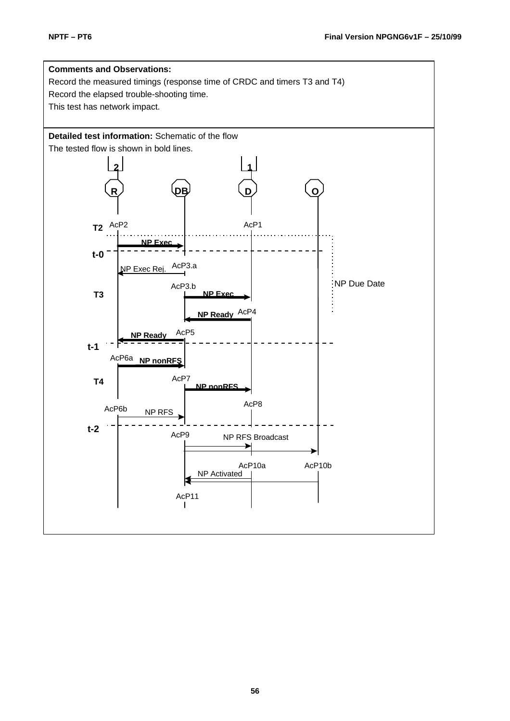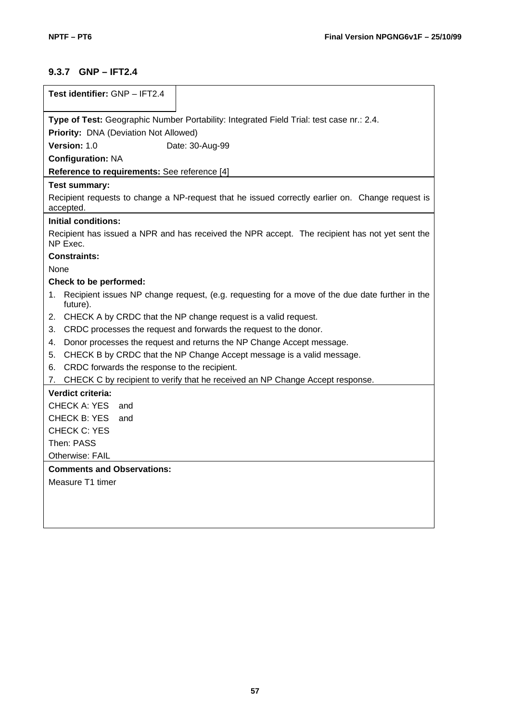## **9.3.7 GNP – IFT2.4**

| Test identifier: GNP - IFT2.4                                                                                             |
|---------------------------------------------------------------------------------------------------------------------------|
| Type of Test: Geographic Number Portability: Integrated Field Trial: test case nr.: 2.4.                                  |
| Priority: DNA (Deviation Not Allowed)                                                                                     |
| Version: 1.0<br>Date: 30-Aug-99                                                                                           |
| <b>Configuration: NA</b>                                                                                                  |
| Reference to requirements: See reference [4]                                                                              |
| <b>Test summary:</b>                                                                                                      |
| Recipient requests to change a NP-request that he issued correctly earlier on. Change request is<br>accepted.             |
| <b>Initial conditions:</b>                                                                                                |
| Recipient has issued a NPR and has received the NPR accept. The recipient has not yet sent the<br>NP Exec.                |
| <b>Constraints:</b>                                                                                                       |
| None                                                                                                                      |
| Check to be performed:                                                                                                    |
| Recipient issues NP change request, (e.g. requesting for a move of the due date further in the<br>$1_{\cdot}$<br>future). |
| 2. CHECK A by CRDC that the NP change request is a valid request.                                                         |
| CRDC processes the request and forwards the request to the donor.<br>3.                                                   |
| Donor processes the request and returns the NP Change Accept message.<br>4.                                               |
| CHECK B by CRDC that the NP Change Accept message is a valid message.<br>5.                                               |
| CRDC forwards the response to the recipient.<br>6.                                                                        |
| 7. CHECK C by recipient to verify that he received an NP Change Accept response.                                          |
| Verdict criteria:                                                                                                         |
| <b>CHECK A: YES</b><br>and                                                                                                |
| CHECK B: YES<br>and                                                                                                       |
| <b>CHECK C: YES</b>                                                                                                       |
| Then: PASS                                                                                                                |
| Otherwise: FAIL                                                                                                           |
| <b>Comments and Observations:</b>                                                                                         |
| Measure T1 timer                                                                                                          |
|                                                                                                                           |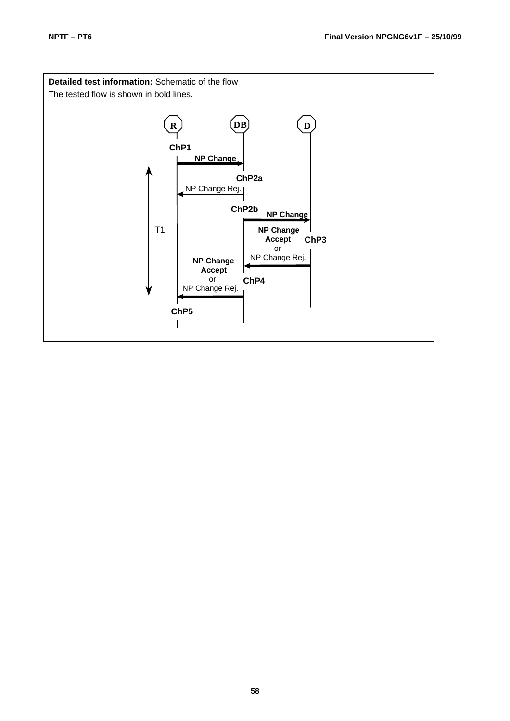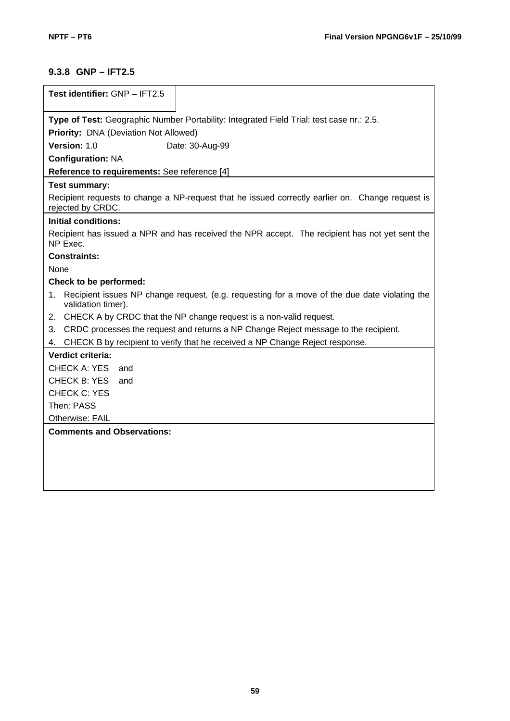# **9.3.8 GNP – IFT2.5**

| Test identifier: GNP - IFT2.5                                                                                             |
|---------------------------------------------------------------------------------------------------------------------------|
|                                                                                                                           |
| Type of Test: Geographic Number Portability: Integrated Field Trial: test case nr.: 2.5.                                  |
| Priority: DNA (Deviation Not Allowed)                                                                                     |
| Version: 1.0<br>Date: 30-Aug-99                                                                                           |
| <b>Configuration: NA</b>                                                                                                  |
| Reference to requirements: See reference [4]                                                                              |
| <b>Test summary:</b>                                                                                                      |
| Recipient requests to change a NP-request that he issued correctly earlier on. Change request is<br>rejected by CRDC.     |
| <b>Initial conditions:</b>                                                                                                |
| Recipient has issued a NPR and has received the NPR accept. The recipient has not yet sent the<br>NP Exec.                |
| <b>Constraints:</b>                                                                                                       |
| None                                                                                                                      |
| Check to be performed:                                                                                                    |
| Recipient issues NP change request, (e.g. requesting for a move of the due date violating the<br>1.<br>validation timer). |
| 2. CHECK A by CRDC that the NP change request is a non-valid request.                                                     |
| CRDC processes the request and returns a NP Change Reject message to the recipient.<br>3.                                 |
| CHECK B by recipient to verify that he received a NP Change Reject response.<br>4.                                        |
| Verdict criteria:                                                                                                         |
| CHECK A: YES<br>and                                                                                                       |
| <b>CHECK B: YES</b><br>and                                                                                                |
| CHECK C: YES                                                                                                              |
| Then: PASS                                                                                                                |
| Otherwise: FAIL                                                                                                           |
| <b>Comments and Observations:</b>                                                                                         |
|                                                                                                                           |
|                                                                                                                           |
|                                                                                                                           |
|                                                                                                                           |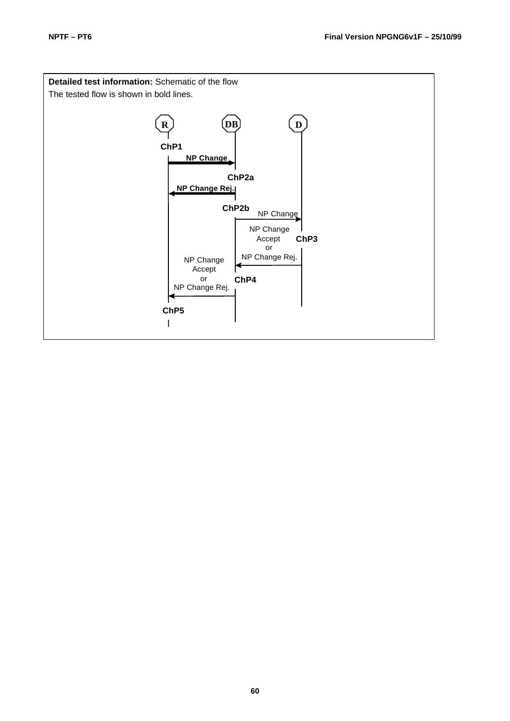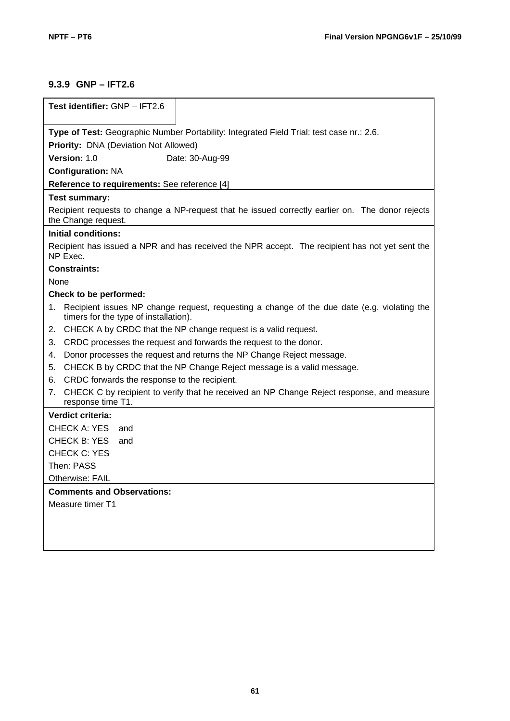## **9.3.9 GNP – IFT2.6**

| Test identifier: GNP - IFT2.6                                                                                                              |
|--------------------------------------------------------------------------------------------------------------------------------------------|
|                                                                                                                                            |
| Type of Test: Geographic Number Portability: Integrated Field Trial: test case nr.: 2.6.                                                   |
| Priority: DNA (Deviation Not Allowed)                                                                                                      |
| <b>Version: 1.0</b><br>Date: 30-Aug-99                                                                                                     |
| <b>Configuration: NA</b>                                                                                                                   |
| Reference to requirements: See reference [4]                                                                                               |
| Test summary:                                                                                                                              |
| Recipient requests to change a NP-request that he issued correctly earlier on. The donor rejects<br>the Change request.                    |
| <b>Initial conditions:</b>                                                                                                                 |
| Recipient has issued a NPR and has received the NPR accept. The recipient has not yet sent the<br>NP Exec.                                 |
| Constraints:                                                                                                                               |
| <b>None</b>                                                                                                                                |
| Check to be performed:                                                                                                                     |
| Recipient issues NP change request, requesting a change of the due date (e.g. violating the<br>1.<br>timers for the type of installation). |
| CHECK A by CRDC that the NP change request is a valid request.<br>2.                                                                       |
| CRDC processes the request and forwards the request to the donor.<br>3.                                                                    |
| Donor processes the request and returns the NP Change Reject message.<br>4.                                                                |
| CHECK B by CRDC that the NP Change Reject message is a valid message.<br>5.                                                                |
| CRDC forwards the response to the recipient.<br>6.                                                                                         |
| CHECK C by recipient to verify that he received an NP Change Reject response, and measure<br>7.<br>response time T1.                       |
| Verdict criteria:                                                                                                                          |
| CHECK A: YES<br>and                                                                                                                        |
| CHECK B: YES<br>and                                                                                                                        |
| CHECK C: YES                                                                                                                               |
| Then: PASS                                                                                                                                 |
| <b>Otherwise: FAIL</b>                                                                                                                     |
| <b>Comments and Observations:</b>                                                                                                          |
| Measure timer T1                                                                                                                           |
|                                                                                                                                            |
|                                                                                                                                            |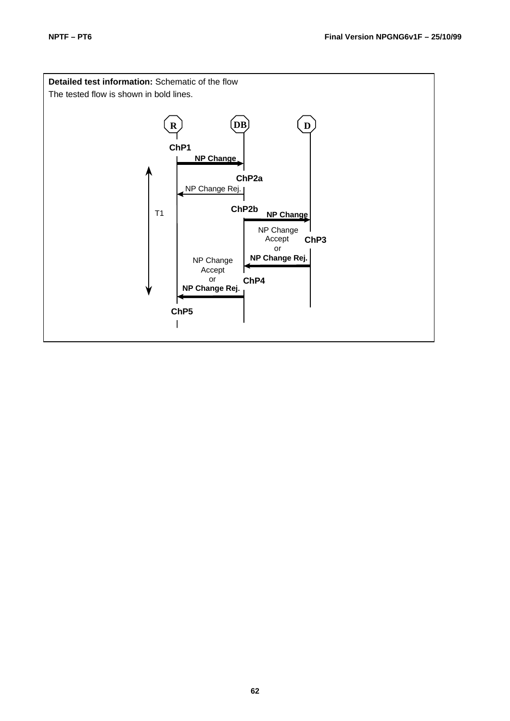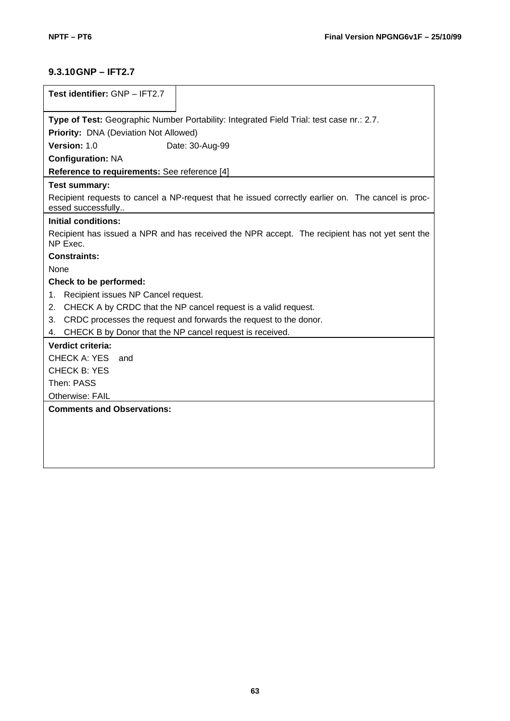### **9.3.10GNP – IFT2.7**

| Test identifier: GNP - IFT2.7                                                                                            |
|--------------------------------------------------------------------------------------------------------------------------|
|                                                                                                                          |
| Type of Test: Geographic Number Portability: Integrated Field Trial: test case nr.: 2.7.                                 |
| Priority: DNA (Deviation Not Allowed)                                                                                    |
| Version: 1.0<br>Date: 30-Aug-99                                                                                          |
| <b>Configuration: NA</b>                                                                                                 |
| Reference to requirements: See reference [4]                                                                             |
| Test summary:                                                                                                            |
| Recipient requests to cancel a NP-request that he issued correctly earlier on. The cancel is proc-<br>essed successfully |
| <b>Initial conditions:</b>                                                                                               |
| Recipient has issued a NPR and has received the NPR accept. The recipient has not yet sent the<br>NP Exec.               |
| <b>Constraints:</b>                                                                                                      |
| None                                                                                                                     |
| Check to be performed:                                                                                                   |
| Recipient issues NP Cancel request.<br>1.                                                                                |
| CHECK A by CRDC that the NP cancel request is a valid request.<br>2.                                                     |
| CRDC processes the request and forwards the request to the donor.<br>3.                                                  |
| CHECK B by Donor that the NP cancel request is received.<br>4.                                                           |
| Verdict criteria:                                                                                                        |
| <b>CHECK A: YES</b><br>and                                                                                               |
| <b>CHECK B: YES</b>                                                                                                      |
| Then: PASS                                                                                                               |
| Otherwise: FAIL                                                                                                          |
| <b>Comments and Observations:</b>                                                                                        |
|                                                                                                                          |
|                                                                                                                          |
|                                                                                                                          |
|                                                                                                                          |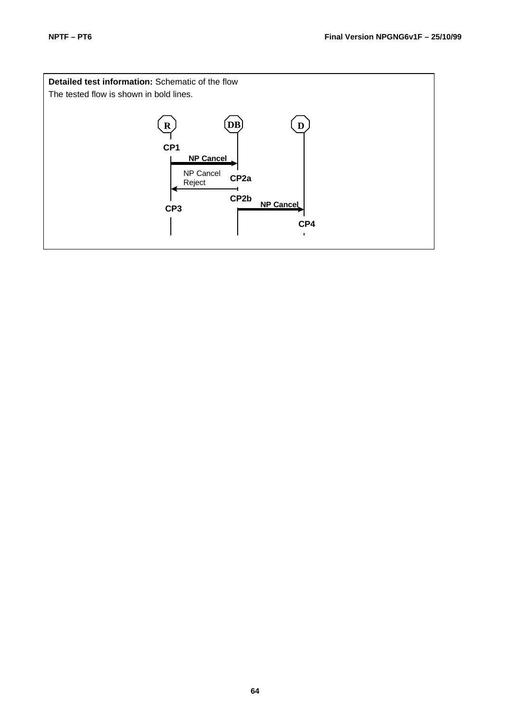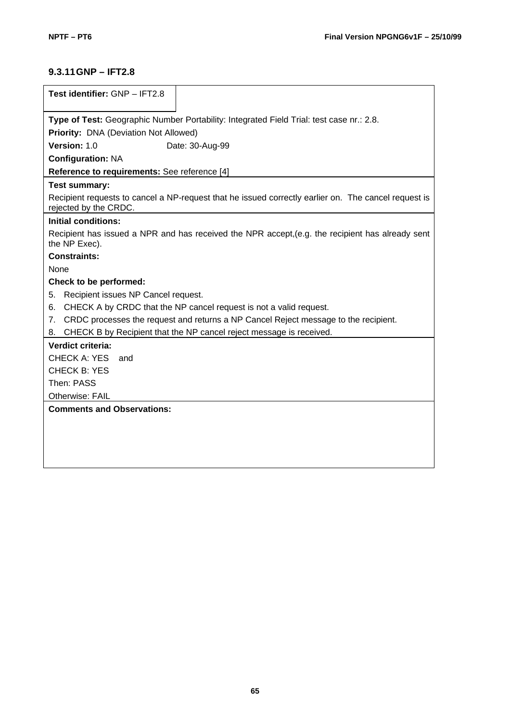# **9.3.11GNP – IFT2.8**

| Test identifier: GNP - IFT2.8                                                             |                                                                                                      |  |
|-------------------------------------------------------------------------------------------|------------------------------------------------------------------------------------------------------|--|
|                                                                                           |                                                                                                      |  |
| Type of Test: Geographic Number Portability: Integrated Field Trial: test case nr.: 2.8.  |                                                                                                      |  |
| Priority: DNA (Deviation Not Allowed)                                                     |                                                                                                      |  |
| Version: 1.0                                                                              | Date: 30-Aug-99                                                                                      |  |
| <b>Configuration: NA</b>                                                                  |                                                                                                      |  |
| Reference to requirements: See reference [4]                                              |                                                                                                      |  |
| Test summary:                                                                             |                                                                                                      |  |
| rejected by the CRDC.                                                                     | Recipient requests to cancel a NP-request that he issued correctly earlier on. The cancel request is |  |
| <b>Initial conditions:</b>                                                                |                                                                                                      |  |
| the NP Exec).                                                                             | Recipient has issued a NPR and has received the NPR accept, (e.g. the recipient has already sent     |  |
| <b>Constraints:</b>                                                                       |                                                                                                      |  |
| None                                                                                      |                                                                                                      |  |
| Check to be performed:                                                                    |                                                                                                      |  |
| Recipient issues NP Cancel request.<br>5.                                                 |                                                                                                      |  |
| 6.                                                                                        | CHECK A by CRDC that the NP cancel request is not a valid request.                                   |  |
| CRDC processes the request and returns a NP Cancel Reject message to the recipient.<br>7. |                                                                                                      |  |
| 8.                                                                                        | CHECK B by Recipient that the NP cancel reject message is received.                                  |  |
| Verdict criteria:                                                                         |                                                                                                      |  |
| <b>CHECK A: YES</b><br>and                                                                |                                                                                                      |  |
| <b>CHECK B: YES</b>                                                                       |                                                                                                      |  |
| Then: PASS                                                                                |                                                                                                      |  |
| Otherwise: FAIL                                                                           |                                                                                                      |  |
| <b>Comments and Observations:</b>                                                         |                                                                                                      |  |
|                                                                                           |                                                                                                      |  |
|                                                                                           |                                                                                                      |  |
|                                                                                           |                                                                                                      |  |
|                                                                                           |                                                                                                      |  |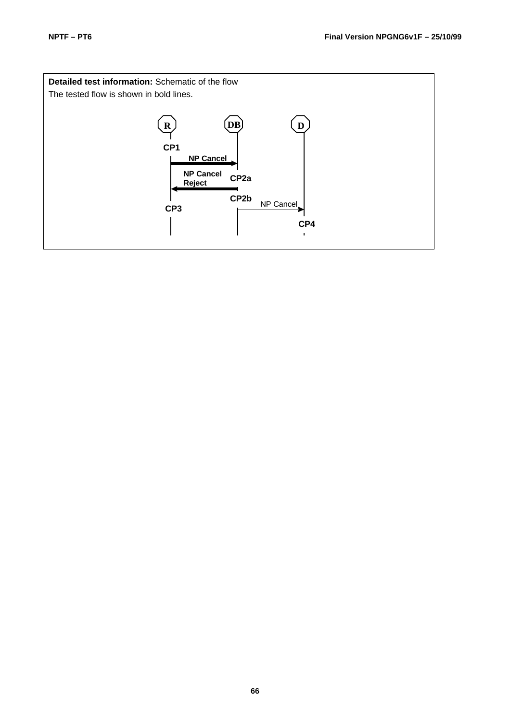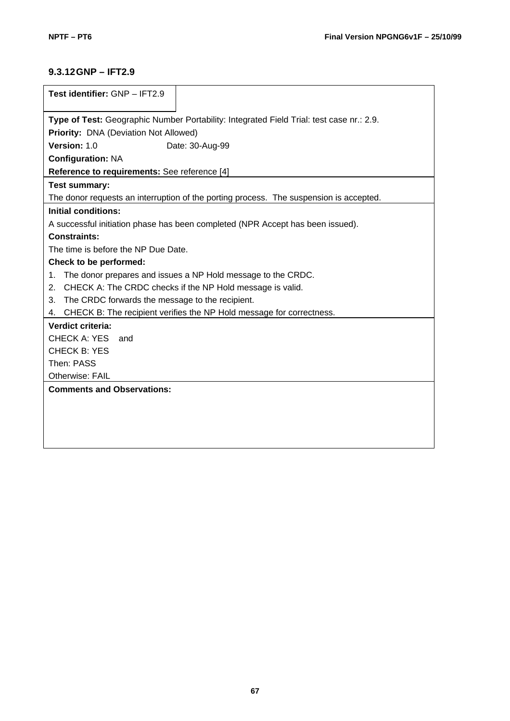# **9.3.12GNP – IFT2.9**

| Test identifier: GNP - IFT2.9                                                            |  |  |
|------------------------------------------------------------------------------------------|--|--|
|                                                                                          |  |  |
| Type of Test: Geographic Number Portability: Integrated Field Trial: test case nr.: 2.9. |  |  |
| Priority: DNA (Deviation Not Allowed)                                                    |  |  |
| Version: 1.0<br>Date: 30-Aug-99                                                          |  |  |
| <b>Configuration: NA</b>                                                                 |  |  |
| Reference to requirements: See reference [4]                                             |  |  |
| <b>Test summary:</b>                                                                     |  |  |
| The donor requests an interruption of the porting process. The suspension is accepted.   |  |  |
| <b>Initial conditions:</b>                                                               |  |  |
| A successful initiation phase has been completed (NPR Accept has been issued).           |  |  |
| <b>Constraints:</b>                                                                      |  |  |
| The time is before the NP Due Date.                                                      |  |  |
| Check to be performed:                                                                   |  |  |
| The donor prepares and issues a NP Hold message to the CRDC.<br>1.                       |  |  |
| CHECK A: The CRDC checks if the NP Hold message is valid.<br>2.                          |  |  |
| The CRDC forwards the message to the recipient.<br>3.                                    |  |  |
| CHECK B: The recipient verifies the NP Hold message for correctness.<br>4.               |  |  |
| Verdict criteria:                                                                        |  |  |
| CHECK A: YES<br>and                                                                      |  |  |
| <b>CHECK B: YES</b>                                                                      |  |  |
| Then: PASS                                                                               |  |  |
| Otherwise: FAIL                                                                          |  |  |
| <b>Comments and Observations:</b>                                                        |  |  |
|                                                                                          |  |  |
|                                                                                          |  |  |
|                                                                                          |  |  |
|                                                                                          |  |  |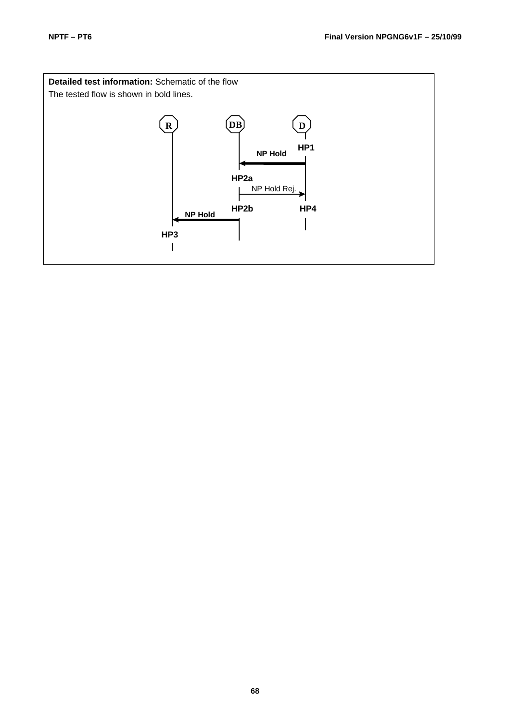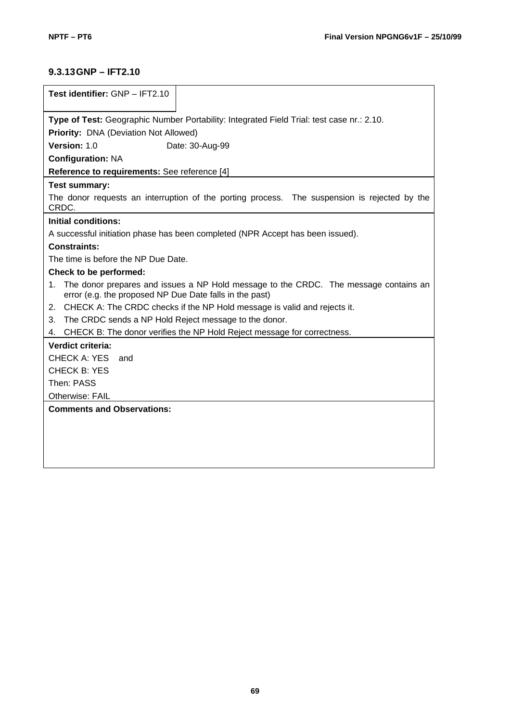# **9.3.13GNP – IFT2.10**

| Test identifier: GNP - IFT2.10                                                                                                                        |  |  |
|-------------------------------------------------------------------------------------------------------------------------------------------------------|--|--|
|                                                                                                                                                       |  |  |
| Type of Test: Geographic Number Portability: Integrated Field Trial: test case nr.: 2.10.                                                             |  |  |
| Priority: DNA (Deviation Not Allowed)                                                                                                                 |  |  |
| Version: 1.0<br>Date: 30-Aug-99                                                                                                                       |  |  |
| <b>Configuration: NA</b>                                                                                                                              |  |  |
| Reference to requirements: See reference [4]                                                                                                          |  |  |
| <b>Test summary:</b>                                                                                                                                  |  |  |
| The donor requests an interruption of the porting process. The suspension is rejected by the<br>CRDC.                                                 |  |  |
| Initial conditions:                                                                                                                                   |  |  |
| A successful initiation phase has been completed (NPR Accept has been issued).                                                                        |  |  |
| <b>Constraints:</b>                                                                                                                                   |  |  |
| The time is before the NP Due Date.                                                                                                                   |  |  |
| Check to be performed:                                                                                                                                |  |  |
| The donor prepares and issues a NP Hold message to the CRDC. The message contains an<br>1.<br>error (e.g. the proposed NP Due Date falls in the past) |  |  |
| CHECK A: The CRDC checks if the NP Hold message is valid and rejects it.<br>2.                                                                        |  |  |
| The CRDC sends a NP Hold Reject message to the donor.<br>3.                                                                                           |  |  |
| 4. CHECK B: The donor verifies the NP Hold Reject message for correctness.                                                                            |  |  |
| Verdict criteria:                                                                                                                                     |  |  |
| <b>CHECK A: YES</b><br>and                                                                                                                            |  |  |
| <b>CHECK B: YES</b>                                                                                                                                   |  |  |
| Then: PASS                                                                                                                                            |  |  |
| Otherwise: FAIL                                                                                                                                       |  |  |
| <b>Comments and Observations:</b>                                                                                                                     |  |  |
|                                                                                                                                                       |  |  |
|                                                                                                                                                       |  |  |
|                                                                                                                                                       |  |  |
|                                                                                                                                                       |  |  |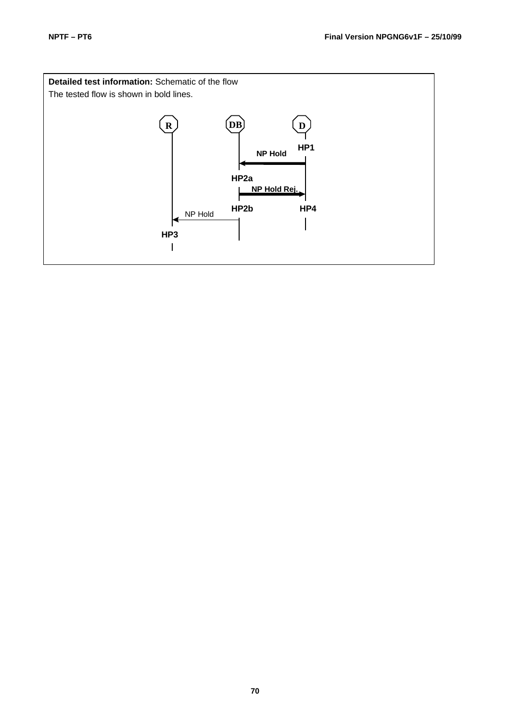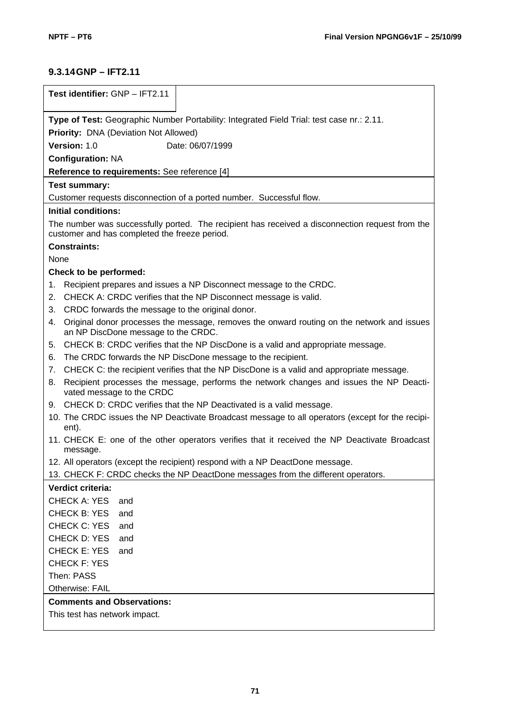# **9.3.14GNP – IFT2.11**

| Test identifier: GNP - IFT2.11                                                                                                                   |  |  |
|--------------------------------------------------------------------------------------------------------------------------------------------------|--|--|
| Type of Test: Geographic Number Portability: Integrated Field Trial: test case nr.: 2.11.                                                        |  |  |
| Priority: DNA (Deviation Not Allowed)                                                                                                            |  |  |
| Version: 1.0<br>Date: 06/07/1999                                                                                                                 |  |  |
| <b>Configuration: NA</b>                                                                                                                         |  |  |
| Reference to requirements: See reference [4]                                                                                                     |  |  |
| <b>Test summary:</b>                                                                                                                             |  |  |
| Customer requests disconnection of a ported number. Successful flow.                                                                             |  |  |
| <b>Initial conditions:</b>                                                                                                                       |  |  |
| The number was successfully ported. The recipient has received a disconnection request from the<br>customer and has completed the freeze period. |  |  |
| <b>Constraints:</b>                                                                                                                              |  |  |
| None                                                                                                                                             |  |  |
| Check to be performed:                                                                                                                           |  |  |
| Recipient prepares and issues a NP Disconnect message to the CRDC.<br>1.                                                                         |  |  |
| CHECK A: CRDC verifies that the NP Disconnect message is valid.<br>2.                                                                            |  |  |
| 3.<br>CRDC forwards the message to the original donor.                                                                                           |  |  |
| Original donor processes the message, removes the onward routing on the network and issues<br>4.<br>an NP DiscDone message to the CRDC.          |  |  |
| CHECK B: CRDC verifies that the NP DiscDone is a valid and appropriate message.<br>5.                                                            |  |  |
| The CRDC forwards the NP DiscDone message to the recipient.<br>6.                                                                                |  |  |
| CHECK C: the recipient verifies that the NP DiscDone is a valid and appropriate message.<br>7.                                                   |  |  |
| Recipient processes the message, performs the network changes and issues the NP Deacti-<br>8.<br>vated message to the CRDC                       |  |  |
| 9. CHECK D: CRDC verifies that the NP Deactivated is a valid message.                                                                            |  |  |
| 10. The CRDC issues the NP Deactivate Broadcast message to all operators (except for the recipi-<br>ent).                                        |  |  |
| 11. CHECK E: one of the other operators verifies that it received the NP Deactivate Broadcast<br>message.                                        |  |  |
| 12. All operators (except the recipient) respond with a NP DeactDone message.                                                                    |  |  |
| 13. CHECK F: CRDC checks the NP DeactDone messages from the different operators.                                                                 |  |  |
| Verdict criteria:                                                                                                                                |  |  |
| <b>CHECK A: YES</b><br>and                                                                                                                       |  |  |
| <b>CHECK B: YES</b><br>and                                                                                                                       |  |  |
| CHECK C: YES<br>and                                                                                                                              |  |  |
| CHECK D: YES<br>and                                                                                                                              |  |  |
| <b>CHECK E: YES</b><br>and                                                                                                                       |  |  |
| <b>CHECK F: YES</b>                                                                                                                              |  |  |
| Then: PASS                                                                                                                                       |  |  |
| Otherwise: FAIL                                                                                                                                  |  |  |
| <b>Comments and Observations:</b>                                                                                                                |  |  |
| This test has network impact.                                                                                                                    |  |  |
|                                                                                                                                                  |  |  |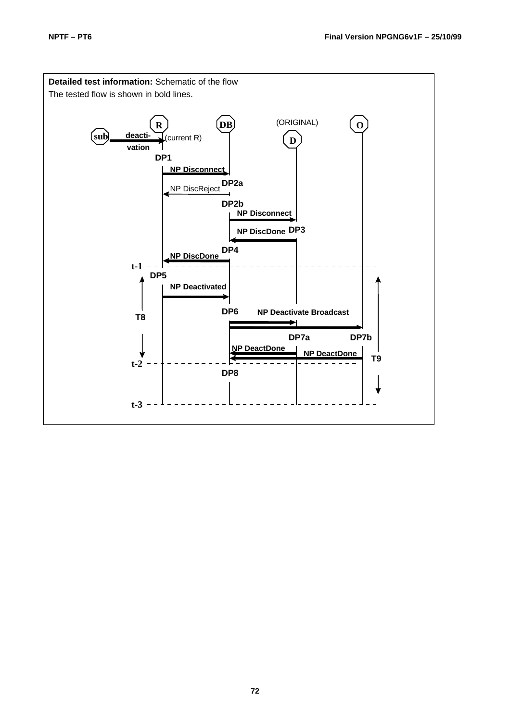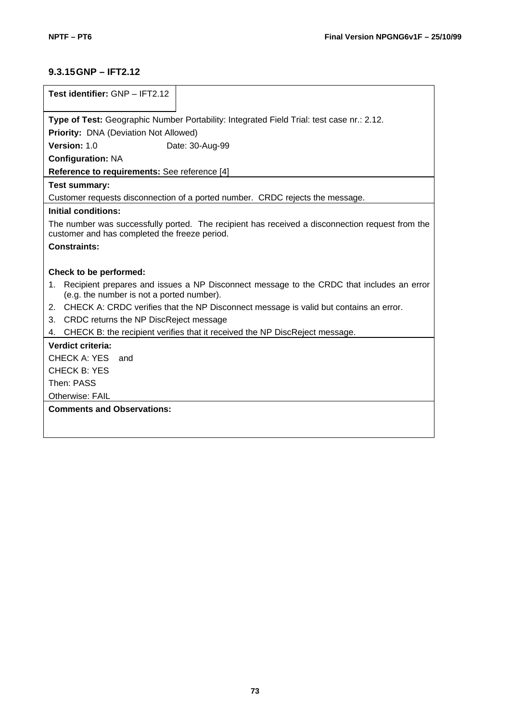# **9.3.15GNP – IFT2.12**

| Test identifier: GNP - IFT2.12                                                                                                                   |  |
|--------------------------------------------------------------------------------------------------------------------------------------------------|--|
|                                                                                                                                                  |  |
| Type of Test: Geographic Number Portability: Integrated Field Trial: test case nr.: 2.12.                                                        |  |
| Priority: DNA (Deviation Not Allowed)                                                                                                            |  |
| Version: 1.0<br>Date: 30-Aug-99                                                                                                                  |  |
| <b>Configuration: NA</b>                                                                                                                         |  |
| Reference to requirements: See reference [4]                                                                                                     |  |
| <b>Test summary:</b>                                                                                                                             |  |
| Customer requests disconnection of a ported number. CRDC rejects the message.                                                                    |  |
| Initial conditions:                                                                                                                              |  |
| The number was successfully ported. The recipient has received a disconnection request from the<br>customer and has completed the freeze period. |  |
| <b>Constraints:</b>                                                                                                                              |  |
|                                                                                                                                                  |  |
| Check to be performed:                                                                                                                           |  |
| Recipient prepares and issues a NP Disconnect message to the CRDC that includes an error<br>1.<br>(e.g. the number is not a ported number).      |  |
| 2. CHECK A: CRDC verifies that the NP Disconnect message is valid but contains an error.                                                         |  |
| 3. CRDC returns the NP DiscReject message                                                                                                        |  |
| CHECK B: the recipient verifies that it received the NP DiscReject message.<br>4.                                                                |  |
| Verdict criteria:                                                                                                                                |  |
| CHECK A: YES<br>and                                                                                                                              |  |
| <b>CHECK B: YES</b>                                                                                                                              |  |
|                                                                                                                                                  |  |
| Then: PASS                                                                                                                                       |  |
| <b>Otherwise: FAIL</b>                                                                                                                           |  |
| <b>Comments and Observations:</b>                                                                                                                |  |
|                                                                                                                                                  |  |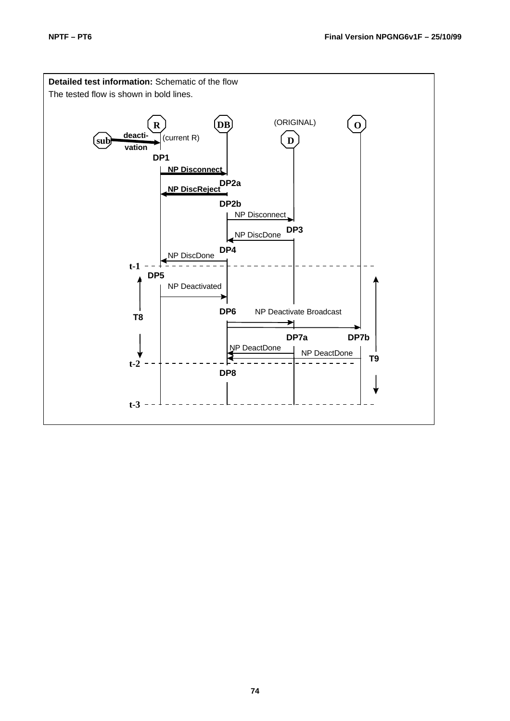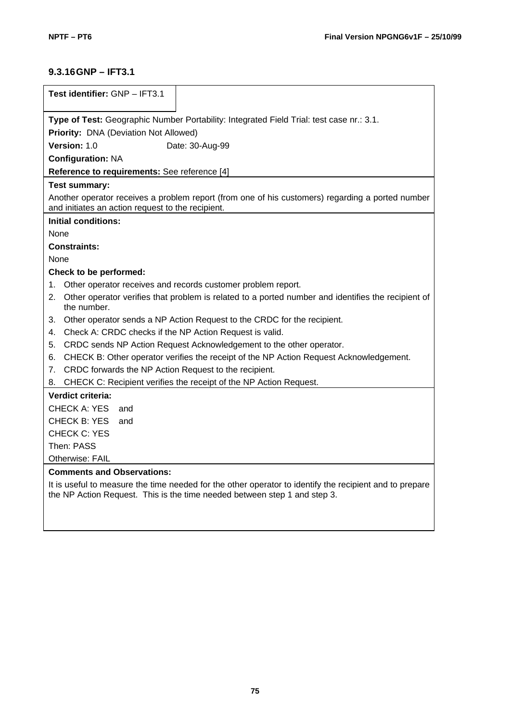## **9.3.16GNP – IFT3.1**

|             | Test identifier: GNP - IFT3.1                                                                                                                         |  |  |  |  |  |  |
|-------------|-------------------------------------------------------------------------------------------------------------------------------------------------------|--|--|--|--|--|--|
|             | Type of Test: Geographic Number Portability: Integrated Field Trial: test case nr.: 3.1.                                                              |  |  |  |  |  |  |
|             | Priority: DNA (Deviation Not Allowed)                                                                                                                 |  |  |  |  |  |  |
|             | Version: 1.0<br>Date: 30-Aug-99                                                                                                                       |  |  |  |  |  |  |
|             | <b>Configuration: NA</b>                                                                                                                              |  |  |  |  |  |  |
|             | Reference to requirements: See reference [4]                                                                                                          |  |  |  |  |  |  |
|             | Test summary:                                                                                                                                         |  |  |  |  |  |  |
|             | Another operator receives a problem report (from one of his customers) regarding a ported number<br>and initiates an action request to the recipient. |  |  |  |  |  |  |
|             | <b>Initial conditions:</b>                                                                                                                            |  |  |  |  |  |  |
| <b>None</b> |                                                                                                                                                       |  |  |  |  |  |  |
|             | <b>Constraints:</b>                                                                                                                                   |  |  |  |  |  |  |
| None        |                                                                                                                                                       |  |  |  |  |  |  |
|             | Check to be performed:                                                                                                                                |  |  |  |  |  |  |
| 1.          | Other operator receives and records customer problem report.                                                                                          |  |  |  |  |  |  |
| 2.          | Other operator verifies that problem is related to a ported number and identifies the recipient of<br>the number.                                     |  |  |  |  |  |  |
| 3.          | Other operator sends a NP Action Request to the CRDC for the recipient.                                                                               |  |  |  |  |  |  |
| 4.          | Check A: CRDC checks if the NP Action Request is valid.                                                                                               |  |  |  |  |  |  |
| 5.          | CRDC sends NP Action Request Acknowledgement to the other operator.                                                                                   |  |  |  |  |  |  |
| 6.          | CHECK B: Other operator verifies the receipt of the NP Action Request Acknowledgement.                                                                |  |  |  |  |  |  |
| 7.          | CRDC forwards the NP Action Request to the recipient.                                                                                                 |  |  |  |  |  |  |
| 8.          | CHECK C: Recipient verifies the receipt of the NP Action Request.                                                                                     |  |  |  |  |  |  |
|             | <b>Verdict criteria:</b>                                                                                                                              |  |  |  |  |  |  |
|             | CHECK A: YES<br>and                                                                                                                                   |  |  |  |  |  |  |
|             | CHECK B: YES<br>and                                                                                                                                   |  |  |  |  |  |  |
|             | <b>CHECK C: YES</b>                                                                                                                                   |  |  |  |  |  |  |
|             | Then: PASS                                                                                                                                            |  |  |  |  |  |  |
|             | <b>Otherwise: FAIL</b>                                                                                                                                |  |  |  |  |  |  |
|             | <b>Comments and Observations:</b>                                                                                                                     |  |  |  |  |  |  |
|             | It is useful to measure the time needed for the other operator to identify the recipient and to prepare                                               |  |  |  |  |  |  |

It is useful to measure the time needed for the other operator to identify the recipient and to prepare the NP Action Request. This is the time needed between step 1 and step 3.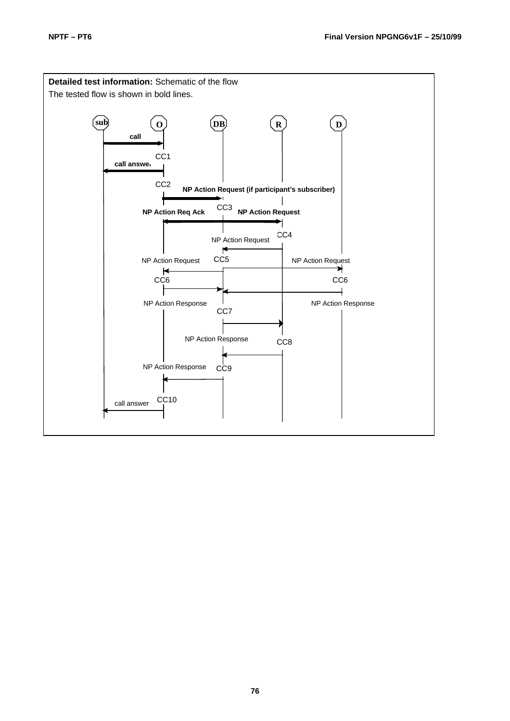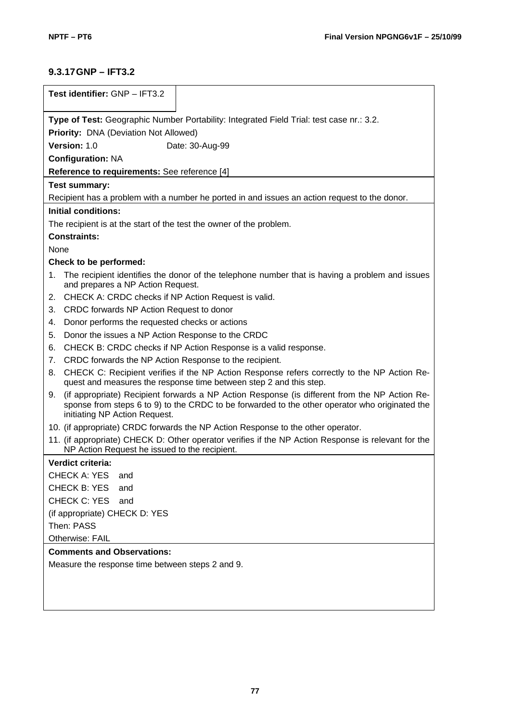## **9.3.17GNP – IFT3.2**

| Test identifier: GNP - IFT3.2                                                            |                                                                                                                                                                                                 |  |  |  |  |  |
|------------------------------------------------------------------------------------------|-------------------------------------------------------------------------------------------------------------------------------------------------------------------------------------------------|--|--|--|--|--|
| Type of Test: Geographic Number Portability: Integrated Field Trial: test case nr.: 3.2. |                                                                                                                                                                                                 |  |  |  |  |  |
| Priority: DNA (Deviation Not Allowed)                                                    |                                                                                                                                                                                                 |  |  |  |  |  |
| Version: 1.0<br>Date: 30-Aug-99                                                          |                                                                                                                                                                                                 |  |  |  |  |  |
| <b>Configuration: NA</b>                                                                 |                                                                                                                                                                                                 |  |  |  |  |  |
| Reference to requirements: See reference [4]                                             |                                                                                                                                                                                                 |  |  |  |  |  |
| <b>Test summary:</b>                                                                     |                                                                                                                                                                                                 |  |  |  |  |  |
|                                                                                          | Recipient has a problem with a number he ported in and issues an action request to the donor.                                                                                                   |  |  |  |  |  |
| <b>Initial conditions:</b>                                                               |                                                                                                                                                                                                 |  |  |  |  |  |
| The recipient is at the start of the test the owner of the problem.                      |                                                                                                                                                                                                 |  |  |  |  |  |
| <b>Constraints:</b>                                                                      |                                                                                                                                                                                                 |  |  |  |  |  |
| None                                                                                     |                                                                                                                                                                                                 |  |  |  |  |  |
| Check to be performed:                                                                   |                                                                                                                                                                                                 |  |  |  |  |  |
| 1.<br>and prepares a NP Action Request.                                                  | The recipient identifies the donor of the telephone number that is having a problem and issues                                                                                                  |  |  |  |  |  |
| CHECK A: CRDC checks if NP Action Request is valid.<br>2.                                |                                                                                                                                                                                                 |  |  |  |  |  |
| CRDC forwards NP Action Request to donor<br>3.                                           |                                                                                                                                                                                                 |  |  |  |  |  |
| Donor performs the requested checks or actions<br>4.                                     |                                                                                                                                                                                                 |  |  |  |  |  |
| Donor the issues a NP Action Response to the CRDC<br>5.                                  |                                                                                                                                                                                                 |  |  |  |  |  |
| 6.                                                                                       | CHECK B: CRDC checks if NP Action Response is a valid response.                                                                                                                                 |  |  |  |  |  |
| CRDC forwards the NP Action Response to the recipient.<br>7.                             |                                                                                                                                                                                                 |  |  |  |  |  |
| 8.                                                                                       | CHECK C: Recipient verifies if the NP Action Response refers correctly to the NP Action Re-<br>quest and measures the response time between step 2 and this step.                               |  |  |  |  |  |
| 9.<br>initiating NP Action Request.                                                      | (if appropriate) Recipient forwards a NP Action Response (is different from the NP Action Re-<br>sponse from steps 6 to 9) to the CRDC to be forwarded to the other operator who originated the |  |  |  |  |  |
|                                                                                          | 10. (if appropriate) CRDC forwards the NP Action Response to the other operator.                                                                                                                |  |  |  |  |  |
| NP Action Request he issued to the recipient.                                            | 11. (if appropriate) CHECK D: Other operator verifies if the NP Action Response is relevant for the                                                                                             |  |  |  |  |  |
| Verdict criteria:                                                                        |                                                                                                                                                                                                 |  |  |  |  |  |
| <b>CHECK A: YES</b><br>and                                                               |                                                                                                                                                                                                 |  |  |  |  |  |
| <b>CHECK B: YES</b><br>and                                                               |                                                                                                                                                                                                 |  |  |  |  |  |
| <b>CHECK C: YES</b><br>and                                                               |                                                                                                                                                                                                 |  |  |  |  |  |
| (if appropriate) CHECK D: YES                                                            |                                                                                                                                                                                                 |  |  |  |  |  |
| Then: PASS                                                                               |                                                                                                                                                                                                 |  |  |  |  |  |
| Otherwise: FAIL                                                                          |                                                                                                                                                                                                 |  |  |  |  |  |
| <b>Comments and Observations:</b>                                                        |                                                                                                                                                                                                 |  |  |  |  |  |
| Measure the response time between steps 2 and 9.                                         |                                                                                                                                                                                                 |  |  |  |  |  |
|                                                                                          |                                                                                                                                                                                                 |  |  |  |  |  |
|                                                                                          |                                                                                                                                                                                                 |  |  |  |  |  |
|                                                                                          |                                                                                                                                                                                                 |  |  |  |  |  |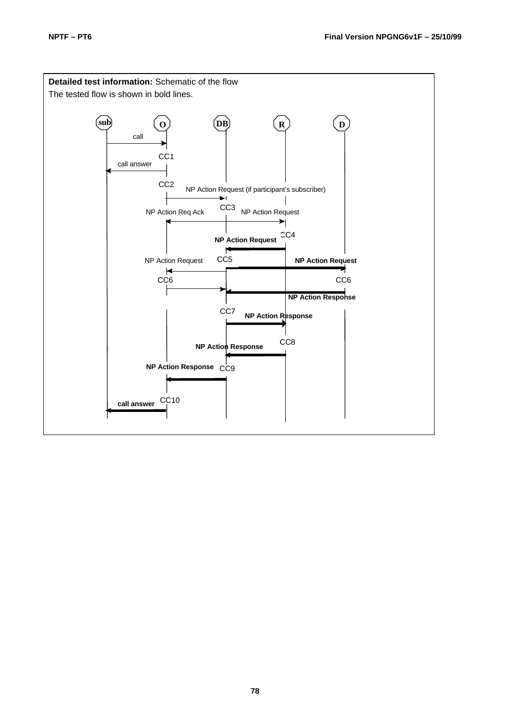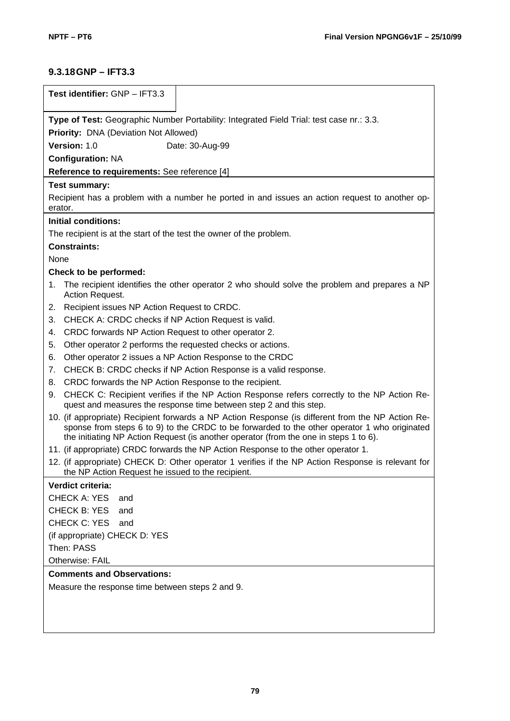## **9.3.18GNP – IFT3.3**

| Test identifier: GNP - IFT3.3                                                                                                                                                                                                                                                              |  |  |  |  |  |
|--------------------------------------------------------------------------------------------------------------------------------------------------------------------------------------------------------------------------------------------------------------------------------------------|--|--|--|--|--|
| Type of Test: Geographic Number Portability: Integrated Field Trial: test case nr.: 3.3.                                                                                                                                                                                                   |  |  |  |  |  |
| <b>Priority: DNA (Deviation Not Allowed)</b>                                                                                                                                                                                                                                               |  |  |  |  |  |
| Version: 1.0<br>Date: 30-Aug-99                                                                                                                                                                                                                                                            |  |  |  |  |  |
| <b>Configuration: NA</b>                                                                                                                                                                                                                                                                   |  |  |  |  |  |
| Reference to requirements: See reference [4]                                                                                                                                                                                                                                               |  |  |  |  |  |
| <b>Test summary:</b>                                                                                                                                                                                                                                                                       |  |  |  |  |  |
| Recipient has a problem with a number he ported in and issues an action request to another op-<br>erator.                                                                                                                                                                                  |  |  |  |  |  |
| <b>Initial conditions:</b>                                                                                                                                                                                                                                                                 |  |  |  |  |  |
| The recipient is at the start of the test the owner of the problem.                                                                                                                                                                                                                        |  |  |  |  |  |
| <b>Constraints:</b>                                                                                                                                                                                                                                                                        |  |  |  |  |  |
| None                                                                                                                                                                                                                                                                                       |  |  |  |  |  |
| Check to be performed:                                                                                                                                                                                                                                                                     |  |  |  |  |  |
| The recipient identifies the other operator 2 who should solve the problem and prepares a NP<br>1.<br>Action Request.                                                                                                                                                                      |  |  |  |  |  |
| Recipient issues NP Action Request to CRDC.<br>2.                                                                                                                                                                                                                                          |  |  |  |  |  |
| CHECK A: CRDC checks if NP Action Request is valid.<br>3.                                                                                                                                                                                                                                  |  |  |  |  |  |
| CRDC forwards NP Action Request to other operator 2.<br>4.                                                                                                                                                                                                                                 |  |  |  |  |  |
| Other operator 2 performs the requested checks or actions.<br>5.                                                                                                                                                                                                                           |  |  |  |  |  |
| Other operator 2 issues a NP Action Response to the CRDC<br>6.                                                                                                                                                                                                                             |  |  |  |  |  |
| CHECK B: CRDC checks if NP Action Response is a valid response.<br>7.                                                                                                                                                                                                                      |  |  |  |  |  |
| CRDC forwards the NP Action Response to the recipient.<br>8.                                                                                                                                                                                                                               |  |  |  |  |  |
| CHECK C: Recipient verifies if the NP Action Response refers correctly to the NP Action Re-<br>9.<br>quest and measures the response time between step 2 and this step.                                                                                                                    |  |  |  |  |  |
| 10. (if appropriate) Recipient forwards a NP Action Response (is different from the NP Action Re-<br>sponse from steps 6 to 9) to the CRDC to be forwarded to the other operator 1 who originated<br>the initiating NP Action Request (is another operator (from the one in steps 1 to 6). |  |  |  |  |  |
| 11. (if appropriate) CRDC forwards the NP Action Response to the other operator 1.                                                                                                                                                                                                         |  |  |  |  |  |
| 12. (if appropriate) CHECK D: Other operator 1 verifies if the NP Action Response is relevant for<br>the NP Action Request he issued to the recipient.                                                                                                                                     |  |  |  |  |  |
| Verdict criteria:                                                                                                                                                                                                                                                                          |  |  |  |  |  |
| <b>CHECK A: YES</b><br>and                                                                                                                                                                                                                                                                 |  |  |  |  |  |
| <b>CHECK B: YES</b><br>and                                                                                                                                                                                                                                                                 |  |  |  |  |  |
| CHECK C: YES<br>and                                                                                                                                                                                                                                                                        |  |  |  |  |  |
| (if appropriate) CHECK D: YES                                                                                                                                                                                                                                                              |  |  |  |  |  |
| Then: PASS                                                                                                                                                                                                                                                                                 |  |  |  |  |  |
| Otherwise: FAIL                                                                                                                                                                                                                                                                            |  |  |  |  |  |
| <b>Comments and Observations:</b>                                                                                                                                                                                                                                                          |  |  |  |  |  |
| Measure the response time between steps 2 and 9.                                                                                                                                                                                                                                           |  |  |  |  |  |
|                                                                                                                                                                                                                                                                                            |  |  |  |  |  |
|                                                                                                                                                                                                                                                                                            |  |  |  |  |  |
|                                                                                                                                                                                                                                                                                            |  |  |  |  |  |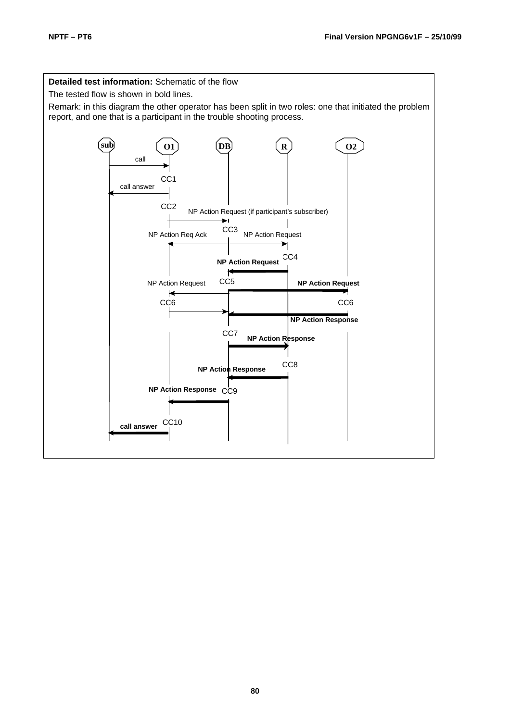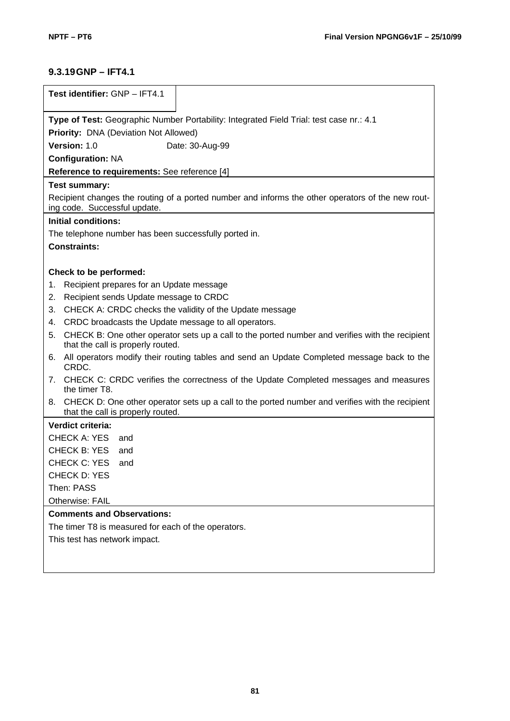## **9.3.19GNP – IFT4.1**

| Test identifier: GNP - IFT4.1                                                                                                              |  |  |  |  |  |
|--------------------------------------------------------------------------------------------------------------------------------------------|--|--|--|--|--|
| Type of Test: Geographic Number Portability: Integrated Field Trial: test case nr.: 4.1                                                    |  |  |  |  |  |
| Priority: DNA (Deviation Not Allowed)                                                                                                      |  |  |  |  |  |
| Version: 1.0<br>Date: 30-Aug-99                                                                                                            |  |  |  |  |  |
| <b>Configuration: NA</b>                                                                                                                   |  |  |  |  |  |
| Reference to requirements: See reference [4]                                                                                               |  |  |  |  |  |
| <b>Test summary:</b>                                                                                                                       |  |  |  |  |  |
| Recipient changes the routing of a ported number and informs the other operators of the new rout-<br>ing code. Successful update.          |  |  |  |  |  |
| <b>Initial conditions:</b>                                                                                                                 |  |  |  |  |  |
| The telephone number has been successfully ported in.                                                                                      |  |  |  |  |  |
| <b>Constraints:</b>                                                                                                                        |  |  |  |  |  |
|                                                                                                                                            |  |  |  |  |  |
| Check to be performed:                                                                                                                     |  |  |  |  |  |
| Recipient prepares for an Update message<br>1.                                                                                             |  |  |  |  |  |
| Recipient sends Update message to CRDC<br>2.                                                                                               |  |  |  |  |  |
| CHECK A: CRDC checks the validity of the Update message<br>3.                                                                              |  |  |  |  |  |
| CRDC broadcasts the Update message to all operators.<br>4.                                                                                 |  |  |  |  |  |
| CHECK B: One other operator sets up a call to the ported number and verifies with the recipient<br>5.<br>that the call is properly routed. |  |  |  |  |  |
| All operators modify their routing tables and send an Update Completed message back to the<br>6.<br>CRDC.                                  |  |  |  |  |  |
| CHECK C: CRDC verifies the correctness of the Update Completed messages and measures<br>7.<br>the timer T8.                                |  |  |  |  |  |
| 8. CHECK D: One other operator sets up a call to the ported number and verifies with the recipient<br>that the call is properly routed.    |  |  |  |  |  |
| Verdict criteria:                                                                                                                          |  |  |  |  |  |
| <b>CHECK A: YES</b><br>and                                                                                                                 |  |  |  |  |  |
| CHECK B: YES<br>and                                                                                                                        |  |  |  |  |  |
| CHECK C: YES<br>and                                                                                                                        |  |  |  |  |  |
| <b>CHECK D: YES</b>                                                                                                                        |  |  |  |  |  |
| Then: PASS                                                                                                                                 |  |  |  |  |  |
| Otherwise: FAIL                                                                                                                            |  |  |  |  |  |
| <b>Comments and Observations:</b>                                                                                                          |  |  |  |  |  |
| The timer T8 is measured for each of the operators.                                                                                        |  |  |  |  |  |
| This test has network impact.                                                                                                              |  |  |  |  |  |
|                                                                                                                                            |  |  |  |  |  |
|                                                                                                                                            |  |  |  |  |  |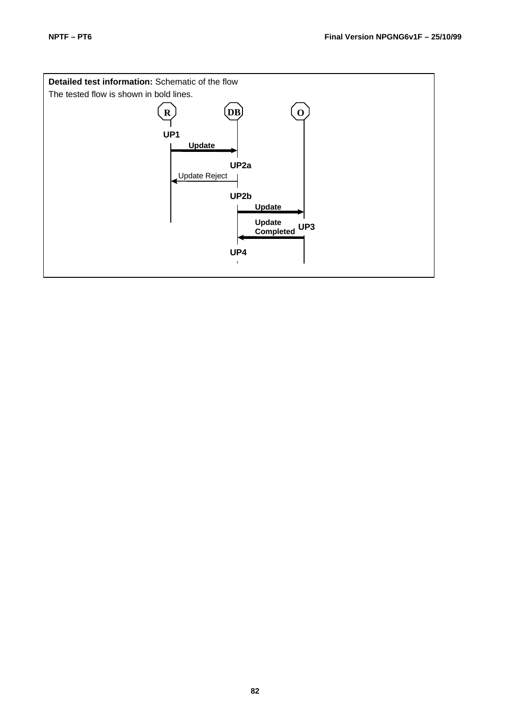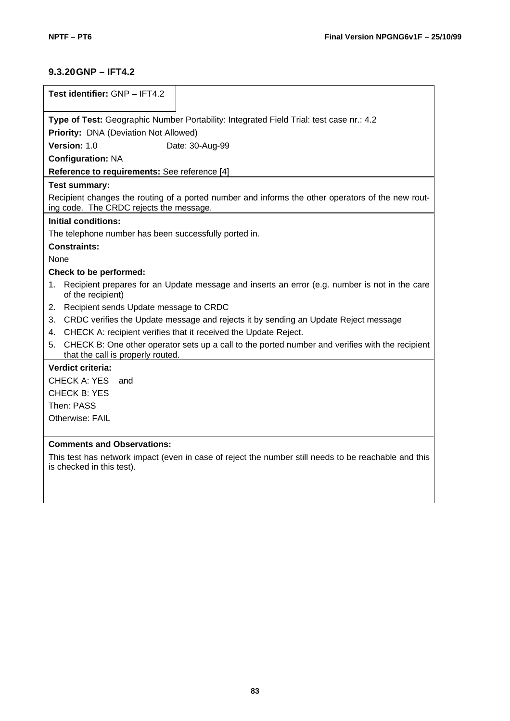## **9.3.20GNP – IFT4.2**

| Test identifier: GNP - IFT4.2                                                                                                                |  |  |  |  |  |
|----------------------------------------------------------------------------------------------------------------------------------------------|--|--|--|--|--|
| Type of Test: Geographic Number Portability: Integrated Field Trial: test case nr.: 4.2                                                      |  |  |  |  |  |
| Priority: DNA (Deviation Not Allowed)                                                                                                        |  |  |  |  |  |
| Version: 1.0<br>Date: 30-Aug-99                                                                                                              |  |  |  |  |  |
| <b>Configuration: NA</b>                                                                                                                     |  |  |  |  |  |
| Reference to requirements: See reference [4]                                                                                                 |  |  |  |  |  |
| <b>Test summary:</b>                                                                                                                         |  |  |  |  |  |
| Recipient changes the routing of a ported number and informs the other operators of the new rout-<br>ing code. The CRDC rejects the message. |  |  |  |  |  |
| <b>Initial conditions:</b>                                                                                                                   |  |  |  |  |  |
| The telephone number has been successfully ported in.                                                                                        |  |  |  |  |  |
| <b>Constraints:</b>                                                                                                                          |  |  |  |  |  |
| None                                                                                                                                         |  |  |  |  |  |
| Check to be performed:                                                                                                                       |  |  |  |  |  |
| Recipient prepares for an Update message and inserts an error (e.g. number is not in the care<br>1.<br>of the recipient)                     |  |  |  |  |  |
| Recipient sends Update message to CRDC<br>2.                                                                                                 |  |  |  |  |  |
| CRDC verifies the Update message and rejects it by sending an Update Reject message<br>3.                                                    |  |  |  |  |  |
| CHECK A: recipient verifies that it received the Update Reject.<br>4.                                                                        |  |  |  |  |  |
| CHECK B: One other operator sets up a call to the ported number and verifies with the recipient<br>5.<br>that the call is properly routed.   |  |  |  |  |  |
| Verdict criteria:                                                                                                                            |  |  |  |  |  |
| <b>CHECK A: YES</b><br>and                                                                                                                   |  |  |  |  |  |
| <b>CHECK B: YES</b>                                                                                                                          |  |  |  |  |  |
| Then: PASS                                                                                                                                   |  |  |  |  |  |
| Otherwise: FAIL                                                                                                                              |  |  |  |  |  |
| <b>Comments and Observations:</b>                                                                                                            |  |  |  |  |  |
| This test has network impact (even in case of reject the number still needs to be reachable and this<br>is checked in this test).            |  |  |  |  |  |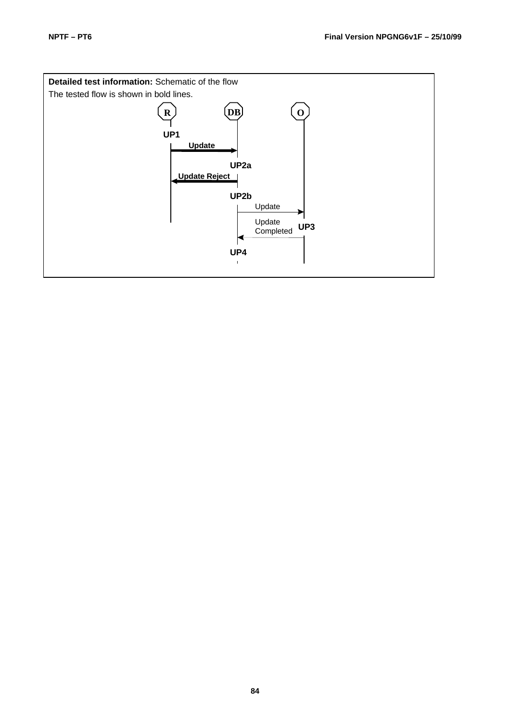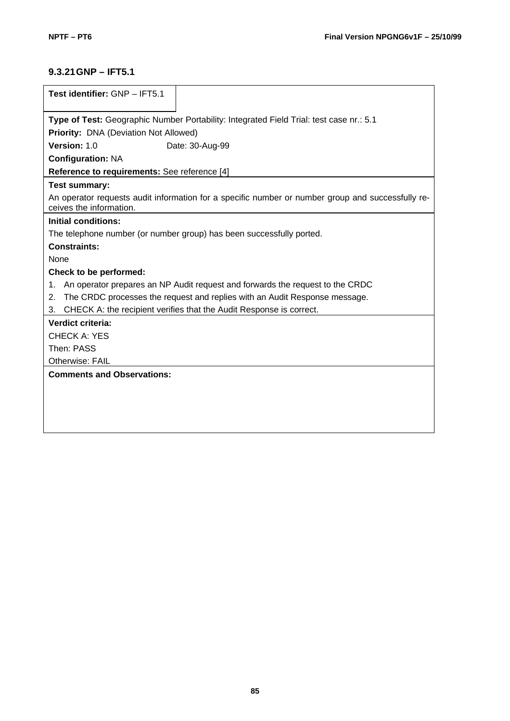## **9.3.21GNP – IFT5.1**

| Test identifier: GNP - IFT5.1                                                                                                |  |  |  |  |  |
|------------------------------------------------------------------------------------------------------------------------------|--|--|--|--|--|
|                                                                                                                              |  |  |  |  |  |
| Type of Test: Geographic Number Portability: Integrated Field Trial: test case nr.: 5.1                                      |  |  |  |  |  |
| Priority: DNA (Deviation Not Allowed)                                                                                        |  |  |  |  |  |
| Version: 1.0<br>Date: 30-Aug-99                                                                                              |  |  |  |  |  |
| <b>Configuration: NA</b>                                                                                                     |  |  |  |  |  |
| Reference to requirements: See reference [4]                                                                                 |  |  |  |  |  |
| <b>Test summary:</b>                                                                                                         |  |  |  |  |  |
| An operator requests audit information for a specific number or number group and successfully re-<br>ceives the information. |  |  |  |  |  |
| Initial conditions:                                                                                                          |  |  |  |  |  |
| The telephone number (or number group) has been successfully ported.                                                         |  |  |  |  |  |
| <b>Constraints:</b>                                                                                                          |  |  |  |  |  |
| None                                                                                                                         |  |  |  |  |  |
| Check to be performed:                                                                                                       |  |  |  |  |  |
| An operator prepares an NP Audit request and forwards the request to the CRDC<br>1.                                          |  |  |  |  |  |
| The CRDC processes the request and replies with an Audit Response message.<br>2.                                             |  |  |  |  |  |
| CHECK A: the recipient verifies that the Audit Response is correct.<br>3.                                                    |  |  |  |  |  |
| Verdict criteria:                                                                                                            |  |  |  |  |  |
| <b>CHECK A: YES</b>                                                                                                          |  |  |  |  |  |
| Then: PASS                                                                                                                   |  |  |  |  |  |
| Otherwise: FAIL                                                                                                              |  |  |  |  |  |
| <b>Comments and Observations:</b>                                                                                            |  |  |  |  |  |
|                                                                                                                              |  |  |  |  |  |
|                                                                                                                              |  |  |  |  |  |
|                                                                                                                              |  |  |  |  |  |
|                                                                                                                              |  |  |  |  |  |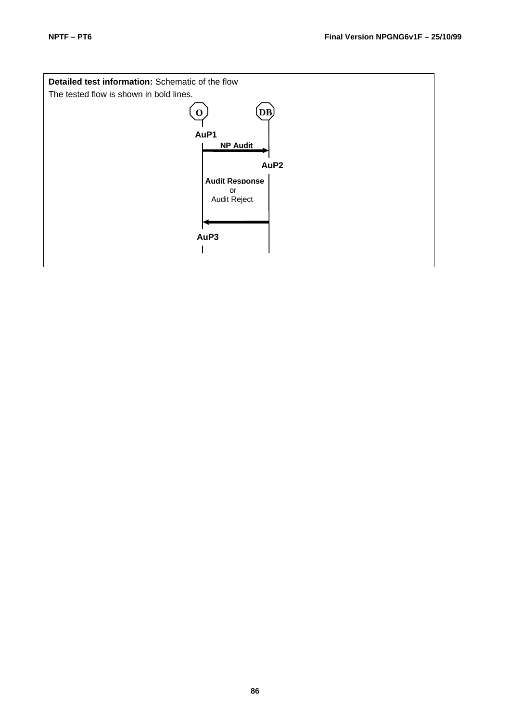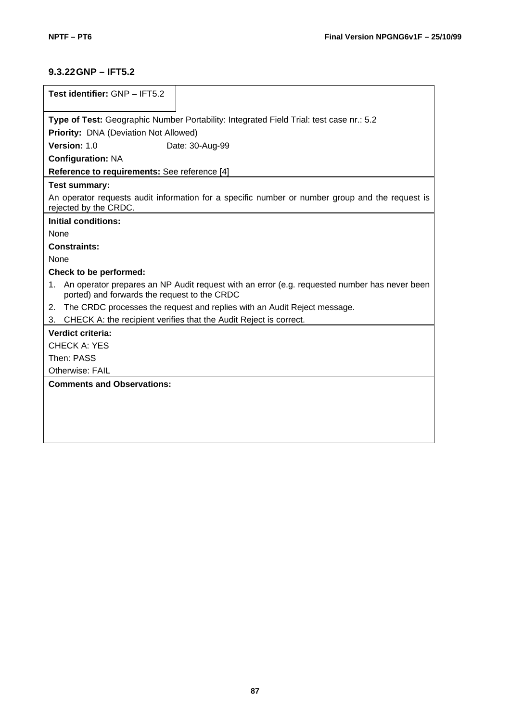## **9.3.22GNP – IFT5.2**

| Test identifier: GNP - IFT5.2                                                                                                                      |  |  |  |  |  |  |
|----------------------------------------------------------------------------------------------------------------------------------------------------|--|--|--|--|--|--|
|                                                                                                                                                    |  |  |  |  |  |  |
| Type of Test: Geographic Number Portability: Integrated Field Trial: test case nr.: 5.2                                                            |  |  |  |  |  |  |
| Priority: DNA (Deviation Not Allowed)                                                                                                              |  |  |  |  |  |  |
| Version: 1.0<br>Date: 30-Aug-99                                                                                                                    |  |  |  |  |  |  |
| <b>Configuration: NA</b>                                                                                                                           |  |  |  |  |  |  |
| Reference to requirements: See reference [4]                                                                                                       |  |  |  |  |  |  |
| <b>Test summary:</b>                                                                                                                               |  |  |  |  |  |  |
| An operator requests audit information for a specific number or number group and the request is<br>rejected by the CRDC.                           |  |  |  |  |  |  |
| Initial conditions:                                                                                                                                |  |  |  |  |  |  |
| None                                                                                                                                               |  |  |  |  |  |  |
| <b>Constraints:</b>                                                                                                                                |  |  |  |  |  |  |
| <b>None</b>                                                                                                                                        |  |  |  |  |  |  |
| Check to be performed:                                                                                                                             |  |  |  |  |  |  |
| An operator prepares an NP Audit request with an error (e.g. requested number has never been<br>1.<br>ported) and forwards the request to the CRDC |  |  |  |  |  |  |
| 2. The CRDC processes the request and replies with an Audit Reject message.                                                                        |  |  |  |  |  |  |
| CHECK A: the recipient verifies that the Audit Reject is correct.<br>3.                                                                            |  |  |  |  |  |  |
| Verdict criteria:                                                                                                                                  |  |  |  |  |  |  |
| <b>CHECK A: YES</b>                                                                                                                                |  |  |  |  |  |  |
| Then: PASS                                                                                                                                         |  |  |  |  |  |  |
| <b>Otherwise: FAIL</b>                                                                                                                             |  |  |  |  |  |  |
| <b>Comments and Observations:</b>                                                                                                                  |  |  |  |  |  |  |
|                                                                                                                                                    |  |  |  |  |  |  |
|                                                                                                                                                    |  |  |  |  |  |  |
|                                                                                                                                                    |  |  |  |  |  |  |
|                                                                                                                                                    |  |  |  |  |  |  |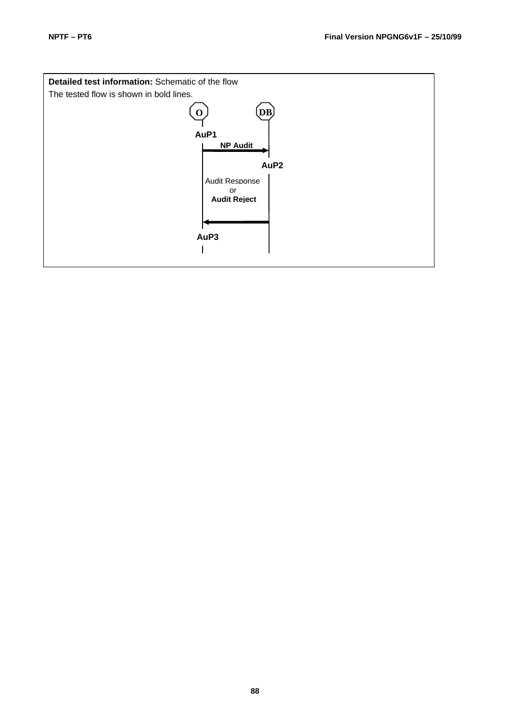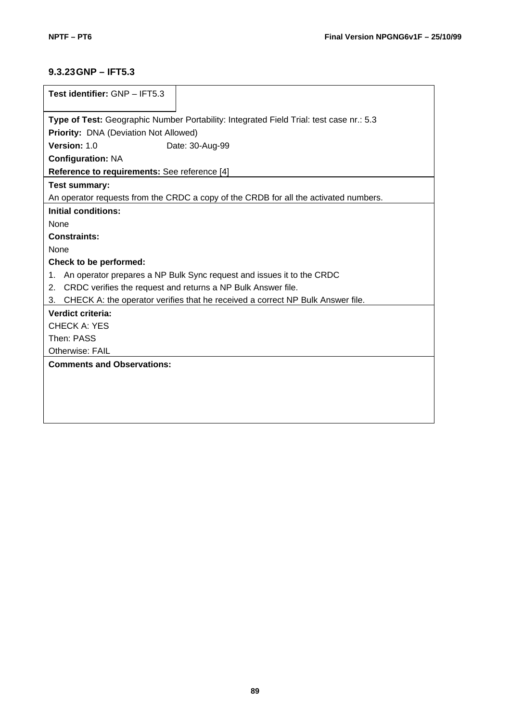## **9.3.23GNP – IFT5.3**

| Test identifier: GNP - IFT5.3                                                           |  |  |  |  |  |
|-----------------------------------------------------------------------------------------|--|--|--|--|--|
|                                                                                         |  |  |  |  |  |
| Type of Test: Geographic Number Portability: Integrated Field Trial: test case nr.: 5.3 |  |  |  |  |  |
| <b>Priority: DNA (Deviation Not Allowed)</b>                                            |  |  |  |  |  |
| Version: 1.0<br>Date: 30-Aug-99                                                         |  |  |  |  |  |
| <b>Configuration: NA</b>                                                                |  |  |  |  |  |
| Reference to requirements: See reference [4]                                            |  |  |  |  |  |
| <b>Test summary:</b>                                                                    |  |  |  |  |  |
| An operator requests from the CRDC a copy of the CRDB for all the activated numbers.    |  |  |  |  |  |
| Initial conditions:                                                                     |  |  |  |  |  |
| <b>None</b>                                                                             |  |  |  |  |  |
| <b>Constraints:</b>                                                                     |  |  |  |  |  |
| None                                                                                    |  |  |  |  |  |
| Check to be performed:                                                                  |  |  |  |  |  |
| An operator prepares a NP Bulk Sync request and issues it to the CRDC<br>$1_{-}$        |  |  |  |  |  |
| CRDC verifies the request and returns a NP Bulk Answer file.<br>$2 -$                   |  |  |  |  |  |
| CHECK A: the operator verifies that he received a correct NP Bulk Answer file.<br>3.    |  |  |  |  |  |
| Verdict criteria:                                                                       |  |  |  |  |  |
| <b>CHECK A: YES</b>                                                                     |  |  |  |  |  |
| Then: PASS                                                                              |  |  |  |  |  |
| Otherwise: FAIL                                                                         |  |  |  |  |  |
| <b>Comments and Observations:</b>                                                       |  |  |  |  |  |
|                                                                                         |  |  |  |  |  |
|                                                                                         |  |  |  |  |  |
|                                                                                         |  |  |  |  |  |
|                                                                                         |  |  |  |  |  |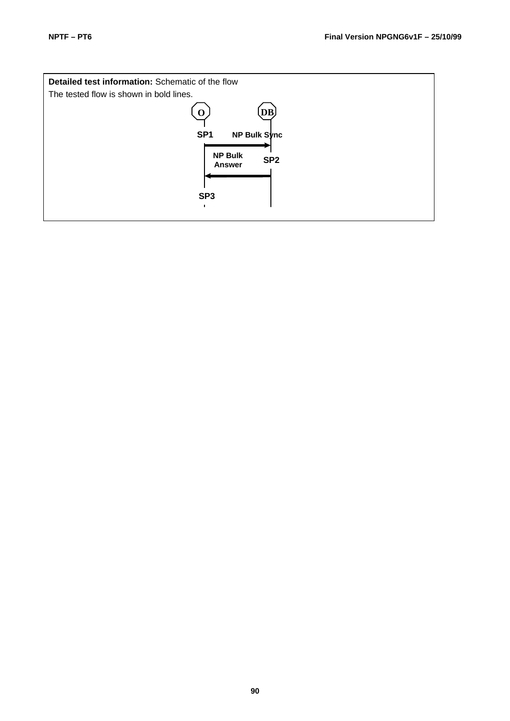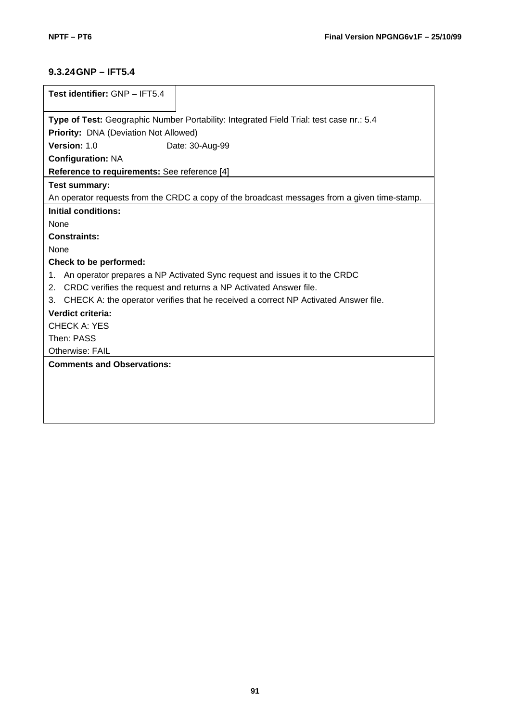## **9.3.24GNP – IFT5.4**

| Test identifier: GNP - IFT5.4                                                                |  |  |  |  |  |  |
|----------------------------------------------------------------------------------------------|--|--|--|--|--|--|
|                                                                                              |  |  |  |  |  |  |
| Type of Test: Geographic Number Portability: Integrated Field Trial: test case nr.: 5.4      |  |  |  |  |  |  |
| Priority: DNA (Deviation Not Allowed)                                                        |  |  |  |  |  |  |
| Version: 1.0<br>Date: 30-Aug-99                                                              |  |  |  |  |  |  |
| <b>Configuration: NA</b>                                                                     |  |  |  |  |  |  |
| Reference to requirements: See reference [4]                                                 |  |  |  |  |  |  |
| <b>Test summary:</b>                                                                         |  |  |  |  |  |  |
| An operator requests from the CRDC a copy of the broadcast messages from a given time-stamp. |  |  |  |  |  |  |
| Initial conditions:                                                                          |  |  |  |  |  |  |
| <b>None</b>                                                                                  |  |  |  |  |  |  |
| <b>Constraints:</b>                                                                          |  |  |  |  |  |  |
| None                                                                                         |  |  |  |  |  |  |
| Check to be performed:                                                                       |  |  |  |  |  |  |
| An operator prepares a NP Activated Sync request and issues it to the CRDC<br>1.             |  |  |  |  |  |  |
| CRDC verifies the request and returns a NP Activated Answer file.<br>2.                      |  |  |  |  |  |  |
| CHECK A: the operator verifies that he received a correct NP Activated Answer file.<br>3.    |  |  |  |  |  |  |
| Verdict criteria:                                                                            |  |  |  |  |  |  |
| CHECK A: YES                                                                                 |  |  |  |  |  |  |
| Then: PASS                                                                                   |  |  |  |  |  |  |
| <b>Otherwise: FAIL</b>                                                                       |  |  |  |  |  |  |
| <b>Comments and Observations:</b>                                                            |  |  |  |  |  |  |
|                                                                                              |  |  |  |  |  |  |
|                                                                                              |  |  |  |  |  |  |
|                                                                                              |  |  |  |  |  |  |
|                                                                                              |  |  |  |  |  |  |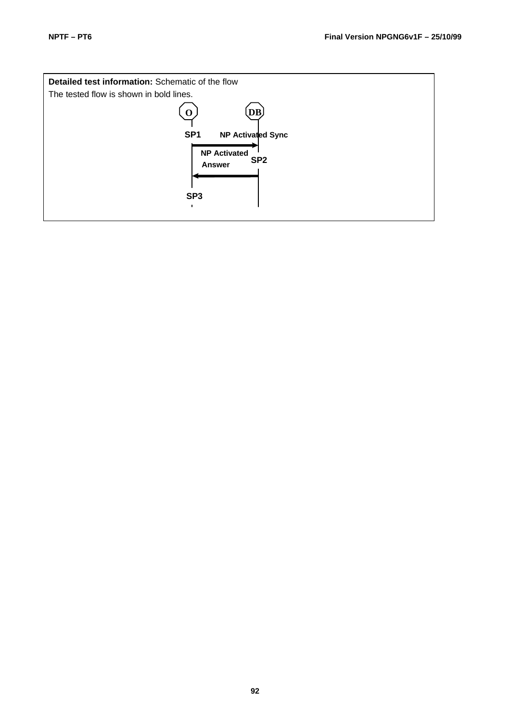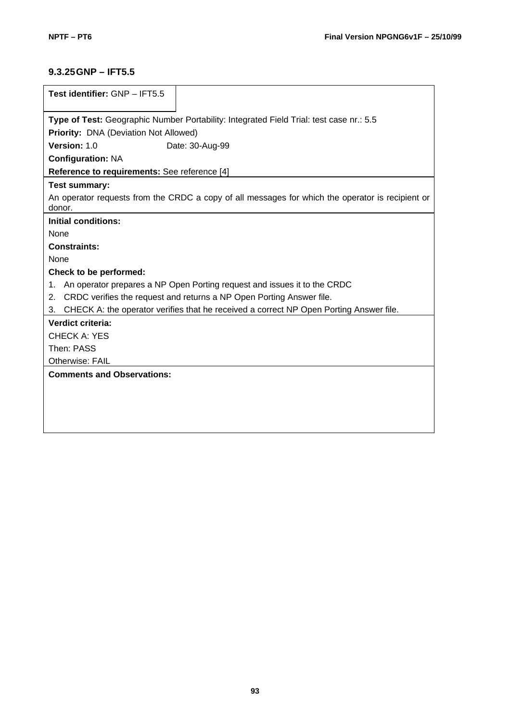## **9.3.25GNP – IFT5.5**

| Test identifier: GNP - IFT5.5                                                                              |  |  |  |  |  |
|------------------------------------------------------------------------------------------------------------|--|--|--|--|--|
| Type of Test: Geographic Number Portability: Integrated Field Trial: test case nr.: 5.5                    |  |  |  |  |  |
| <b>Priority: DNA (Deviation Not Allowed)</b>                                                               |  |  |  |  |  |
| Version: 1.0<br>Date: 30-Aug-99                                                                            |  |  |  |  |  |
| <b>Configuration: NA</b>                                                                                   |  |  |  |  |  |
| Reference to requirements: See reference [4]                                                               |  |  |  |  |  |
| <b>Test summary:</b>                                                                                       |  |  |  |  |  |
| An operator requests from the CRDC a copy of all messages for which the operator is recipient or<br>donor. |  |  |  |  |  |
| <b>Initial conditions:</b>                                                                                 |  |  |  |  |  |
| None                                                                                                       |  |  |  |  |  |
| <b>Constraints:</b>                                                                                        |  |  |  |  |  |
| None                                                                                                       |  |  |  |  |  |
| Check to be performed:                                                                                     |  |  |  |  |  |
| An operator prepares a NP Open Porting request and issues it to the CRDC<br>1.                             |  |  |  |  |  |
| CRDC verifies the request and returns a NP Open Porting Answer file.<br>2.                                 |  |  |  |  |  |
| CHECK A: the operator verifies that he received a correct NP Open Porting Answer file.<br>3.               |  |  |  |  |  |
| Verdict criteria:                                                                                          |  |  |  |  |  |
| <b>CHECK A: YES</b>                                                                                        |  |  |  |  |  |
| Then: PASS                                                                                                 |  |  |  |  |  |
| Otherwise: FAIL                                                                                            |  |  |  |  |  |
| <b>Comments and Observations:</b>                                                                          |  |  |  |  |  |
|                                                                                                            |  |  |  |  |  |
|                                                                                                            |  |  |  |  |  |
|                                                                                                            |  |  |  |  |  |
|                                                                                                            |  |  |  |  |  |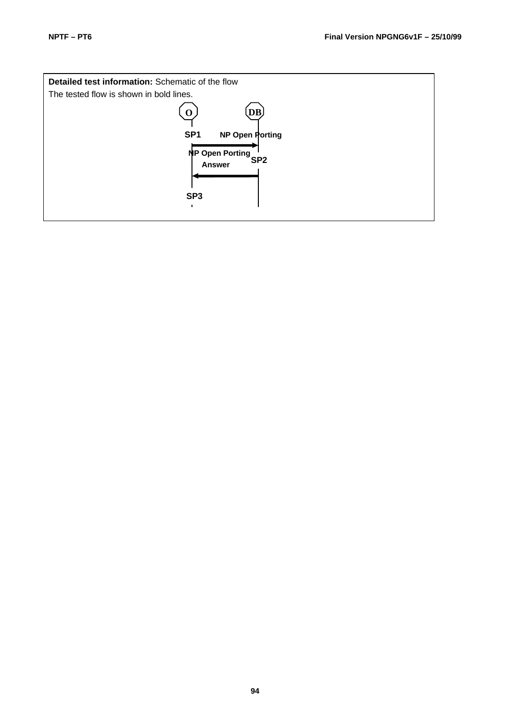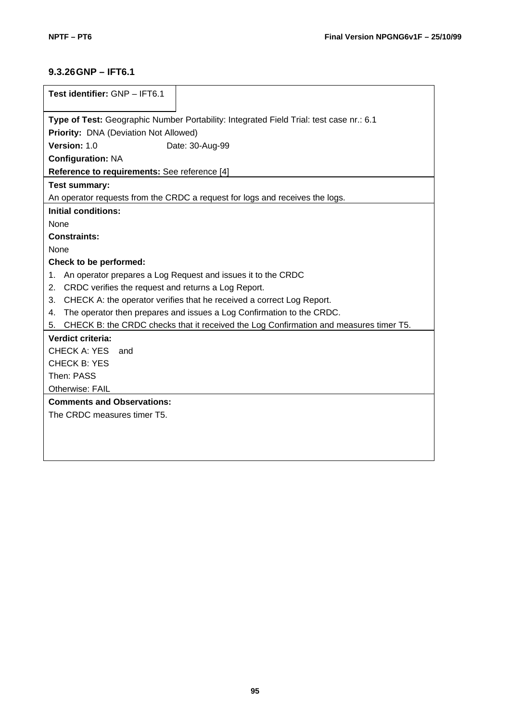## **9.3.26GNP – IFT6.1**

| Test identifier: GNP - IFT6.1                                                               |  |  |  |  |  |
|---------------------------------------------------------------------------------------------|--|--|--|--|--|
|                                                                                             |  |  |  |  |  |
| Type of Test: Geographic Number Portability: Integrated Field Trial: test case nr.: 6.1     |  |  |  |  |  |
| Priority: DNA (Deviation Not Allowed)                                                       |  |  |  |  |  |
| Version: 1.0<br>Date: 30-Aug-99                                                             |  |  |  |  |  |
| <b>Configuration: NA</b>                                                                    |  |  |  |  |  |
| Reference to requirements: See reference [4]                                                |  |  |  |  |  |
| <b>Test summary:</b>                                                                        |  |  |  |  |  |
| An operator requests from the CRDC a request for logs and receives the logs.                |  |  |  |  |  |
| <b>Initial conditions:</b>                                                                  |  |  |  |  |  |
| None                                                                                        |  |  |  |  |  |
| <b>Constraints:</b>                                                                         |  |  |  |  |  |
| None                                                                                        |  |  |  |  |  |
| Check to be performed:                                                                      |  |  |  |  |  |
| An operator prepares a Log Request and issues it to the CRDC<br>1.                          |  |  |  |  |  |
| CRDC verifies the request and returns a Log Report.<br>2.                                   |  |  |  |  |  |
| CHECK A: the operator verifies that he received a correct Log Report.<br>3.                 |  |  |  |  |  |
| The operator then prepares and issues a Log Confirmation to the CRDC.<br>4.                 |  |  |  |  |  |
| CHECK B: the CRDC checks that it received the Log Confirmation and measures timer T5.<br>5. |  |  |  |  |  |
| Verdict criteria:                                                                           |  |  |  |  |  |
| <b>CHECK A: YES</b><br>and                                                                  |  |  |  |  |  |
| <b>CHECK B: YES</b>                                                                         |  |  |  |  |  |
| Then: PASS                                                                                  |  |  |  |  |  |
| Otherwise: FAIL                                                                             |  |  |  |  |  |
| <b>Comments and Observations:</b>                                                           |  |  |  |  |  |
| The CRDC measures timer T5.                                                                 |  |  |  |  |  |
|                                                                                             |  |  |  |  |  |
|                                                                                             |  |  |  |  |  |
|                                                                                             |  |  |  |  |  |
|                                                                                             |  |  |  |  |  |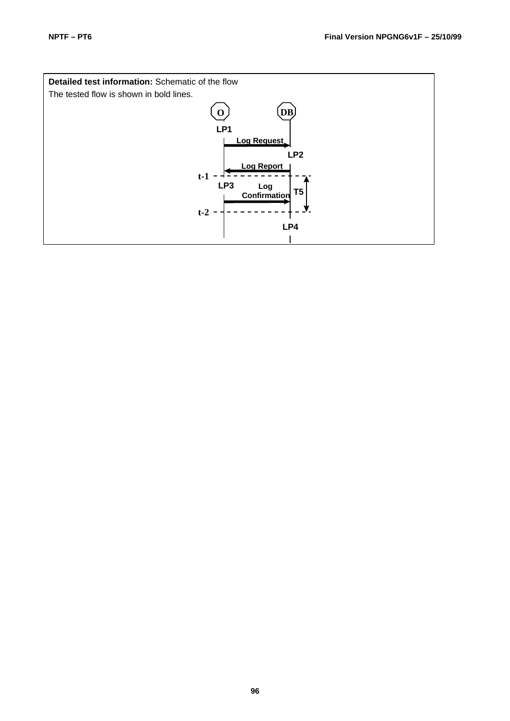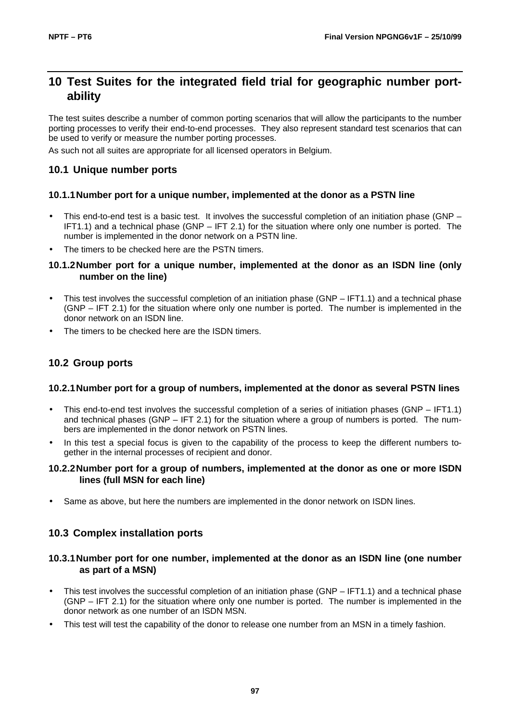## **10 Test Suites for the integrated field trial for geographic number portability**

The test suites describe a number of common porting scenarios that will allow the participants to the number porting processes to verify their end-to-end processes. They also represent standard test scenarios that can be used to verify or measure the number porting processes.

As such not all suites are appropriate for all licensed operators in Belgium.

### **10.1 Unique number ports**

#### **10.1.1Number port for a unique number, implemented at the donor as a PSTN line**

- This end-to-end test is a basic test. It involves the successful completion of an initiation phase (GNP IFT1.1) and a technical phase (GNP – IFT 2.1) for the situation where only one number is ported. The number is implemented in the donor network on a PSTN line.
- The timers to be checked here are the PSTN timers.

#### **10.1.2Number port for a unique number, implemented at the donor as an ISDN line (only number on the line)**

- This test involves the successful completion of an initiation phase (GNP IFT1.1) and a technical phase (GNP – IFT 2.1) for the situation where only one number is ported. The number is implemented in the donor network on an ISDN line.
- The timers to be checked here are the ISDN timers.

## **10.2 Group ports**

#### **10.2.1Number port for a group of numbers, implemented at the donor as several PSTN lines**

- This end-to-end test involves the successful completion of a series of initiation phases (GNP IFT1.1) and technical phases (GNP – IFT 2.1) for the situation where a group of numbers is ported. The numbers are implemented in the donor network on PSTN lines.
- In this test a special focus is given to the capability of the process to keep the different numbers together in the internal processes of recipient and donor.

#### **10.2.2Number port for a group of numbers, implemented at the donor as one or more ISDN lines (full MSN for each line)**

• Same as above, but here the numbers are implemented in the donor network on ISDN lines.

## **10.3 Complex installation ports**

#### **10.3.1Number port for one number, implemented at the donor as an ISDN line (one number as part of a MSN)**

- This test involves the successful completion of an initiation phase (GNP IFT1.1) and a technical phase (GNP – IFT 2.1) for the situation where only one number is ported. The number is implemented in the donor network as one number of an ISDN MSN.
- This test will test the capability of the donor to release one number from an MSN in a timely fashion.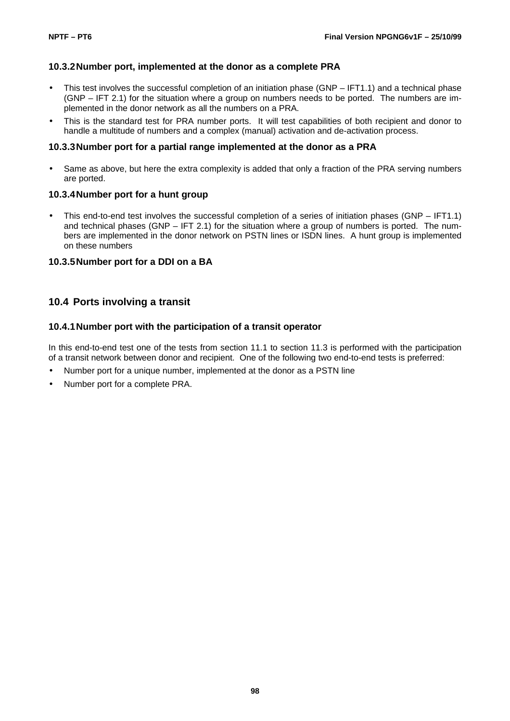#### **10.3.2Number port, implemented at the donor as a complete PRA**

- This test involves the successful completion of an initiation phase (GNP IFT1.1) and a technical phase (GNP – IFT 2.1) for the situation where a group on numbers needs to be ported. The numbers are implemented in the donor network as all the numbers on a PRA.
- This is the standard test for PRA number ports. It will test capabilities of both recipient and donor to handle a multitude of numbers and a complex (manual) activation and de-activation process.

#### **10.3.3Number port for a partial range implemented at the donor as a PRA**

• Same as above, but here the extra complexity is added that only a fraction of the PRA serving numbers are ported.

#### **10.3.4Number port for a hunt group**

• This end-to-end test involves the successful completion of a series of initiation phases (GNP – IFT1.1) and technical phases (GNP – IFT 2.1) for the situation where a group of numbers is ported. The numbers are implemented in the donor network on PSTN lines or ISDN lines. A hunt group is implemented on these numbers

#### **10.3.5Number port for a DDI on a BA**

### **10.4 Ports involving a transit**

#### **10.4.1Number port with the participation of a transit operator**

In this end-to-end test one of the tests from section 11.1 to section 11.3 is performed with the participation of a transit network between donor and recipient. One of the following two end-to-end tests is preferred:

- Number port for a unique number, implemented at the donor as a PSTN line
- Number port for a complete PRA.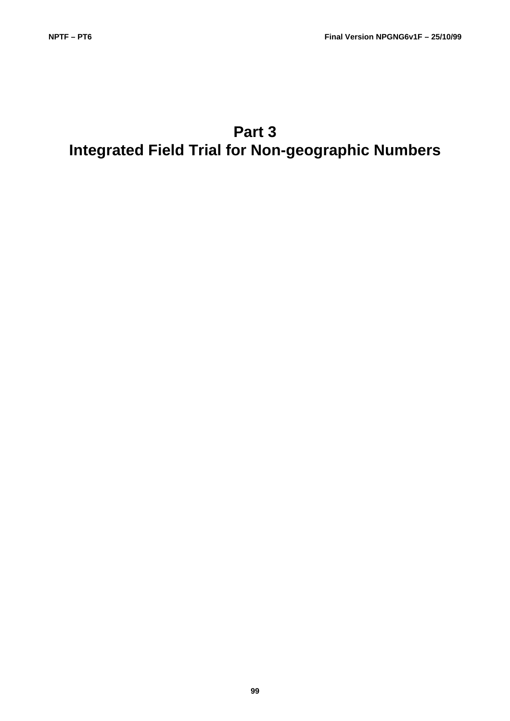# **Part 3 Integrated Field Trial for Non-geographic Numbers**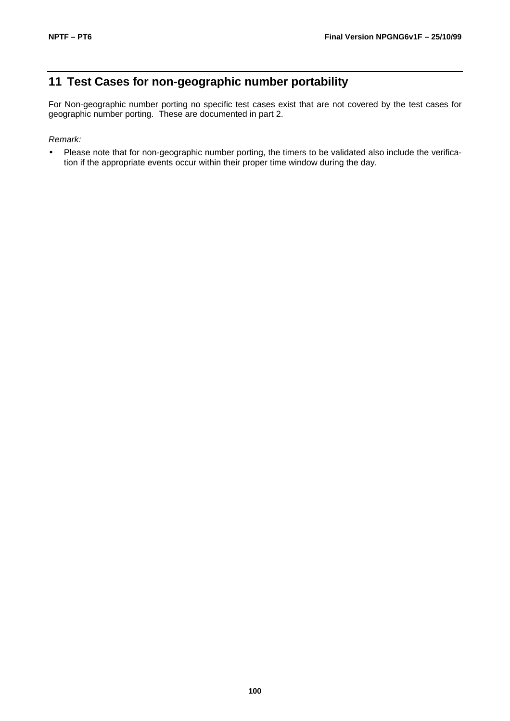## **11 Test Cases for non-geographic number portability**

For Non-geographic number porting no specific test cases exist that are not covered by the test cases for geographic number porting. These are documented in part 2.

#### *Remark:*

• Please note that for non-geographic number porting, the timers to be validated also include the verification if the appropriate events occur within their proper time window during the day.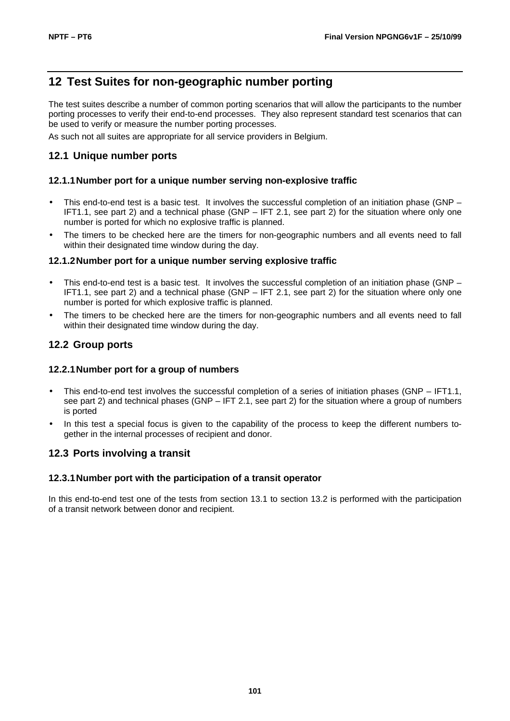## **12 Test Suites for non-geographic number porting**

The test suites describe a number of common porting scenarios that will allow the participants to the number porting processes to verify their end-to-end processes. They also represent standard test scenarios that can be used to verify or measure the number porting processes.

As such not all suites are appropriate for all service providers in Belgium.

## **12.1 Unique number ports**

#### **12.1.1Number port for a unique number serving non-explosive traffic**

- This end-to-end test is a basic test. It involves the successful completion of an initiation phase (GNP IFT1.1, see part 2) and a technical phase (GNP – IFT 2.1, see part 2) for the situation where only one number is ported for which no explosive traffic is planned.
- The timers to be checked here are the timers for non-geographic numbers and all events need to fall within their designated time window during the day.

#### **12.1.2Number port for a unique number serving explosive traffic**

- This end-to-end test is a basic test. It involves the successful completion of an initiation phase (GNP IFT1.1, see part 2) and a technical phase (GNP – IFT 2.1, see part 2) for the situation where only one number is ported for which explosive traffic is planned.
- The timers to be checked here are the timers for non-geographic numbers and all events need to fall within their designated time window during the day.

### **12.2 Group ports**

#### **12.2.1Number port for a group of numbers**

- This end-to-end test involves the successful completion of a series of initiation phases (GNP IFT1.1, see part 2) and technical phases (GNP – IFT 2.1, see part 2) for the situation where a group of numbers is ported
- In this test a special focus is given to the capability of the process to keep the different numbers together in the internal processes of recipient and donor.

#### **12.3 Ports involving a transit**

#### **12.3.1Number port with the participation of a transit operator**

In this end-to-end test one of the tests from section 13.1 to section 13.2 is performed with the participation of a transit network between donor and recipient.